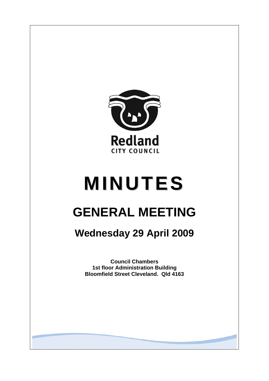

# **MINUTES**

# **GENERAL MEETING**

## **Wednesday 29 April 2009**

**Council Chambers 1st floor Administration Building Bloomfield Street Cleveland. Qld 4163**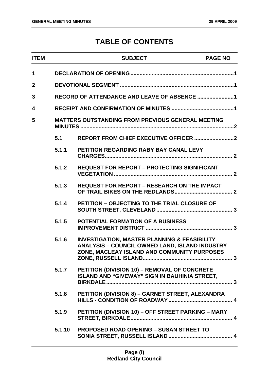### **TABLE OF CONTENTS**

| <b>ITEM</b>    |        | <b>SUBJECT</b>                                                                                                                                                  | <b>PAGE NO</b> |
|----------------|--------|-----------------------------------------------------------------------------------------------------------------------------------------------------------------|----------------|
| 1              |        |                                                                                                                                                                 |                |
| $\overline{2}$ |        |                                                                                                                                                                 |                |
| 3              |        |                                                                                                                                                                 |                |
| 4              |        |                                                                                                                                                                 |                |
| 5              |        | <b>MATTERS OUTSTANDING FROM PREVIOUS GENERAL MEETING</b>                                                                                                        |                |
|                | 5.1    |                                                                                                                                                                 |                |
|                | 5.1.1  | PETITION REGARDING RABY BAY CANAL LEVY                                                                                                                          |                |
|                | 5.1.2  | <b>REQUEST FOR REPORT - PROTECTING SIGNIFICANT</b>                                                                                                              |                |
|                | 5.1.3  | <b>REQUEST FOR REPORT - RESEARCH ON THE IMPACT</b>                                                                                                              |                |
|                | 5.1.4  | <b>PETITION - OBJECTING TO THE TRIAL CLOSURE OF</b>                                                                                                             |                |
|                | 5.1.5  | <b>POTENTIAL FORMATION OF A BUSINESS</b>                                                                                                                        |                |
|                | 5.1.6  | <b>INVESTIGATION, MASTER PLANNING &amp; FEASIBILITY</b><br><b>ANALYSIS - COUNCIL OWNED LAND, ISLAND INDUSTRY</b><br>ZONE, MACLEAY ISLAND AND COMMUNITY PURPOSES |                |
|                | 5.1.7  | PETITION (DIVISION 10) - REMOVAL OF CONCRETE<br><b>ISLAND AND "GIVEWAY" SIGN IN BAUHINIA STREET,</b>                                                            |                |
|                | 5.1.8  | PETITION (DIVISION 8) - GARNET STREET, ALEXANDRA                                                                                                                |                |
|                | 5.1.9  | PETITION (DIVISION 10) - OFF STREET PARKING - MARY                                                                                                              |                |
|                | 5.1.10 | <b>PROPOSED ROAD OPENING - SUSAN STREET TO</b>                                                                                                                  |                |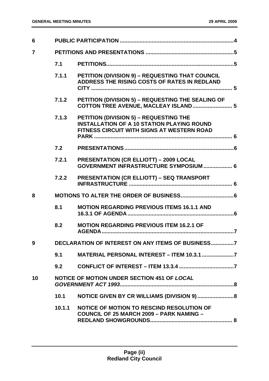| 6              |        |                                                                                                                                           |
|----------------|--------|-------------------------------------------------------------------------------------------------------------------------------------------|
| $\overline{7}$ |        |                                                                                                                                           |
|                | 7.1    |                                                                                                                                           |
|                | 7.1.1  | PETITION (DIVISION 9) - REQUESTING THAT COUNCIL<br>ADDRESS THE RISING COSTS OF RATES IN REDLAND                                           |
|                | 7.1.2  | PETITION (DIVISION 5) - REQUESTING THE SEALING OF<br>COTTON TREE AVENUE, MACLEAY ISLAND  5                                                |
|                | 7.1.3  | PETITION (DIVISION 5) - REQUESTING THE<br><b>INSTALLATION OF A 10 STATION PLAYING ROUND</b><br>FITNESS CIRCUIT WITH SIGNS AT WESTERN ROAD |
|                | 7.2    |                                                                                                                                           |
|                | 7.2.1  | <b>PRESENTATION (CR ELLIOTT) - 2009 LOCAL</b><br><b>GOVERNMENT INFRASTRUCTURE SYMPOSIUM  6</b>                                            |
|                | 7.2.2  | <b>PRESENTATION (CR ELLIOTT) - SEQ TRANSPORT</b>                                                                                          |
| 8              |        |                                                                                                                                           |
|                | 8.1    | <b>MOTION REGARDING PREVIOUS ITEMS 16.1.1 AND</b>                                                                                         |
|                | 8.2    | <b>MOTION REGARDING PREVIOUS ITEM 16.2.1 OF</b>                                                                                           |
| 9              |        | DECLARATION OF INTEREST ON ANY ITEMS OF BUSINESS7                                                                                         |
|                | 9.1    | MATERIAL PERSONAL INTEREST - ITEM 10.3.1 7                                                                                                |
|                | 9.2    |                                                                                                                                           |
| 10             |        | NOTICE OF MOTION UNDER SECTION 451 OF LOCAL                                                                                               |
|                | 10.1   | NOTICE GIVEN BY CR WILLIAMS (DIVISION 9)8                                                                                                 |
|                | 10.1.1 | NOTICE OF MOTION TO RESCIND RESOLUTION OF<br><b>COUNCIL OF 25 MARCH 2009 - PARK NAMING -</b>                                              |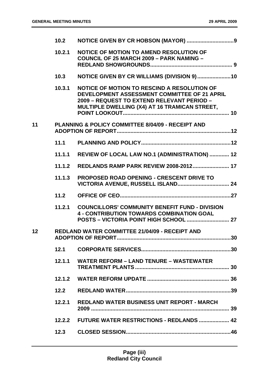|                 | 10.2   |                                                                                                                                                                                            |    |
|-----------------|--------|--------------------------------------------------------------------------------------------------------------------------------------------------------------------------------------------|----|
|                 | 10.2.1 | <b>NOTICE OF MOTION TO AMEND RESOLUTION OF</b><br><b>COUNCIL OF 25 MARCH 2009 - PARK NAMING -</b>                                                                                          |    |
|                 | 10.3   | NOTICE GIVEN BY CR WILLIAMS (DIVISION 9)10                                                                                                                                                 |    |
|                 | 10.3.1 | NOTICE OF MOTION TO RESCIND A RESOLUTION OF<br>DEVELOPMENT ASSESSMENT COMMITTEE OF 21 APRIL<br>2009 - REQUEST TO EXTEND RELEVANT PERIOD -<br>MULTIPLE DWELLING (X4) AT 16 TRAMICAN STREET, |    |
| 11              |        | <b>PLANNING &amp; POLICY COMMITTEE 8/04/09 - RECEIPT AND</b>                                                                                                                               |    |
|                 | 11.1   |                                                                                                                                                                                            |    |
|                 | 11.1.1 | REVIEW OF LOCAL LAW NO.1 (ADMINISTRATION)  12                                                                                                                                              |    |
|                 | 11.1.2 | <b>REDLANDS RAMP PARK REVIEW 2008-2012 17</b>                                                                                                                                              |    |
|                 | 11.1.3 | <b>PROPOSED ROAD OPENING - CRESCENT DRIVE TO</b>                                                                                                                                           |    |
|                 | 11.2   |                                                                                                                                                                                            |    |
|                 | 11.2.1 | <b>COUNCILLORS' COMMUNITY BENEFIT FUND - DIVISION</b><br><b>4 - CONTRIBUTION TOWARDS COMBINATION GOAL</b>                                                                                  |    |
| 12 <sub>2</sub> |        | <b>REDLAND WATER COMMITTEE 21/04/09 - RECEIPT AND</b><br><b>ADOPTION OF REPORT.</b>                                                                                                        | 30 |
|                 | 12.1   |                                                                                                                                                                                            |    |
|                 | 12.1.1 | <b>WATER REFORM - LAND TENURE - WASTEWATER</b>                                                                                                                                             |    |
|                 |        |                                                                                                                                                                                            |    |
|                 | 12.2   |                                                                                                                                                                                            |    |
|                 | 12.2.1 | <b>REDLAND WATER BUSINESS UNIT REPORT - MARCH</b>                                                                                                                                          |    |
|                 |        | 12.2.2    FUTURE WATER RESTRICTIONS - REDLANDS     42                                                                                                                                      |    |
|                 | 12.3   |                                                                                                                                                                                            |    |
|                 |        |                                                                                                                                                                                            |    |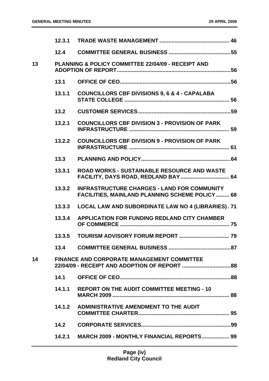|    | 12.3.1 |                                                                                                             |  |
|----|--------|-------------------------------------------------------------------------------------------------------------|--|
|    | 12.4   |                                                                                                             |  |
| 13 |        | <b>PLANNING &amp; POLICY COMMITTEE 22/04/09 - RECEIPT AND</b>                                               |  |
|    | 13.1   |                                                                                                             |  |
|    | 13.1.1 | <b>COUNCILLORS CBF DIVISIONS 9, 6 &amp; 4 - CAPALABA</b>                                                    |  |
|    | 13.2   |                                                                                                             |  |
|    | 13.2.1 | <b>COUNCILLORS CBF DIVISION 3 - PROVISION OF PARK</b>                                                       |  |
|    | 13.2.2 | <b>COUNCILLORS CBF DIVISION 9 - PROVISION OF PARK</b>                                                       |  |
|    | 13.3   |                                                                                                             |  |
|    | 13.3.1 | <b>ROAD WORKS - SUSTAINABLE RESOURCE AND WASTE</b><br>FACILITY, DAYS ROAD, REDLAND BAY 64                   |  |
|    | 13.3.2 | <b>INFRASTRUCTURE CHARGES - LAND FOR COMMUNITY</b><br><b>FACILITIES, MAINLAND PLANNING SCHEME POLICY 68</b> |  |
|    | 13.3.3 | LOCAL LAW AND SUBORDINATE LAW NO 4 (LIBRARIES). 71                                                          |  |
|    | 13.3.4 | <b>APPLICATION FOR FUNDING REDLAND CITY CHAMBER</b>                                                         |  |
|    | 13.3.5 |                                                                                                             |  |
|    | 13.4   |                                                                                                             |  |
| 14 |        | <b>FINANCE AND CORPORATE MANAGEMENT COMMITTEE</b>                                                           |  |
|    | 14.1   |                                                                                                             |  |
|    | 14.1.1 | <b>REPORT ON THE AUDIT COMMITTEE MEETING - 10</b>                                                           |  |
|    | 14.1.2 | ADMINISTRATIVE AMENDMENT TO THE AUDIT                                                                       |  |
|    | 14.2   |                                                                                                             |  |
|    | 14.2.1 | MARCH 2009 - MONTHLY FINANCIAL REPORTS 99                                                                   |  |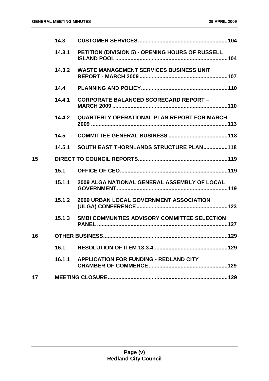|    | 14.3   |                                                    |
|----|--------|----------------------------------------------------|
|    | 14.3.1 | PETITION (DIVISION 5) - OPENING HOURS OF RUSSELL   |
|    | 14.3.2 | <b>WASTE MANAGEMENT SERVICES BUSINESS UNIT</b>     |
|    | 14.4   |                                                    |
|    | 14.4.1 | <b>CORPORATE BALANCED SCORECARD REPORT -</b>       |
|    | 14.4.2 | <b>QUARTERLY OPERATIONAL PLAN REPORT FOR MARCH</b> |
|    | 14.5   |                                                    |
|    | 14.5.1 | SOUTH EAST THORNLANDS STRUCTURE PLAN118            |
| 15 |        |                                                    |
|    | 15.1   |                                                    |
|    | 15.1.1 | 2009 ALGA NATIONAL GENERAL ASSEMBLY OF LOCAL       |
|    | 15.1.2 | <b>2009 URBAN LOCAL GOVERNMENT ASSOCIATION</b>     |
|    | 15.1.3 | SMBI COMMUNTIES ADVISORY COMMITTEE SELECTION       |
| 16 |        |                                                    |
|    | 16.1   |                                                    |
|    | 16.1.1 | <b>APPLICATION FOR FUNDING - REDLAND CITY</b>      |
| 17 |        |                                                    |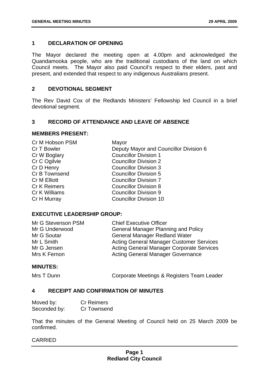#### <span id="page-6-0"></span>**1 DECLARATION OF OPENING**

The Mayor declared the meeting open at 4.00pm and acknowledged the Quandamooka people, who are the traditional custodians of the land on which Council meets. The Mayor also paid Council's respect to their elders, past and present, and extended that respect to any indigenous Australians present.

#### **2 DEVOTIONAL SEGMENT**

The Rev David Cox of the Redlands Ministers' Fellowship led Council in a brief devotional segment.

#### **3 RECORD OF ATTENDANCE AND LEAVE OF ABSENCE**

#### **MEMBERS PRESENT:**

| Cr M Hobson PSM     | Mayor                                  |
|---------------------|----------------------------------------|
| Cr T Bowler         | Deputy Mayor and Councillor Division 6 |
| Cr W Boglary        | <b>Councillor Division 1</b>           |
| Cr C Ogilvie        | <b>Councillor Division 2</b>           |
| Cr D Henry          | <b>Councillor Division 3</b>           |
| Cr B Townsend       | <b>Councillor Division 5</b>           |
| Cr M Elliott        | <b>Councillor Division 7</b>           |
| <b>Cr K Reimers</b> | <b>Councillor Division 8</b>           |
| Cr K Williams       | <b>Councillor Division 9</b>           |
| Cr H Murray         | <b>Councillor Division 10</b>          |
|                     |                                        |

#### **EXECUTIVE LEADERSHIP GROUP:**

| Mr G Stevenson PSM | <b>Chief Executive Officer</b>                   |
|--------------------|--------------------------------------------------|
| Mr G Underwood     | <b>General Manager Planning and Policy</b>       |
| Mr G Soutar        | <b>General Manager Redland Water</b>             |
| Mr L Smith         | <b>Acting General Manager Customer Services</b>  |
| Mr G Jensen        | <b>Acting General Manager Corporate Services</b> |
| Mrs K Fernon       | <b>Acting General Manager Governance</b>         |

#### **MINUTES:**

Mrs T Dunn **Corporate Meetings & Registers Team Leader** 

#### **4 RECEIPT AND CONFIRMATION OF MINUTES**

| Moved by:    | <b>Cr Reimers</b> |
|--------------|-------------------|
| Seconded by: | Cr Townsend       |

That the minutes of the General Meeting of Council held on 25 March 2009 be confirmed.

#### CARRIED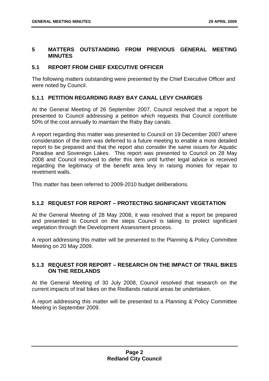#### <span id="page-7-0"></span>**5 MATTERS OUTSTANDING FROM PREVIOUS GENERAL MEETING MINUTES**

#### **5.1 REPORT FROM CHIEF EXECUTIVE OFFICER**

The following matters outstanding were presented by the Chief Executive Officer and were noted by Council.

#### **5.1.1 PETITION REGARDING RABY BAY CANAL LEVY CHARGES**

At the General Meeting of 26 September 2007, Council resolved that a report be presented to Council addressing a petition which requests that Council contribute 50% of the cost annually to maintain the Raby Bay canals.

A report regarding this matter was presented to Council on 19 December 2007 where consideration of the item was deferred to a future meeting to enable a more detailed report to be prepared and that the report also consider the same issues for Aquatic Paradise and Sovereign Lakes. This report was presented to Council on 28 May 2008 and Council resolved to defer this item until further legal advice is received regarding the legitimacy of the benefit area levy in raising monies for repair to revetment walls.

This matter has been referred to 2009-2010 budget deliberations.

#### **5.1.2 REQUEST FOR REPORT – PROTECTING SIGNIFICANT VEGETATION**

At the General Meeting of 28 May 2008, it was resolved that a report be prepared and presented to Council on the steps Council is taking to protect significant vegetation through the Development Assessment process.

A report addressing this matter will be presented to the Planning & Policy Committee Meeting on 20 May 2009.

#### **5.1.3 REQUEST FOR REPORT – RESEARCH ON THE IMPACT OF TRAIL BIKES ON THE REDLANDS**

At the General Meeting of 30 July 2008, Council resolved that research on the current impacts of trail bikes on the Redlands natural areas be undertaken.

A report addressing this matter will be presented to a Planning & Policy Committee Meeting in September 2009.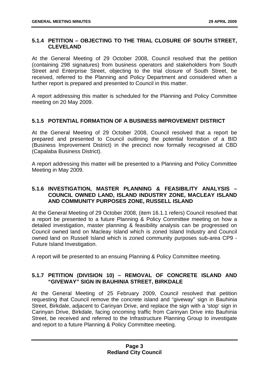#### <span id="page-8-0"></span>**5.1.4 PETITION – OBJECTING TO THE TRIAL CLOSURE OF SOUTH STREET, CLEVELAND**

At the General Meeting of 29 October 2008, Council resolved that the petition (containing 298 signatures) from business operators and stakeholders from South Street and Enterprise Street, objecting to the trial closure of South Street, be received, referred to the Planning and Policy Department and considered when a further report is prepared and presented to Council in this matter.

A report addressing this matter is scheduled for the Planning and Policy Committee meeting on 20 May 2009.

#### **5.1.5 POTENTIAL FORMATION OF A BUSINESS IMPROVEMENT DISTRICT**

At the General Meeting of 29 October 2008, Council resolved that a report be prepared and presented to Council outlining the potential formation of a BID (Business Improvement District) in the precinct now formally recognised at CBD (Capalaba Business District).

A report addressing this matter will be presented to a Planning and Policy Committee Meeting in May 2009.

#### **5.1.6 INVESTIGATION, MASTER PLANNING & FEASIBILITY ANALYSIS – COUNCIL OWNED LAND, ISLAND INDUSTRY ZONE, MACLEAY ISLAND AND COMMUNITY PURPOSES ZONE, RUSSELL ISLAND**

At the General Meeting of 29 October 2008, (item 16.1.1 refers) Council resolved that a report be presented to a future Planning & Policy Committee meeting on how a detailed investigation, master planning & feasibility analysis can be progressed on Council owned land on Macleay Island which is zoned Island Industry and Council owned land on Russell Island which is zoned community purposes sub-area CP9 - Future Island Investigation.

A report will be presented to an ensuing Planning & Policy Committee meeting.

#### **5.1.7 PETITION (DIVISION 10) – REMOVAL OF CONCRETE ISLAND AND "GIVEWAY" SIGN IN BAUHINIA STREET, BIRKDALE**

At the General Meeting of 25 February 2009, Council resolved that petition requesting that Council remove the concrete island and "giveway" sign in Bauhinia Street, Birkdale, adjacent to Carinyan Drive, and replace the sign with a 'stop' sign in Carinyan Drive, Birkdale, facing oncoming traffic from Carinyan Drive into Bauhinia Street, be received and referred to the Infrastructure Planning Group to investigate and report to a future Planning & Policy Committee meeting.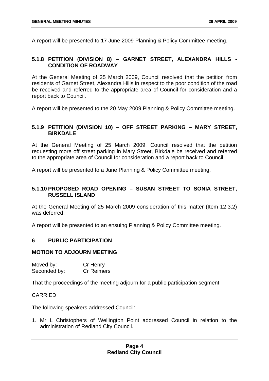<span id="page-9-0"></span>A report will be presented to 17 June 2009 Planning & Policy Committee meeting.

#### **5.1.8 PETITION (DIVISION 8) – GARNET STREET, ALEXANDRA HILLS - CONDITION OF ROADWAY**

At the General Meeting of 25 March 2009, Council resolved that the petition from residents of Garnet Street, Alexandra Hills in respect to the poor condition of the road be received and referred to the appropriate area of Council for consideration and a report back to Council.

A report will be presented to the 20 May 2009 Planning & Policy Committee meeting.

#### **5.1.9 PETITION (DIVISION 10) – OFF STREET PARKING – MARY STREET, BIRKDALE**

At the General Meeting of 25 March 2009, Council resolved that the petition requesting more off street parking in Mary Street, Birkdale be received and referred to the appropriate area of Council for consideration and a report back to Council.

A report will be presented to a June Planning & Policy Committee meeting.

#### **5.1.10 PROPOSED ROAD OPENING – SUSAN STREET TO SONIA STREET, RUSSELL ISLAND**

At the General Meeting of 25 March 2009 consideration of this matter (Item 12.3.2) was deferred.

A report will be presented to an ensuing Planning & Policy Committee meeting.

#### **6 PUBLIC PARTICIPATION**

#### **MOTION TO ADJOURN MEETING**

| Moved by:    | Cr Henry          |
|--------------|-------------------|
| Seconded by: | <b>Cr Reimers</b> |

That the proceedings of the meeting adjourn for a public participation segment.

#### CARRIED

The following speakers addressed Council:

1. Mr L Christophers of Wellington Point addressed Council in relation to the administration of Redland City Council.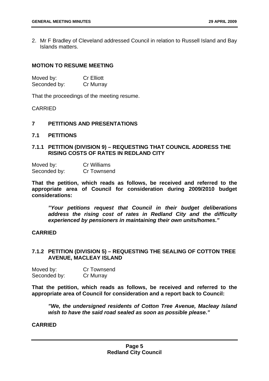<span id="page-10-0"></span>2. Mr F Bradley of Cleveland addressed Council in relation to Russell Island and Bay Islands matters.

#### **MOTION TO RESUME MEETING**

| Moved by:    | <b>Cr Elliott</b> |
|--------------|-------------------|
| Seconded by: | Cr Murray         |

That the proceedings of the meeting resume.

CARRIED

#### **7 PETITIONS AND PRESENTATIONS**

**7.1 PETITIONS** 

#### **7.1.1 PETITION (DIVISION 9) – REQUESTING THAT COUNCIL ADDRESS THE RISING COSTS OF RATES IN REDLAND CITY**

| Moved by:    | Cr Williams |
|--------------|-------------|
| Seconded by: | Cr Townsend |

**That the petition, which reads as follows, be received and referred to the appropriate area of Council for consideration during 2009/2010 budget considerations:** 

 *"Your petitions request that Council in their budget deliberations address the rising cost of rates in Redland City and the difficulty experienced by pensioners in maintaining their own units/homes."* 

#### **CARRIED**

#### **7.1.2 PETITION (DIVISION 5) – REQUESTING THE SEALING OF COTTON TREE AVENUE, MACLEAY ISLAND**

Moved by: Cr Townsend Seconded by: Cr Murray

**That the petition, which reads as follows, be received and referred to the appropriate area of Council for consideration and a report back to Council:** 

 *"We, the undersigned residents of Cotton Tree Avenue, Macleay Island wish to have the said road sealed as soon as possible please."* 

#### **CARRIED**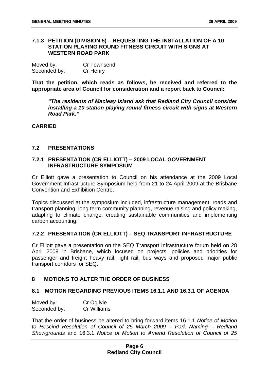#### <span id="page-11-0"></span>**7.1.3 PETITION (DIVISION 5) – REQUESTING THE INSTALLATION OF A 10 STATION PLAYING ROUND FITNESS CIRCUIT WITH SIGNS AT WESTERN ROAD PARK**

| Moved by:    | Cr Townsend |
|--------------|-------------|
| Seconded by: | Cr Henry    |

**That the petition, which reads as follows, be received and referred to the appropriate area of Council for consideration and a report back to Council:** 

 *"The residents of Macleay Island ask that Redland City Council consider installing a 10 station playing round fitness circuit with signs at Western Road Park."* 

**CARRIED** 

#### **7.2 PRESENTATIONS**

#### **7.2.1 PRESENTATION (CR ELLIOTT) – 2009 LOCAL GOVERNMENT INFRASTRUCTURE SYMPOSIUM**

Cr Elliott gave a presentation to Council on his attendance at the 2009 Local Government Infrastructure Symposium held from 21 to 24 April 2009 at the Brisbane Convention and Exhibition Centre.

Topics discussed at the symposium included, infrastructure management, roads and transport planning, long term community planning, revenue raising and policy making, adapting to climate change, creating sustainable communities and implementing carbon accounting.

#### **7.2.2 PRESENTATION (CR ELLIOTT) – SEQ TRANSPORT INFRASTRUCTURE**

Cr Elliott gave a presentation on the SEQ Transport Infrastructure forum held on 28 April 2009 in Brisbane, which focused on projects, policies and priorities for passenger and freight heavy rail, light rail, bus ways and proposed major public transport corridors for SEQ.

#### **8 MOTIONS TO ALTER THE ORDER OF BUSINESS**

#### **8.1 MOTION REGARDING PREVIOUS ITEMS 16.1.1 AND 16.3.1 OF AGENDA**

| Moved by:    | Cr Ogilvie  |
|--------------|-------------|
| Seconded by: | Cr Williams |

That the order of business be altered to bring forward items 16.1.1 *Notice of Motion to Rescind Resolution of Council of 25 March 2009 – Park Naming – Redland Showgrounds* and 16.3.1 *Notice of Motion to Amend Resolution of Council of 25*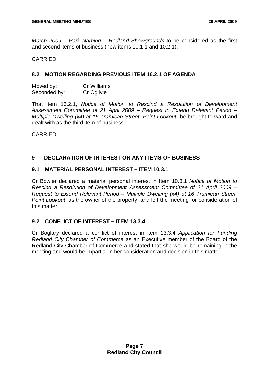<span id="page-12-0"></span>*March 2009 – Park Naming – Redland Showgrounds* to be considered as the first and second items of business (now items 10.1.1 and 10.2.1).

#### CARRIED

#### **8.2 MOTION REGARDING PREVIOUS ITEM 16.2.1 OF AGENDA**

| Moved by:    | <b>Cr Williams</b> |
|--------------|--------------------|
| Seconded by: | Cr Ogilvie         |

That item 16.2.1, *Notice of Motion to Rescind a Resolution of Development Assessment Committee of 21 April 2009 – Request to Extend Relevant Period – Multiple Dwelling (x4) at 16 Tramican Street, Point Lookout*, be brought forward and dealt with as the third item of business.

CARRIED

#### **9 DECLARATION OF INTEREST ON ANY ITEMS OF BUSINESS**

#### **9.1 MATERIAL PERSONAL INTEREST – ITEM 10.3.1**

Cr Bowler declared a material personal interest in Item 10.3.1 *Notice of Motion to Rescind a Resolution of Development Assessment Committee of 21 April 2009 – Request to Extend Relevant Period – Multiple Dwelling (x4) at 16 Tramican Street, Point Lookout*, as the owner of the property, and left the meeting for consideration of this matter.

#### **9.2 CONFLICT OF INTEREST – ITEM 13.3.4**

Cr Boglary declared a conflict of interest in item 13.3.4 *Application for Funding Redland City Chamber of Commerce* as an Executive member of the Board of the Redland City Chamber of Commerce and stated that she would be remaining in the meeting and would be impartial in her consideration and decision in this matter.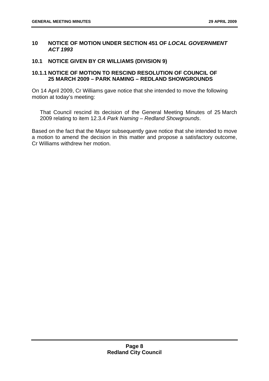#### <span id="page-13-0"></span>**10 NOTICE OF MOTION UNDER SECTION 451 OF** *LOCAL GOVERNMENT ACT 1993*

#### **10.1 NOTICE GIVEN BY CR WILLIAMS (DIVISION 9)**

#### **10.1.1 NOTICE OF MOTION TO RESCIND RESOLUTION OF COUNCIL OF 25 MARCH 2009 – PARK NAMING – REDLAND SHOWGROUNDS**

On 14 April 2009, Cr Williams gave notice that she intended to move the following motion at today's meeting:

That Council rescind its decision of the General Meeting Minutes of 25 March 2009 relating to item 12.3.4 *Park Naming – Redland Showgrounds*.

Based on the fact that the Mayor subsequently gave notice that she intended to move a motion to amend the decision in this matter and propose a satisfactory outcome, Cr Williams withdrew her motion.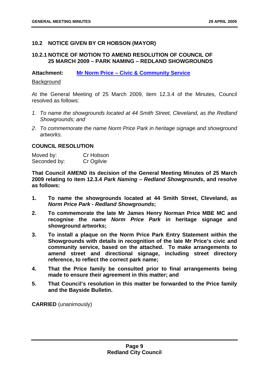#### <span id="page-14-0"></span>**10.2 NOTICE GIVEN BY CR HOBSON (MAYOR)**

#### **10.2.1 NOTICE OF MOTION TO AMEND RESOLUTION OF COUNCIL OF 25 MARCH 2009 – PARK NAMING – REDLAND SHOWGROUNDS**

**Attachment: Mr Norm Price – Civic & Community Service**

#### **Background**

At the General Meeting of 25 March 2009, item 12.3.4 of the Minutes, Council resolved as follows:

- *1. To name the showgrounds located at 44 Smith Street, Cleveland, as the Redland Showgrounds; and*
- *2. To commemorate the name Norm Price Park in heritage signage and showground artworks.*

#### **COUNCIL RESOLUTION**

Moved by: Cr Hobson Seconded by: Cr Ogilvie

**That Council AMEND its decision of the General Meeting Minutes of 25 March 2009 relating to item 12.3.4** *Park Naming – Redland Showgrounds***, and resolve as follows:** 

- **1. To name the showgrounds located at 44 Smith Street, Cleveland, as**  *Norm Price Park - Redland Showgrounds***;**
- **2. To commemorate the late Mr James Henry Norman Price MBE MC and recognise the name** *Norm Price Park* **in heritage signage and showground artworks;**
- **3. To install a plaque on the Norm Price Park Entry Statement within the Showgrounds with details in recognition of the late Mr Price's civic and community service, based on the attached. To make arrangements to amend street and directional signage, including street directory reference, to reflect the correct park name;**
- **4. That the Price family be consulted prior to final arrangements being made to ensure their agreement in this matter; and**
- **5. That Council's resolution in this matter be forwarded to the Price family and the Bayside Bulletin.**

**CARRIED** (unanimously)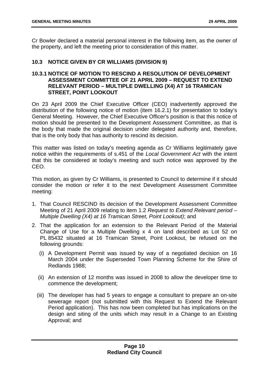<span id="page-15-0"></span>Cr Bowler declared a material personal interest in the following item, as the owner of the property, and left the meeting prior to consideration of this matter.

#### **10.3 NOTICE GIVEN BY CR WILLIAMS (DIVISION 9)**

#### **10.3.1 NOTICE OF MOTION TO RESCIND A RESOLUTION OF DEVELOPMENT ASSESSMENT COMMITTEE OF 21 APRIL 2009 – REQUEST TO EXTEND RELEVANT PERIOD – MULTIPLE DWELLING (X4) AT 16 TRAMICAN STREET, POINT LOOKOUT**

On 23 April 2009 the Chief Executive Officer (CEO) inadvertently approved the distribution of the following notice of motion (item 16.2.1) for presentation to today's General Meeting. However, the Chief Executive Officer's position is that this notice of motion should be presented to the Development Assessment Committee, as that is the body that made the original decision under delegated authority and, therefore, that is the only body that has authority to rescind its decision.

This matter was listed on today's meeting agenda as Cr Williams legitimately gave notice within the requirements of s.451 of the *Local Government Act* with the intent that this be considered at today's meeting and such notice was approved by the CEO.

This motion, as given by Cr Williams, is presented to Council to determine if it should consider the motion or refer it to the next Development Assessment Committee meeting:

- 1. That Council RESCIND its decision of the Development Assessment Committee Meeting of 21 April 2009 relating to item 1.2 *Request to Extend Relevant period – Multiple Dwelling (X4) at 16 Tramican Street, Point Lookout)*; and
- 2. That the application for an extension to the Relevant Period of the Material Change of Use for a Multiple Dwelling x 4 on land described as Lot 52 on PL 85432 situated at 16 Tramican Street, Point Lookout, be refused on the following grounds:
	- (i) A Development Permit was issued by way of a negotiated decision on 16 March 2004 under the Superseded Town Planning Scheme for the Shire of Redlands 1988;
	- (ii) An extension of 12 months was issued in 2008 to allow the developer time to commence the development;
	- (iii) The developer has had 5 years to engage a consultant to prepare an on-site sewerage report (not submitted with this Request to Extend the Relevant Period application). This has now been completed but has implications on the design and siting of the units which may result in a Change to an Existing Approval; and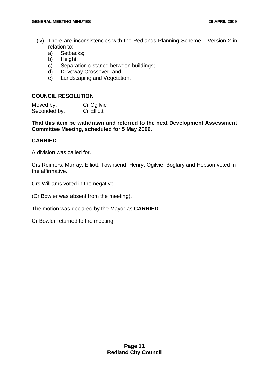- (iv) There are inconsistencies with the Redlands Planning Scheme Version 2 in relation to:
	- a) Setbacks;
	- b) Height;
	- c) Separation distance between buildings;
	- d) Driveway Crossover; and
	- e) Landscaping and Vegetation.

#### **COUNCIL RESOLUTION**

| Moved by:    | Cr Ogilvie        |
|--------------|-------------------|
| Seconded by: | <b>Cr Elliott</b> |

**That this item be withdrawn and referred to the next Development Assessment Committee Meeting, scheduled for 5 May 2009.** 

#### **CARRIED**

A division was called for.

Crs Reimers, Murray, Elliott, Townsend, Henry, Ogilvie, Boglary and Hobson voted in the affirmative.

Crs Williams voted in the negative.

(Cr Bowler was absent from the meeting).

The motion was declared by the Mayor as **CARRIED**.

Cr Bowler returned to the meeting.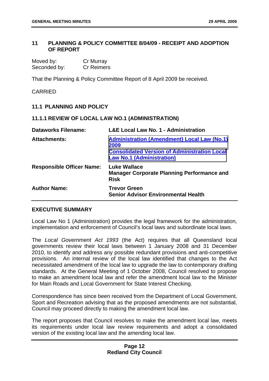#### <span id="page-17-0"></span>**11 PLANNING & POLICY COMMITTEE 8/04/09 - RECEIPT AND ADOPTION OF REPORT**

| Moved by:    | Cr Murray         |
|--------------|-------------------|
| Seconded by: | <b>Cr Reimers</b> |

That the Planning & Policy Committee Report of 8 April 2009 be received.

#### CARRIED

#### **11.1 PLANNING AND POLICY**

#### **11.1.1 REVIEW OF LOCAL LAW NO.1 (ADMINISTRATION)**

| <b>Dataworks Filename:</b>       | <b>L&amp;E Local Law No. 1 - Administration</b>                                                                                                       |
|----------------------------------|-------------------------------------------------------------------------------------------------------------------------------------------------------|
| <b>Attachments:</b>              | <b>Administration (Amendment) Local Law (No.1)</b><br>2009<br><b>Consolidated Version of Administration Local</b><br><b>Law No.1 (Administration)</b> |
| <b>Responsible Officer Name:</b> | <b>Luke Wallace</b><br><b>Manager Corporate Planning Performance and</b><br><b>Risk</b>                                                               |
| <b>Author Name:</b>              | <b>Trevor Green</b><br><b>Senior Advisor Environmental Health</b>                                                                                     |

#### **EXECUTIVE SUMMARY**

Local Law No 1 (Administration) provides the legal framework for the administration, implementation and enforcement of Council's local laws and subordinate local laws.

The *Local Government Act 1993* (the Act) requires that all Queensland local governments review their local laws between 1 January 2008 and 31 December 2010, to identify and address any possible redundant provisions and anti-competitive provisions. An internal review of the local law identified that changes to the Act necessitated amendment of the local law to upgrade the law to contemporary drafting standards. At the General Meeting of 1 October 2008, Council resolved to propose to make an amendment local law and refer the amendment local law to the Minister for Main Roads and Local Government for State Interest Checking.

Correspondence has since been received from the Department of Local Government, Sport and Recreation advising that as the proposed amendments are not substantial, Council may proceed directly to making the amendment local law.

The report proposes that Council resolves to make the amendment local law, meets its requirements under local law review requirements and adopt a consolidated version of the existing local law and the amending local law.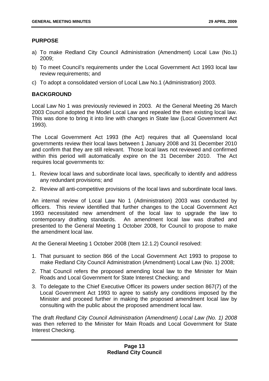#### **PURPOSE**

- a) To make Redland City Council Administration (Amendment) Local Law (No.1) 2009;
- b) To meet Council's requirements under the Local Government Act 1993 local law review requirements; and
- c) To adopt a consolidated version of Local Law No.1 (Administration) 2003.

#### **BACKGROUND**

Local Law No 1 was previously reviewed in 2003. At the General Meeting 26 March 2003 Council adopted the Model Local Law and repealed the then existing local law. This was done to bring it into line with changes in State law (Local Government Act 1993).

The Local Government Act 1993 (the Act) requires that all Queensland local governments review their local laws between 1 January 2008 and 31 December 2010 and confirm that they are still relevant. Those local laws not reviewed and confirmed within this period will automatically expire on the 31 December 2010. The Act requires local governments to:

- 1. Review local laws and subordinate local laws, specifically to identify and address any redundant provisions; and
- 2. Review all anti-competitive provisions of the local laws and subordinate local laws.

An internal review of Local Law No 1 (Administration) 2003 was conducted by officers. This review identified that further changes to the Local Government Act 1993 necessitated new amendment of the local law to upgrade the law to contemporary drafting standards. An amendment local law was drafted and presented to the General Meeting 1 October 2008, for Council to propose to make the amendment local law.

At the General Meeting 1 October 2008 (Item 12.1.2) Council resolved:

- 1. That pursuant to section 866 of the Local Government Act 1993 to propose to make Redland City Council Administration (Amendment) Local Law (No. 1) 2008;
- 2. That Council refers the proposed amending local law to the Minister for Main Roads and Local Government for State Interest Checking; and
- 3. To delegate to the Chief Executive Officer its powers under section 867(7) of the Local Government Act 1993 to agree to satisfy any conditions imposed by the Minister and proceed further in making the proposed amendment local law by consulting with the public about the proposed amendment local law.

The draft *Redland City Council Administration (Amendment) Local Law (No. 1) 2008*  was then referred to the Minister for Main Roads and Local Government for State Interest Checking.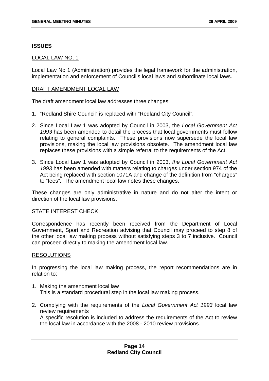#### **ISSUES**

#### LOCAL LAW NO. 1

Local Law No 1 (Administration) provides the legal framework for the administration, implementation and enforcement of Council's local laws and subordinate local laws.

#### DRAFT AMENDMENT LOCAL LAW

The draft amendment local law addresses three changes:

- 1. "Redland Shire Council" is replaced with "Redland City Council".
- 2. Since Local Law 1 was adopted by Council in 2003, the *Local Government Act 1993* has been amended to detail the process that local governments must follow relating to general complaints. These provisions now supersede the local law provisions, making the local law provisions obsolete. The amendment local law replaces these provisions with a simple referral to the requirements of the Act.
- 3. Since Local Law 1 was adopted by Council in 2003, *the Local Government Act 1993* has been amended with matters relating to charges under section 974 of the Act being replaced with section 1071A and change of the definition from "charges" to "fees". The amendment local law notes these changes.

These changes are only administrative in nature and do not alter the intent or direction of the local law provisions.

#### STATE INTEREST CHECK

Correspondence has recently been received from the Department of Local Government, Sport and Recreation advising that Council may proceed to step 8 of the other local law making process without satisfying steps 3 to 7 inclusive. Council can proceed directly to making the amendment local law.

#### RESOLUTIONS

In progressing the local law making process, the report recommendations are in relation to:

- 1. Making the amendment local law This is a standard procedural step in the local law making process.
- 2. Complying with the requirements of the *Local Government Act 1993* local law review requirements A specific resolution is included to address the requirements of the Act to review

the local law in accordance with the 2008 - 2010 review provisions.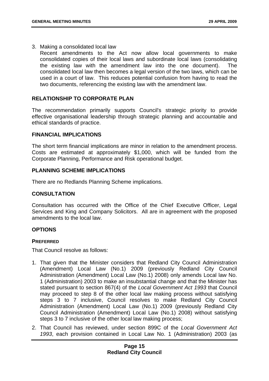#### 3. Making a consolidated local law

Recent amendments to the Act now allow local governments to make consolidated copies of their local laws and subordinate local laws (consolidating the existing law with the amendment law into the one document). The consolidated local law then becomes a legal version of the two laws, which can be used in a court of law. This reduces potential confusion from having to read the two documents, referencing the existing law with the amendment law.

#### **RELATIONSHIP TO CORPORATE PLAN**

The recommendation primarily supports Council's strategic priority to provide effective organisational leadership through strategic planning and accountable and ethical standards of practice.

#### **FINANCIAL IMPLICATIONS**

The short term financial implications are minor in relation to the amendment process. Costs are estimated at approximately \$1,000, which will be funded from the Corporate Planning, Performance and Risk operational budget.

#### **PLANNING SCHEME IMPLICATIONS**

There are no Redlands Planning Scheme implications.

#### **CONSULTATION**

Consultation has occurred with the Office of the Chief Executive Officer, Legal Services and King and Company Solicitors. All are in agreement with the proposed amendments to the local law.

#### **OPTIONS**

#### **PREFERRED**

That Council resolve as follows:

- 1. That given that the Minister considers that Redland City Council Administration (Amendment) Local Law (No.1) 2009 (previously Redland City Council Administration (Amendment) Local Law (No.1) 2008) only amends Local law No. 1 (Administration) 2003 to make an insubstantial change and that the Minister has stated pursuant to section 867(4) of the *Local Government Act 1993* that Council may proceed to step 8 of the other local law making process without satisfying steps 3 to 7 inclusive, Council resolves to make Redland City Council Administration (Amendment) Local Law (No.1) 2009 (previously Redland City Council Administration (Amendment) Local Law (No.1) 2008) without satisfying steps 3 to 7 inclusive of the other local law making process;
- 2. That Council has reviewed, under section 899C of the *Local Government Act 1993*, each provision contained in Local Law No. 1 (Administration) 2003 (as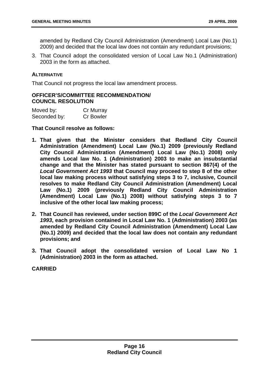amended by Redland City Council Administration (Amendment) Local Law (No.1) 2009) and decided that the local law does not contain any redundant provisions;

3. That Council adopt the consolidated version of Local Law No.1 (Administration) 2003 in the form as attached.

#### **ALTERNATIVE**

That Council not progress the local law amendment process.

#### **OFFICER'S/COMMITTEE RECOMMENDATION/ COUNCIL RESOLUTION**

| Moved by:    | Cr Murray        |
|--------------|------------------|
| Seconded by: | <b>Cr Bowler</b> |

**That Council resolve as follows:** 

- **1. That given that the Minister considers that Redland City Council Administration (Amendment) Local Law (No.1) 2009 (previously Redland City Council Administration (Amendment) Local Law (No.1) 2008) only amends Local law No. 1 (Administration) 2003 to make an insubstantial change and that the Minister has stated pursuant to section 867(4) of the**  *Local Government Act 1993* **that Council may proceed to step 8 of the other local law making process without satisfying steps 3 to 7, inclusive, Council resolves to make Redland City Council Administration (Amendment) Local Law (No.1) 2009 (previously Redland City Council Administration (Amendment) Local Law (No.1) 2008) without satisfying steps 3 to 7 inclusive of the other local law making process;**
- **2. That Council has reviewed, under section 899C of the** *Local Government Act 1993***, each provision contained in Local Law No. 1 (Administration) 2003 (as amended by Redland City Council Administration (Amendment) Local Law (No.1) 2009) and decided that the local law does not contain any redundant provisions; and**
- **3. That Council adopt the consolidated version of Local Law No 1 (Administration) 2003 in the form as attached.**

**CARRIED**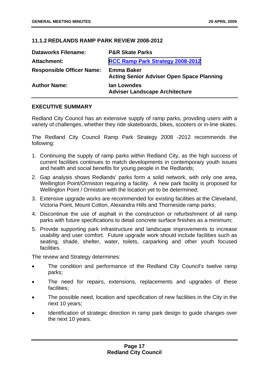#### <span id="page-22-0"></span>**11.1.2 REDLANDS RAMP PARK REVIEW 2008-2012**

| <b>Dataworks Filename:</b>       | <b>P&amp;R Skate Parks</b>                                            |
|----------------------------------|-----------------------------------------------------------------------|
| <b>Attachment:</b>               | RCC Ramp Park Strategy 2008-2012                                      |
| <b>Responsible Officer Name:</b> | <b>Emma Baker</b><br><b>Acting Senior Adviser Open Space Planning</b> |
| <b>Author Name:</b>              | <b>Ian Lowndes</b><br><b>Adviser Landscape Architecture</b>           |

#### **EXECUTIVE SUMMARY**

Redland City Council has an extensive supply of ramp parks, providing users with a variety of challenges, whether they ride skateboards, bikes, scooters or in-line skates.

The Redland City Council Ramp Park Strategy 2008 -2012 recommends the following:

- 1. Continuing the supply of ramp parks within Redland City, as the high success of current facilities continues to match developments in contemporary youth issues and health and social benefits for young people in the Redlands;
- 2. Gap analysis shows Redlands' parks form a solid network, with only one area, Wellington Point/Ormiston requiring a facility. A new park facility is proposed for Wellington Point / Ormiston with the location yet to be determined;
- 3. Extensive upgrade works are recommended for existing facilities at the Cleveland, Victoria Point, Mount Cotton, Alexandra Hills and Thorneside ramp parks;
- 4. Discontinue the use of asphalt in the construction or refurbishment of all ramp parks with future specifications to detail concrete surface finishes as a minimum;
- 5. Provide supporting park infrastructure and landscape improvements to increase usability and user comfort. Future upgrade work should include facilities such as seating, shade, shelter, water, toilets, carparking and other youth focused facilities.

The review and Strategy determines:

- The condition and performance of the Redland City Council's twelve ramp parks;
- The need for repairs, extensions, replacements and upgrades of these facilities;
- The possible need, location and specification of new facilities in the City in the next 10 years;
- Identification of strategic direction in ramp park design to guide changes over the next 10 years.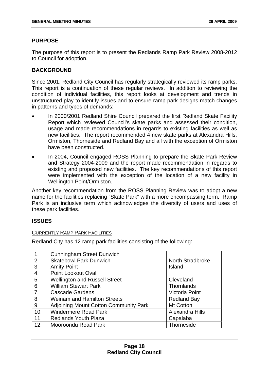#### **PURPOSE**

The purpose of this report is to present the Redlands Ramp Park Review 2008-2012 to Council for adoption.

#### **BACKGROUND**

Since 2001, Redland City Council has regularly strategically reviewed its ramp parks. This report is a continuation of these regular reviews. In addition to reviewing the condition of individual facilities, this report looks at development and trends in unstructured play to identify issues and to ensure ramp park designs match changes in patterns and types of demands:

- In 2000/2001 Redland Shire Council prepared the first Redland Skate Facility Report which reviewed Council's skate parks and assessed their condition, usage and made recommendations in regards to existing facilities as well as new facilities. The report recommended 4 new skate parks at Alexandra Hills, Ormiston, Thorneside and Redland Bay and all with the exception of Ormiston have been constructed.
- In 2004, Council engaged ROSS Planning to prepare the Skate Park Review and Strategy 2004-2009 and the report made recommendation in regards to existing and proposed new facilities. The key recommendations of this report were implemented with the exception of the location of a new facility in Wellington Point/Ormiston.

Another key recommendation from the ROSS Planning Review was to adopt a new name for the facilities replacing "Skate Park" with a more encompassing term. Ramp Park is an inclusive term which acknowledges the diversity of users and uses of these park facilities.

#### **ISSUES**

#### CURRENTLY RAMP PARK FACILITIES

Redland City has 12 ramp park facilities consisting of the following:

| $\overline{1}$ . | <b>Cunningham Street Dunwich</b>             |                    |
|------------------|----------------------------------------------|--------------------|
| 2.               | <b>Skatebowl Park Dunwich</b>                | North Stradbroke   |
| 3.               | <b>Amity Point</b>                           | Island             |
| 4.               | Point Lookout Oval                           |                    |
| 5.               | <b>Wellington and Russell Street</b>         | Cleveland          |
| 6.               | <b>William Stewart Park</b>                  | Thornlands         |
| 7.               | <b>Cascade Gardens</b>                       | Victoria Point     |
| 8.               | <b>Weinam and Hamilton Streets</b>           | <b>Redland Bay</b> |
| 9.               | <b>Adjoining Mount Cotton Community Park</b> | Mt Cotton          |
| 10.              | <b>Windermere Road Park</b>                  | Alexandra Hills    |
| 11.              | <b>Redlands Youth Plaza</b>                  | Capalaba           |
| 12.              | Mooroondu Road Park                          | Thorneside         |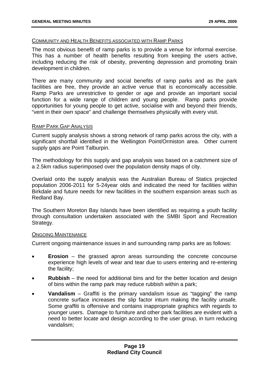#### COMMUNITY AND HEALTH BENEFITS ASSOCIATED WITH RAMP PARKS

The most obvious benefit of ramp parks is to provide a venue for informal exercise. This has a number of health benefits resulting from keeping the users active, including reducing the risk of obesity, preventing depression and promoting brain development in children.

There are many community and social benefits of ramp parks and as the park facilities are free, they provide an active venue that is economically accessible. Ramp Parks are unrestrictive to gender or age and provide an important social function for a wide range of children and young people. Ramp parks provide opportunities for young people to get active, socialise with and beyond their friends, "vent in their own space" and challenge themselves physically with every visit.

#### RAMP PARK GAP ANALYSIS

Current supply analysis shows a strong network of ramp parks across the city, with a significant shortfall identified in the Wellington Point/Ormiston area. Other current supply gaps are Point Talburpin.

The methodology for this supply and gap analysis was based on a catchment size of a 2.5km radius superimposed over the population density maps of city.

Overlaid onto the supply analysis was the Australian Bureau of Statics projected population 2006-2011 for 5-24year olds and indicated the need for facilities within Birkdale and future needs for new facilities in the southern expansion areas such as Redland Bay.

The Southern Moreton Bay Islands have been identified as requiring a youth facility through consultation undertaken associated with the SMBI Sport and Recreation Strategy.

#### ONGOING MAINTENANCE

Current ongoing maintenance issues in and surrounding ramp parks are as follows:

- **Erosion** the grassed apron areas surrounding the concrete concourse experience high levels of wear and tear due to users entering and re-entering the facility;
- **Rubbish** the need for additional bins and for the better location and design of bins within the ramp park may reduce rubbish within a park;
- **Vandalism** Graffiti is the primary vandalism issue as "tagging" the ramp concrete surface increases the slip factor inturn making the facility unsafe. Some graffiti is offensive and contains inappropriate graphics with regards to younger users. Damage to furniture and other park facilities are evident with a need to better locate and design according to the user group, in turn reducing vandalism;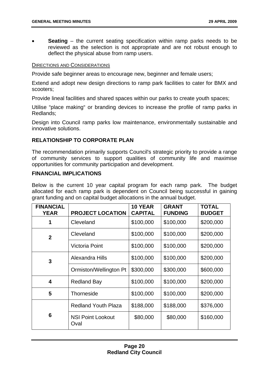**Seating** – the current seating specification within ramp parks needs to be reviewed as the selection is not appropriate and are not robust enough to deflect the physical abuse from ramp users.

#### DIRECTIONS AND CONSIDERATIONS

Provide safe beginner areas to encourage new, beginner and female users;

Extend and adopt new design directions to ramp park facilities to cater for BMX and scooters;

Provide lineal facilities and shared spaces within our parks to create youth spaces;

Utilise "place making" or branding devices to increase the profile of ramp parks in Redlands;

Design into Council ramp parks low maintenance, environmentally sustainable and innovative solutions.

#### **RELATIONSHIP TO CORPORATE PLAN**

The recommendation primarily supports Council's strategic priority to provide a range of community services to support qualities of community life and maximise opportunities for community participation and development.

#### **FINANCIAL IMPLICATIONS**

Below is the current 10 year capital program for each ramp park. The budget allocated for each ramp park is dependent on Council being successful in gaining grant funding and on capital budget allocations in the annual budget.

| <b>FINANCIAL</b><br><b>YEAR</b> | <b>PROJECT LOCATION</b>          | 10 YEAR<br><b>CAPITAL</b> | <b>GRANT</b><br><b>FUNDING</b> | <b>TOTAL</b><br><b>BUDGET</b> |
|---------------------------------|----------------------------------|---------------------------|--------------------------------|-------------------------------|
|                                 | Cleveland                        | \$100,000                 | \$100,000                      | \$200,000                     |
| $\overline{2}$                  | Cleveland                        | \$100,000                 | \$100,000                      | \$200,000                     |
|                                 | Victoria Point                   | \$100,000                 | \$100,000                      | \$200,000                     |
| 3                               | Alexandra Hills                  | \$100,000                 | \$100,000                      | \$200,000                     |
|                                 | Ormiston/Wellington Pt           | \$300,000                 | \$300,000                      | \$600,000                     |
| 4                               | <b>Redland Bay</b>               | \$100,000                 | \$100,000                      | \$200,000                     |
| 5                               | Thorneside                       | \$100,000                 | \$100,000                      | \$200,000                     |
|                                 | <b>Redland Youth Plaza</b>       | \$188,000                 | \$188,000                      | \$376,000                     |
| 6                               | <b>NSI Point Lookout</b><br>Oval | \$80,000                  | \$80,000                       | \$160,000                     |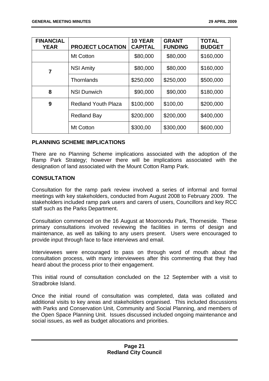| <b>FINANCIAL</b><br><b>YEAR</b> | <b>PROJECT LOCATION</b>    | <b>10 YEAR</b><br><b>CAPITAL</b> | <b>GRANT</b><br><b>FUNDING</b> | <b>TOTAL</b><br><b>BUDGET</b> |
|---------------------------------|----------------------------|----------------------------------|--------------------------------|-------------------------------|
|                                 | Mt Cotton                  | \$80,000                         | \$80,000                       | \$160,000                     |
| $\overline{7}$                  | <b>NSI Amity</b>           | \$80,000                         | \$80,000                       | \$160,000                     |
|                                 | Thornlands                 | \$250,000                        | \$250,000                      | \$500,000                     |
| 8                               | <b>NSI Dunwich</b>         | \$90,000                         | \$90,000                       | \$180,000                     |
| 9                               | <b>Redland Youth Plaza</b> | \$100,000                        | \$100,00                       | \$200,000                     |
|                                 | <b>Redland Bay</b>         | \$200,000                        | \$200,000                      | \$400,000                     |
|                                 | Mt Cotton                  | \$300,00                         | \$300,000                      | \$600,000                     |

#### **PLANNING SCHEME IMPLICATIONS**

There are no Planning Scheme implications associated with the adoption of the Ramp Park Strategy; however there will be implications associated with the designation of land associated with the Mount Cotton Ramp Park.

#### **CONSULTATION**

Consultation for the ramp park review involved a series of informal and formal meetings with key stakeholders, conducted from August 2008 to February 2009. The stakeholders included ramp park users and carers of users, Councillors and key RCC staff such as the Parks Department.

Consultation commenced on the 16 August at Mooroondu Park, Thorneside. These primary consultations involved reviewing the facilities in terms of design and maintenance, as well as talking to any users present. Users were encouraged to provide input through face to face interviews and email.

Interviewees were encouraged to pass on through word of mouth about the consultation process, with many interviewees after this commenting that they had heard about the process prior to their engagement.

This initial round of consultation concluded on the 12 September with a visit to Stradbroke Island.

Once the initial round of consultation was completed, data was collated and additional visits to key areas and stakeholders organised. This included discussions with Parks and Conservation Unit, Community and Social Planning, and members of the Open Space Planning Unit. Issues discussed included ongoing maintenance and social issues, as well as budget allocations and priorities.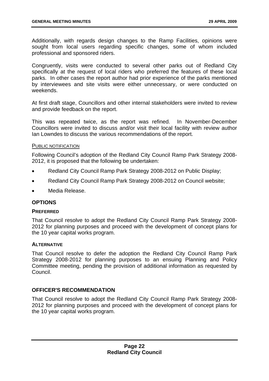Additionally, with regards design changes to the Ramp Facilities, opinions were sought from local users regarding specific changes, some of whom included professional and sponsored riders.

Congruently, visits were conducted to several other parks out of Redland City specifically at the request of local riders who preferred the features of these local parks. In other cases the report author had prior experience of the parks mentioned by interviewees and site visits were either unnecessary, or were conducted on weekends.

At first draft stage, Councillors and other internal stakeholders were invited to review and provide feedback on the report.

This was repeated twice, as the report was refined. In November-December Councillors were invited to discuss and/or visit their local facility with review author Ian Lowndes to discuss the various recommendations of the report.

#### PUBLIC NOTIFICATION

Following Council's adoption of the Redland City Council Ramp Park Strategy 2008- 2012, it is proposed that the following be undertaken:

- Redland City Council Ramp Park Strategy 2008-2012 on Public Display;
- Redland City Council Ramp Park Strategy 2008-2012 on Council website;
- Media Release.

#### **OPTIONS**

#### **PREFERRED**

That Council resolve to adopt the Redland City Council Ramp Park Strategy 2008- 2012 for planning purposes and proceed with the development of concept plans for the 10 year capital works program.

#### **ALTERNATIVE**

That Council resolve to defer the adoption the Redland City Council Ramp Park Strategy 2008-2012 for planning purposes to an ensuing Planning and Policy Committee meeting, pending the provision of additional information as requested by Council.

#### **OFFICER'S RECOMMENDATION**

That Council resolve to adopt the Redland City Council Ramp Park Strategy 2008- 2012 for planning purposes and proceed with the development of concept plans for the 10 year capital works program.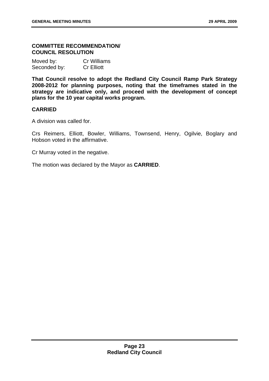#### **COMMITTEE RECOMMENDATION/ COUNCIL RESOLUTION**

| Moved by:    | <b>Cr Williams</b> |
|--------------|--------------------|
| Seconded by: | <b>Cr Elliott</b>  |

**That Council resolve to adopt the Redland City Council Ramp Park Strategy 2008-2012 for planning purposes, noting that the timeframes stated in the strategy are indicative only, and proceed with the development of concept plans for the 10 year capital works program.** 

#### **CARRIED**

A division was called for.

Crs Reimers, Elliott, Bowler, Williams, Townsend, Henry, Ogilvie, Boglary and Hobson voted in the affirmative.

Cr Murray voted in the negative.

The motion was declared by the Mayor as **CARRIED**.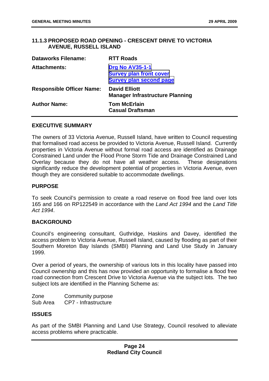#### <span id="page-29-0"></span>**11.1.3 PROPOSED ROAD OPENING - CRESCENT DRIVE TO VICTORIA AVENUE, RUSSELL ISLAND**

| <b>Dataworks Filename:</b>       | <b>RTT Roads</b>                                                                           |
|----------------------------------|--------------------------------------------------------------------------------------------|
| <b>Attachments:</b>              | <b>Drg No AV35-1-1</b><br><b>Survey plan front cover</b><br><b>Survey plan second page</b> |
| <b>Responsible Officer Name:</b> | <b>David Elliott</b><br><b>Manager Infrastructure Planning</b>                             |
| <b>Author Name:</b>              | <b>Tom McErlain</b><br><b>Casual Draftsman</b>                                             |

#### **EXECUTIVE SUMMARY**

The owners of 33 Victoria Avenue, Russell Island, have written to Council requesting that formalised road access be provided to Victoria Avenue, Russell Island. Currently properties in Victoria Avenue without formal road access are identified as Drainage Constrained Land under the Flood Prone Storm Tide and Drainage Constrained Land Overlay because they do not have all weather access. These designations significantly reduce the development potential of properties in Victoria Avenue, even though they are considered suitable to accommodate dwellings.

#### **PURPOSE**

To seek Council's permission to create a road reserve on flood free land over lots 165 and 166 on RP122549 in accordance with the *Land Act 1994* and the *Land Title Act 1994*.

#### **BACKGROUND**

Council's engineering consultant, Guthridge, Haskins and Davey, identified the access problem to Victoria Avenue, Russell Island, caused by flooding as part of their Southern Moreton Bay Islands (SMBI) Planning and Land Use Study in January 1999.

Over a period of years, the ownership of various lots in this locality have passed into Council ownership and this has now provided an opportunity to formalise a flood free road connection from Crescent Drive to Victoria Avenue via the subject lots. The two subject lots are identified in the Planning Scheme as:

Zone Community purpose Sub Area CP7 - Infrastructure

#### **ISSUES**

As part of the SMBI Planning and Land Use Strategy, Council resolved to alleviate access problems where practicable.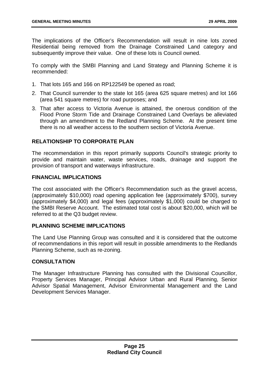The implications of the Officer's Recommendation will result in nine lots zoned Residential being removed from the Drainage Constrained Land category and subsequently improve their value. One of these lots is Council owned.

To comply with the SMBI Planning and Land Strategy and Planning Scheme it is recommended:

- 1. That lots 165 and 166 on RP122549 be opened as road;
- 2. That Council surrender to the state lot 165 (area 625 square metres) and lot 166 (area 541 square metres) for road purposes; and
- 3. That after access to Victoria Avenue is attained, the onerous condition of the Flood Prone Storm Tide and Drainage Constrained Land Overlays be alleviated through an amendment to the Redland Planning Scheme. At the present time there is no all weather access to the southern section of Victoria Avenue.

#### **RELATIONSHIP TO CORPORATE PLAN**

The recommendation in this report primarily supports Council's strategic priority to provide and maintain water, waste services, roads, drainage and support the provision of transport and waterways infrastructure.

#### **FINANCIAL IMPLICATIONS**

The cost associated with the Officer's Recommendation such as the gravel access, (approximately \$10,000) road opening application fee (approximately \$700), survey (approximately \$4,000) and legal fees (approximately \$1,000) could be charged to the SMBI Reserve Account. The estimated total cost is about \$20,000, which will be referred to at the Q3 budget review.

#### **PLANNING SCHEME IMPLICATIONS**

The Land Use Planning Group was consulted and it is considered that the outcome of recommendations in this report will result in possible amendments to the Redlands Planning Scheme, such as re-zoning.

#### **CONSULTATION**

The Manager Infrastructure Planning has consulted with the Divisional Councillor, Property Services Manager, Principal Advisor Urban and Rural Planning, Senior Advisor Spatial Management, Advisor Environmental Management and the Land Development Services Manager.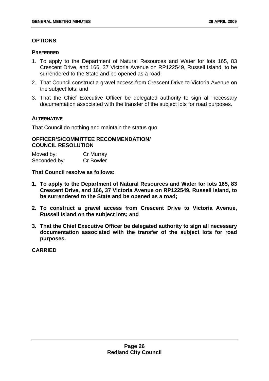#### **OPTIONS**

#### **PREFERRED**

- 1. To apply to the Department of Natural Resources and Water for lots 165, 83 Crescent Drive, and 166, 37 Victoria Avenue on RP122549, Russell Island, to be surrendered to the State and be opened as a road;
- 2. That Council construct a gravel access from Crescent Drive to Victoria Avenue on the subject lots; and
- 3. That the Chief Executive Officer be delegated authority to sign all necessary documentation associated with the transfer of the subject lots for road purposes.

#### **ALTERNATIVE**

That Council do nothing and maintain the status quo.

#### **OFFICER'S/COMMITTEE RECOMMENDATION/ COUNCIL RESOLUTION**

Moved by: Cr Murray Seconded by: Cr Bowler

#### **That Council resolve as follows:**

- **1. To apply to the Department of Natural Resources and Water for lots 165, 83 Crescent Drive, and 166, 37 Victoria Avenue on RP122549, Russell Island, to be surrendered to the State and be opened as a road;**
- **2. To construct a gravel access from Crescent Drive to Victoria Avenue, Russell Island on the subject lots; and**
- **3. That the Chief Executive Officer be delegated authority to sign all necessary documentation associated with the transfer of the subject lots for road purposes.**

**CARRIED**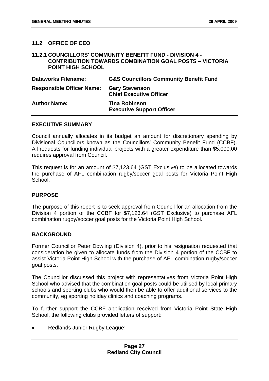#### <span id="page-32-0"></span>**11.2 OFFICE OF CEO**

#### **11.2.1 COUNCILLORS' COMMUNITY BENEFIT FUND - DIVISION 4 - CONTRIBUTION TOWARDS COMBINATION GOAL POSTS – VICTORIA POINT HIGH SCHOOL**

| <b>Dataworks Filename:</b>       | <b>G&amp;S Councillors Community Benefit Fund</b>        |
|----------------------------------|----------------------------------------------------------|
| <b>Responsible Officer Name:</b> | <b>Gary Stevenson</b><br><b>Chief Executive Officer</b>  |
| <b>Author Name:</b>              | <b>Tina Robinson</b><br><b>Executive Support Officer</b> |

#### **EXECUTIVE SUMMARY**

Council annually allocates in its budget an amount for discretionary spending by Divisional Councillors known as the Councillors' Community Benefit Fund (CCBF). All requests for funding individual projects with a greater expenditure than \$5,000.00 requires approval from Council.

This request is for an amount of \$7,123.64 (GST Exclusive) to be allocated towards the purchase of AFL combination rugby/soccer goal posts for Victoria Point High School.

#### **PURPOSE**

The purpose of this report is to seek approval from Council for an allocation from the Division 4 portion of the CCBF for \$7,123.64 (GST Exclusive) to purchase AFL combination rugby/soccer goal posts for the Victoria Point High School.

#### **BACKGROUND**

Former Councillor Peter Dowling (Division 4), prior to his resignation requested that consideration be given to allocate funds from the Division 4 portion of the CCBF to assist Victoria Point High School with the purchase of AFL combination rugby/soccer goal posts.

The Councillor discussed this project with representatives from Victoria Point High School who advised that the combination goal posts could be utilised by local primary schools and sporting clubs who would then be able to offer additional services to the community, eg sporting holiday clinics and coaching programs.

To further support the CCBF application received from Victoria Point State High School, the following clubs provided letters of support:

• Redlands Junior Rugby League;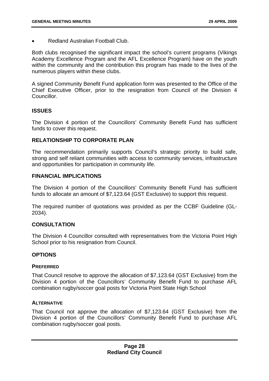• Redland Australian Football Club.

Both clubs recognised the significant impact the school's current programs (Vikings Academy Excellence Program and the AFL Excellence Program) have on the youth within the community and the contribution this program has made to the lives of the numerous players within these clubs.

A signed Community Benefit Fund application form was presented to the Office of the Chief Executive Officer, prior to the resignation from Council of the Division 4 Councillor.

#### **ISSUES**

The Division 4 portion of the Councillors' Community Benefit Fund has sufficient funds to cover this request.

#### **RELATIONSHIP TO CORPORATE PLAN**

The recommendation primarily supports Council's strategic priority to build safe, strong and self reliant communities with access to community services, infrastructure and opportunities for participation in community life.

#### **FINANCIAL IMPLICATIONS**

The Division 4 portion of the Councillors' Community Benefit Fund has sufficient funds to allocate an amount of \$7,123.64 (GST Exclusive) to support this request.

The required number of quotations was provided as per the CCBF Guideline (GL-2034).

#### **CONSULTATION**

The Division 4 Councillor consulted with representatives from the Victoria Point High School prior to his resignation from Council.

#### **OPTIONS**

#### **PREFERRED**

That Council resolve to approve the allocation of \$7,123.64 (GST Exclusive) from the Division 4 portion of the Councillors' Community Benefit Fund to purchase AFL combination rugby/soccer goal posts for Victoria Point State High School

#### **ALTERNATIVE**

That Council not approve the allocation of \$7,123.64 (GST Exclusive) from the Division 4 portion of the Councillors' Community Benefit Fund to purchase AFL combination rugby/soccer goal posts.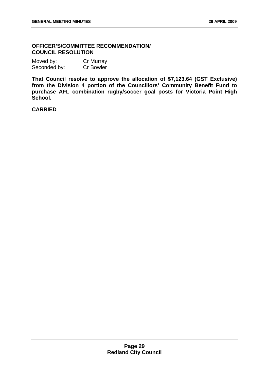#### **OFFICER'S/COMMITTEE RECOMMENDATION/ COUNCIL RESOLUTION**

| Moved by:    | Cr Murray        |
|--------------|------------------|
| Seconded by: | <b>Cr Bowler</b> |

**That Council resolve to approve the allocation of \$7,123.64 (GST Exclusive) from the Division 4 portion of the Councillors' Community Benefit Fund to purchase AFL combination rugby/soccer goal posts for Victoria Point High School.** 

**CARRIED**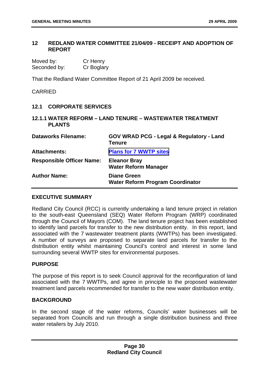#### <span id="page-35-0"></span>**12 REDLAND WATER COMMITTEE 21/04/09 - RECEIPT AND ADOPTION OF REPORT**

| Moved by:    | Cr Henry   |
|--------------|------------|
| Seconded by: | Cr Boglary |

That the Redland Water Committee Report of 21 April 2009 be received.

#### CARRIED

#### **12.1 CORPORATE SERVICES**

#### **12.1.1 WATER REFORM – LAND TENURE – WASTEWATER TREATMENT PLANTS**

| <b>Dataworks Filename:</b>       | <b>GOV WRAD PCG - Legal &amp; Regulatory - Land</b><br><b>Tenure</b> |
|----------------------------------|----------------------------------------------------------------------|
| <b>Attachments:</b>              | <b>Plans for 7 WWTP sites</b>                                        |
| <b>Responsible Officer Name:</b> | <b>Eleanor Bray</b><br><b>Water Reform Manager</b>                   |
| <b>Author Name:</b>              | <b>Diane Green</b><br><b>Water Reform Program Coordinator</b>        |

#### **EXECUTIVE SUMMARY**

Redland City Council (RCC) is currently undertaking a land tenure project in relation to the south-east Queensland (SEQ) Water Reform Program (WRP) coordinated through the Council of Mayors (COM). The land tenure project has been established to identify land parcels for transfer to the new distribution entity. In this report, land associated with the 7 wastewater treatment plants (WWTPs) has been investigated. A number of surveys are proposed to separate land parcels for transfer to the distribution entity whilst maintaining Council's control and interest in some land surrounding several WWTP sites for environmental purposes.

#### **PURPOSE**

The purpose of this report is to seek Council approval for the reconfiguration of land associated with the 7 WWTPs, and agree in principle to the proposed wastewater treatment land parcels recommended for transfer to the new water distribution entity.

#### **BACKGROUND**

In the second stage of the water reforms, Councils' water businesses will be separated from Councils and run through a single distribution business and three water retailers by July 2010.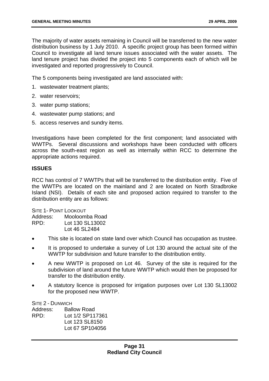The majority of water assets remaining in Council will be transferred to the new water distribution business by 1 July 2010. A specific project group has been formed within Council to investigate all land tenure issues associated with the water assets. The land tenure project has divided the project into 5 components each of which will be investigated and reported progressively to Council.

The 5 components being investigated are land associated with:

- 1. wastewater treatment plants;
- 2. water reservoirs;
- 3. water pump stations;
- 4. wastewater pump stations; and
- 5. access reserves and sundry items.

Investigations have been completed for the first component; land associated with WWTPs. Several discussions and workshops have been conducted with officers across the south-east region as well as internally within RCC to determine the appropriate actions required.

## **ISSUES**

RCC has control of 7 WWTPs that will be transferred to the distribution entity. Five of the WWTPs are located on the mainland and 2 are located on North Stradbroke Island (NSI). Details of each site and proposed action required to transfer to the distribution entity are as follows:

SITE 1- POINT LOOKOUT Address: Mooloomba Road RPD: Lot 130 SL13002 Lot 46 SL2484

- This site is located on state land over which Council has occupation as trustee.
- It is proposed to undertake a survey of Lot 130 around the actual site of the WWTP for subdivision and future transfer to the distribution entity.
- A new WWTP is proposed on Lot 46. Survey of the site is required for the subdivision of land around the future WWTP which would then be proposed for transfer to the distribution entity.
- A statutory licence is proposed for irrigation purposes over Lot 130 SL13002 for the proposed new WWTP.

SITE 2 - DUNWICH

Address: Ballow Road RPD: Lot 1/2 SP117361 Lot 123 SL8150 Lot 67 SP104056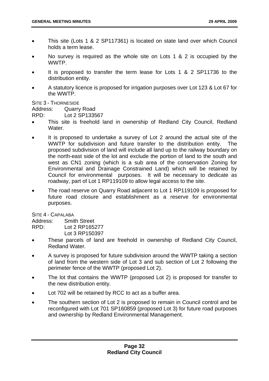- This site (Lots 1 & 2 SP117361) is located on state land over which Council holds a term lease.
- No survey is required as the whole site on Lots 1 & 2 is occupied by the **WWTP**
- It is proposed to transfer the term lease for Lots 1 & 2 SP11736 to the distribution entity.
- A statutory licence is proposed for irrigation purposes over Lot 123 & Lot 67 for the WWTP.

SITE 3 - THORNESIDE

Address: Quarry Road

RPD: Lot 2 SP133567

- This site is freehold land in ownership of Redland City Council, Redland **Water**
- It is proposed to undertake a survey of Lot 2 around the actual site of the WWTP for subdivision and future transfer to the distribution entity. The proposed subdivision of land will include all land up to the railway boundary on the north-east side of the lot and exclude the portion of land to the south and west as CN1 zoning (which is a sub area of the conservation Zoning for Environmental and Drainage Constrained Land) which will be retained by Council for environmental purposes. It will be necessary to dedicate as roadway, part of Lot 1 RP119109 to allow legal access to the site.
- The road reserve on Quarry Road adjacent to Lot 1 RP119109 is proposed for future road closure and establishment as a reserve for environmental purposes.

SITE 4 - CAPALABA

Address: Smith Street

RPD: Lot 2 RP165277

Lot 3 RP150397

- These parcels of land are freehold in ownership of Redland City Council, Redland Water.
- A survey is proposed for future subdivision around the WWTP taking a section of land from the western side of Lot 3 and sub section of Lot 2 following the perimeter fence of the WWTP (proposed Lot 2).
- The lot that contains the WWTP (proposed Lot 2) is proposed for transfer to the new distribution entity.
- Lot 702 will be retained by RCC to act as a buffer area.
- The southern section of Lot 2 is proposed to remain in Council control and be reconfigured with Lot 701 SP160859 (proposed Lot 3) for future road purposes and ownership by Redland Environmental Management.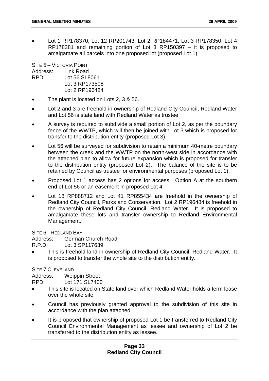• Lot 1 RP178370, Lot 12 RP201743, Lot 2 RP184471, Lot 3 RP178350, Lot 4 RP178381 and remaining portion of Lot 3 RP150397 – it is proposed to amalgamate all parcels into one proposed lot (proposed Lot 1).

SITE 5 – VICTORIA POINT Address: Link Road RPD: Lot 56 SL8061 Lot 3 RP173508 Lot 2 RP196484

- The plant is located on Lots 2, 3 & 56.
- Lot 2 and 3 are freehold in ownership of Redland City Council, Redland Water and Lot 56 is state land with Redland Water as trustee.
- A survey is required to subdivide a small portion of Lot 2, as per the boundary fence of the WWTP, which will then be joined with Lot 3 which is proposed for transfer to the distribution entity (proposed Lot 3).
- Lot 56 will be surveyed for subdivision to retain a minimum 40-metre boundary between the creek and the WWTP on the north-west side in accordance with the attached plan to allow for future expansion which is proposed for transfer to the distribution entity (proposed Lot 2). The balance of the site is to be retained by Council as trustee for environmental purposes (proposed Lot 1).
- Proposed Lot 1 access has 2 options for access. Option A at the southern end of Lot 56 or an easement in proposed Lot 4.
- Lot 18 RP888712 and Lot 41 RP855434 are freehold in the ownership of Redland City Council, Parks and Conservation. Lot 2 RP196484 is freehold in the ownership of Redland City Council, Redland Water. It is proposed to amalgamate these lots and transfer ownership to Redland Environmental Management.

SITE 6 - REDLAND BAY

Address: German Church Road

R.P.D: Lot 3 SP117639

• This is freehold land in ownership of Redland City Council, Redland Water. It is proposed to transfer the whole site to the distribution entity.

SITE 7 CLEVELAND

Address: Weippin Street

RPD: Lot 171 SL7400

- This site is located on State land over which Redland Water holds a term lease over the whole site.
- Council has previously granted approval to the subdivision of this site in accordance with the plan attached.
- It is proposed that ownership of proposed Lot 1 be transferred to Redland City Council Environmental Management as lessee and ownership of Lot 2 be transferred to the distribution entity as lessee.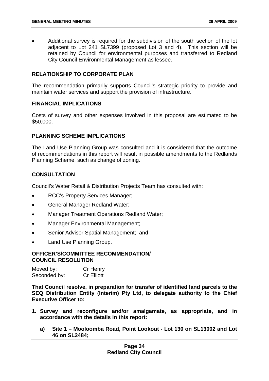• Additional survey is required for the subdivision of the south section of the lot adjacent to Lot 241 SL7399 (proposed Lot 3 and 4). This section will be retained by Council for environmental purposes and transferred to Redland City Council Environmental Management as lessee.

# **RELATIONSHIP TO CORPORATE PLAN**

The recommendation primarily supports Council's strategic priority to provide and maintain water services and support the provision of infrastructure.

## **FINANCIAL IMPLICATIONS**

Costs of survey and other expenses involved in this proposal are estimated to be \$50,000.

# **PLANNING SCHEME IMPLICATIONS**

The Land Use Planning Group was consulted and it is considered that the outcome of recommendations in this report will result in possible amendments to the Redlands Planning Scheme, such as change of zoning.

# **CONSULTATION**

Council's Water Retail & Distribution Projects Team has consulted with:

- RCC's Property Services Manager;
- General Manager Redland Water;
- Manager Treatment Operations Redland Water;
- Manager Environmental Management:
- Senior Advisor Spatial Management; and
- Land Use Planning Group.

### **OFFICER'S/COMMITTEE RECOMMENDATION/ COUNCIL RESOLUTION**

| Moved by:    | Cr Henry          |
|--------------|-------------------|
| Seconded by: | <b>Cr Elliott</b> |

**That Council resolve, in preparation for transfer of identified land parcels to the SEQ Distribution Entity (Interim) Pty Ltd, to delegate authority to the Chief Executive Officer to:** 

- **1. Survey and reconfigure and/or amalgamate, as appropriate, and in accordance with the details in this report:** 
	- **a) Site 1 Mooloomba Road, Point Lookout Lot 130 on SL13002 and Lot 46 on SL2484;**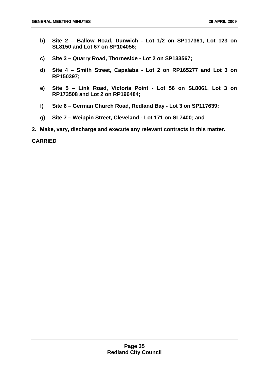- **b) Site 2 Ballow Road, Dunwich Lot 1/2 on SP117361, Lot 123 on SL8150 and Lot 67 on SP104056;**
- **c) Site 3 Quarry Road, Thorneside Lot 2 on SP133567;**
- **d) Site 4 Smith Street, Capalaba Lot 2 on RP165277 and Lot 3 on RP150397;**
- **e) Site 5 Link Road, Victoria Point Lot 56 on SL8061, Lot 3 on RP173508 and Lot 2 on RP196484;**
- **f) Site 6 German Church Road, Redland Bay Lot 3 on SP117639;**
- **g) Site 7 Weippin Street, Cleveland Lot 171 on SL7400; and**
- **2. Make, vary, discharge and execute any relevant contracts in this matter.**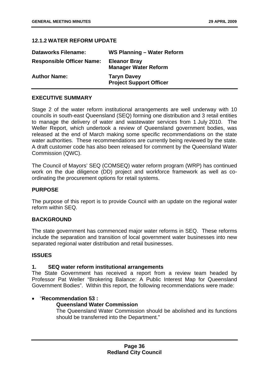### **12.1.2 WATER REFORM UPDATE**

| <b>Dataworks Filename:</b>       | WS Planning - Water Reform                           |
|----------------------------------|------------------------------------------------------|
| <b>Responsible Officer Name:</b> | <b>Eleanor Bray</b><br><b>Manager Water Reform</b>   |
| <b>Author Name:</b>              | <b>Taryn Davey</b><br><b>Project Support Officer</b> |

### **EXECUTIVE SUMMARY**

Stage 2 of the water reform institutional arrangements are well underway with 10 councils in south-east Queensland (SEQ) forming one distribution and 3 retail entities to manage the delivery of water and wastewater services from 1 July 2010. The Weller Report, which undertook a review of Queensland government bodies, was released at the end of March making some specific recommendations on the state water authorities. These recommendations are currently being reviewed by the state. A draft customer code has also been released for comment by the Queensland Water Commission (QWC).

The Council of Mayors' SEQ (COMSEQ) water reform program (WRP) has continued work on the due diligence (DD) project and workforce framework as well as coordinating the procurement options for retail systems.

#### **PURPOSE**

The purpose of this report is to provide Council with an update on the regional water reform within SEQ.

#### **BACKGROUND**

The state government has commenced major water reforms in SEQ. These reforms include the separation and transition of local government water businesses into new separated regional water distribution and retail businesses.

## **ISSUES**

#### **1. SEQ water reform institutional arrangements**

The State Government has received a report from a review team headed by Professor Pat Weller "Brokering Balance: A Public Interest Map for Queensland Government Bodies". Within this report, the following recommendations were made:

#### • "**Recommendation 53 :**

# **Queensland Water Commission**

The Queensland Water Commission should be abolished and its functions should be transferred into the Department."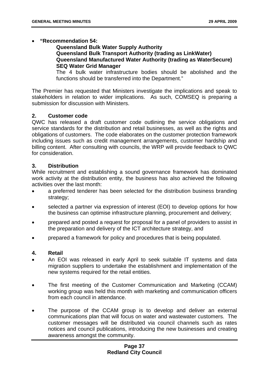# • **"Recommendation 54:**

**Queensland Bulk Water Supply Authority Queensland Bulk Transport Authority (trading as LinkWater) Queensland Manufactured Water Authority (trading as WaterSecure) SEQ Water Grid Manager** 

The 4 bulk water infrastructure bodies should be abolished and the functions should be transferred into the Department."

The Premier has requested that Ministers investigate the implications and speak to stakeholders in relation to wider implications. As such, COMSEQ is preparing a submission for discussion with Ministers.

## **2. Customer code**

QWC has released a draft customer code outlining the service obligations and service standards for the distribution and retail businesses, as well as the rights and obligations of customers. The code elaborates on the customer protection framework including issues such as credit management arrangements, customer hardship and billing content. After consulting with councils, the WRP will provide feedback to QWC for consideration.

# **3. Distribution**

While recruitment and establishing a sound governance framework has dominated work activity at the distribution entity, the business has also achieved the following activities over the last month:

- a preferred tenderer has been selected for the distribution business branding strategy:
- selected a partner via expression of interest (EOI) to develop options for how the business can optimise infrastructure planning, procurement and delivery;
- prepared and posted a request for proposal for a panel of providers to assist in the preparation and delivery of the ICT architecture strategy, and
- prepared a framework for policy and procedures that is being populated.

#### **4. Retail**

- An EOI was released in early April to seek suitable IT systems and data migration suppliers to undertake the establishment and implementation of the new systems required for the retail entities.
- The first meeting of the Customer Communication and Marketing (CCAM) working group was held this month with marketing and communication officers from each council in attendance.
- The purpose of the CCAM group is to develop and deliver an external communications plan that will focus on water and wastewater customers. The customer messages will be distributed via council channels such as rates notices and council publications, introducing the new businesses and creating awareness amongst the community.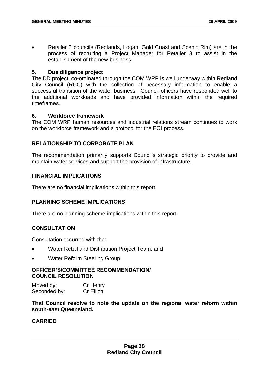• Retailer 3 councils (Redlands, Logan, Gold Coast and Scenic Rim) are in the process of recruiting a Project Manager for Retailer 3 to assist in the establishment of the new business.

## **5. Due diligence project**

The DD project, co-ordinated through the COM WRP is well underway within Redland City Council (RCC) with the collection of necessary information to enable a successful transition of the water business. Council officers have responded well to the additional workloads and have provided information within the required timeframes.

## **6. Workforce framework**

The COM WRP human resources and industrial relations stream continues to work on the workforce framework and a protocol for the EOI process.

# **RELATIONSHIP TO CORPORATE PLAN**

The recommendation primarily supports Council's strategic priority to provide and maintain water services and support the provision of infrastructure.

# **FINANCIAL IMPLICATIONS**

There are no financial implications within this report.

# **PLANNING SCHEME IMPLICATIONS**

There are no planning scheme implications within this report.

# **CONSULTATION**

Consultation occurred with the:

- Water Retail and Distribution Project Team; and
- Water Reform Steering Group.

# **OFFICER'S/COMMITTEE RECOMMENDATION/ COUNCIL RESOLUTION**

Moved by: Cr Henry Seconded by: Cr Elliott

**That Council resolve to note the update on the regional water reform within south-east Queensland.**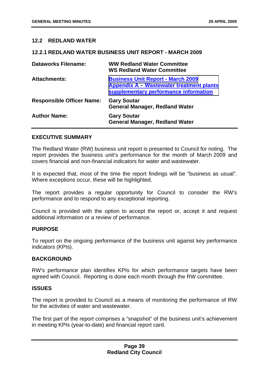### **12.2 REDLAND WATER**

#### **12.2.1 REDLAND WATER BUSINESS UNIT REPORT - MARCH 2009**

| <b>Dataworks Filename:</b>       | <b>WW Redland Water Committee</b><br><b>WS Redland Water Committee</b>                                                        |
|----------------------------------|-------------------------------------------------------------------------------------------------------------------------------|
| <b>Attachments:</b>              | <b>Business Unit Report - March 2009</b><br>Appendix A - Wastewater treatment plants<br>supplementary performance information |
| <b>Responsible Officer Name:</b> | <b>Gary Soutar</b><br><b>General Manager, Redland Water</b>                                                                   |
| <b>Author Name:</b>              | <b>Gary Soutar</b><br><b>General Manager, Redland Water</b>                                                                   |

# **EXECUTIVE SUMMARY**

The Redland Water (RW) business unit report is presented to Council for noting. The report provides the business unit's performance for the month of March 2009 and covers financial and non-financial indicators for water and wastewater.

It is expected that, most of the time the report findings will be "business as usual". Where exceptions occur, these will be highlighted.

The report provides a regular opportunity for Council to consider the RW's performance and to respond to any exceptional reporting.

Council is provided with the option to accept the report or, accept it and request additional information or a review of performance.

#### **PURPOSE**

To report on the ongoing performance of the business unit against key performance indicators (KPIs).

### **BACKGROUND**

RW's performance plan identifies KPIs for which performance targets have been agreed with Council. Reporting is done each month through the RW committee.

#### **ISSUES**

The report is provided to Council as a means of monitoring the performance of RW for the activities of water and wastewater.

The first part of the report comprises a "snapshot" of the business unit's achievement in meeting KPIs (year-to-date) and financial report card.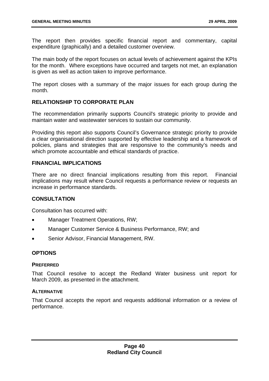The report then provides specific financial report and commentary, capital expenditure (graphically) and a detailed customer overview.

The main body of the report focuses on actual levels of achievement against the KPIs for the month. Where exceptions have occurred and targets not met, an explanation is given as well as action taken to improve performance.

The report closes with a summary of the major issues for each group during the month.

# **RELATIONSHIP TO CORPORATE PLAN**

The recommendation primarily supports Council's strategic priority to provide and maintain water and wastewater services to sustain our community.

Providing this report also supports Council's Governance strategic priority to provide a clear organisational direction supported by effective leadership and a framework of policies, plans and strategies that are responsive to the community's needs and which promote accountable and ethical standards of practice.

## **FINANCIAL IMPLICATIONS**

There are no direct financial implications resulting from this report. Financial implications may result where Council requests a performance review or requests an increase in performance standards.

# **CONSULTATION**

Consultation has occurred with:

- Manager Treatment Operations, RW;
- Manager Customer Service & Business Performance, RW; and
- Senior Advisor, Financial Management, RW.

# **OPTIONS**

#### **PREFERRED**

That Council resolve to accept the Redland Water business unit report for March 2009, as presented in the attachment.

# **ALTERNATIVE**

That Council accepts the report and requests additional information or a review of performance.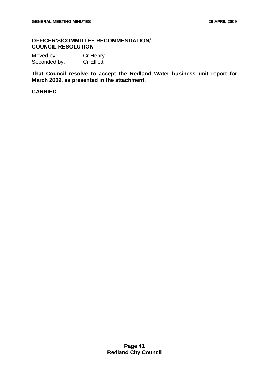### **OFFICER'S/COMMITTEE RECOMMENDATION/ COUNCIL RESOLUTION**

Moved by: Cr Henry Seconded by: Cr Elliott

**That Council resolve to accept the Redland Water business unit report for March 2009, as presented in the attachment.**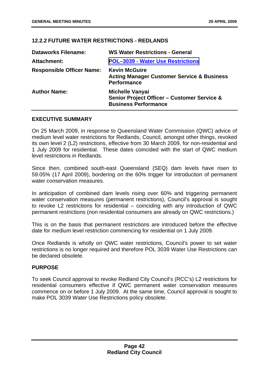# **12.2.2 FUTURE WATER RESTRICTIONS - REDLANDS**

| <b>Dataworks Filename:</b>       | <b>WS Water Restrictions - General</b>                                                               |
|----------------------------------|------------------------------------------------------------------------------------------------------|
| Attachment:                      | <b>POL-3039 - Water Use Restrictions</b>                                                             |
| <b>Responsible Officer Name:</b> | <b>Kevin McGuire</b><br><b>Acting Manager Customer Service &amp; Business</b><br><b>Performance</b>  |
| <b>Author Name:</b>              | <b>Michelle Vanyai</b><br>Senior Project Officer - Customer Service &<br><b>Business Performance</b> |

# **EXECUTIVE SUMMARY**

On 25 March 2009, in response to Queensland Water Commission (QWC) advice of medium level water restrictions for Redlands, Council, amongst other things, revoked its own level 2 (L2) restrictions, effective from 30 March 2009, for non-residential and 1 July 2009 for residential. These dates coincided with the start of QWC medium level restrictions in Redlands.

Since then, combined south-east Queensland (SEQ) dam levels have risen to 59.05% (17 April 2009), bordering on the 60% trigger for introduction of permanent water conservation measures.

In anticipation of combined dam levels rising over 60% and triggering permanent water conservation measures (permanent restrictions), Council's approval is sought to revoke L2 restrictions for residential – coinciding with any introduction of QWC permanent restrictions (non residential consumers are already on QWC restrictions.)

This is on the basis that permanent restrictions are introduced before the effective date for medium level restriction commencing for residential on 1 July 2009.

Once Redlands is wholly on QWC water restrictions, Council's power to set water restrictions is no longer required and therefore POL 3039 Water Use Restrictions can be declared obsolete.

# **PURPOSE**

To seek Council approval to revoke Redland City Council's (RCC's) L2 restrictions for residential consumers effective if QWC permanent water conservation measures commence on or before 1 July 2009. At the same time, Council approval is sought to make POL 3039 Water Use Restrictions policy obsolete.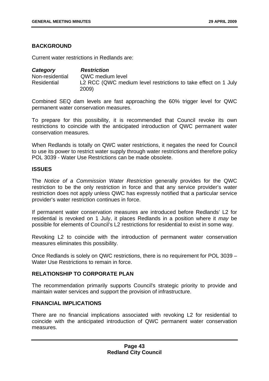# **BACKGROUND**

Current water restrictions in Redlands are:

*Category Restriction*  Non-residential QWC medium level Residential L2 RCC (QWC medium level restrictions to take effect on 1 July 2009)

Combined SEQ dam levels are fast approaching the 60% trigger level for QWC permanent water conservation measures.

To prepare for this possibility, it is recommended that Council revoke its own restrictions to coincide with the anticipated introduction of QWC permanent water conservation measures.

When Redlands is totally on QWC water restrictions, it negates the need for Council to use its power to restrict water supply through water restrictions and therefore policy POL 3039 - Water Use Restrictions can be made obsolete.

#### **ISSUES**

The *Notice of a Commission Water Restriction* generally provides for the QWC restriction to be the only restriction in force and that any service provider's water restriction does not apply unless QWC has expressly notified that a particular service provider's water restriction continues in force.

If permanent water conservation measures are introduced before Redlands' L2 for residential is revoked on 1 July, it places Redlands in a position where it *may* be possible for elements of Council's L2 restrictions for residential to exist in some way.

Revoking L2 to coincide with the introduction of permanent water conservation measures eliminates this possibility.

Once Redlands is solely on QWC restrictions, there is no requirement for POL 3039 – Water Use Restrictions to remain in force.

#### **RELATIONSHIP TO CORPORATE PLAN**

The recommendation primarily supports Council's strategic priority to provide and maintain water services and support the provision of infrastructure.

# **FINANCIAL IMPLICATIONS**

There are no financial implications associated with revoking L2 for residential to coincide with the anticipated introduction of QWC permanent water conservation measures.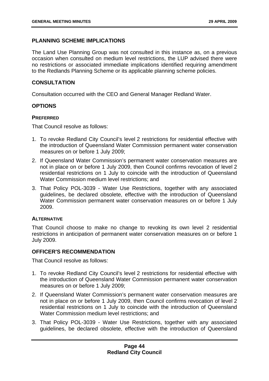# **PLANNING SCHEME IMPLICATIONS**

The Land Use Planning Group was not consulted in this instance as, on a previous occasion when consulted on medium level restrictions, the LUP advised there were no restrictions or associated immediate implications identified requiring amendment to the Redlands Planning Scheme or its applicable planning scheme policies.

# **CONSULTATION**

Consultation occurred with the CEO and General Manager Redland Water.

# **OPTIONS**

## **PREFERRED**

That Council resolve as follows:

- 1. To revoke Redland City Council's level 2 restrictions for residential effective with the introduction of Queensland Water Commission permanent water conservation measures on or before 1 July 2009;
- 2. If Queensland Water Commission's permanent water conservation measures are not in place on or before 1 July 2009, then Council confirms revocation of level 2 residential restrictions on 1 July to coincide with the introduction of Queensland Water Commission medium level restrictions; and
- 3. That Policy POL-3039 Water Use Restrictions, together with any associated guidelines, be declared obsolete, effective with the introduction of Queensland Water Commission permanent water conservation measures on or before 1 July 2009.

# **ALTERNATIVE**

That Council choose to make no change to revoking its own level 2 residential restrictions in anticipation of permanent water conservation measures on or before 1 July 2009.

# **OFFICER'S RECOMMENDATION**

That Council resolve as follows:

- 1. To revoke Redland City Council's level 2 restrictions for residential effective with the introduction of Queensland Water Commission permanent water conservation measures on or before 1 July 2009;
- 2. If Queensland Water Commission's permanent water conservation measures are not in place on or before 1 July 2009, then Council confirms revocation of level 2 residential restrictions on 1 July to coincide with the introduction of Queensland Water Commission medium level restrictions; and
- 3. That Policy POL-3039 Water Use Restrictions, together with any associated guidelines, be declared obsolete, effective with the introduction of Queensland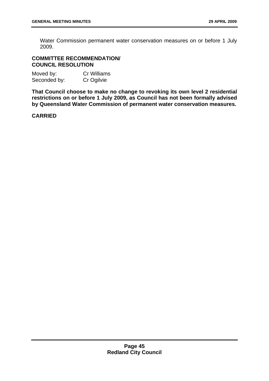Water Commission permanent water conservation measures on or before 1 July 2009.

# **COMMITTEE RECOMMENDATION/ COUNCIL RESOLUTION**

| Moved by:    | <b>Cr Williams</b> |
|--------------|--------------------|
| Seconded by: | Cr Ogilvie         |

**That Council choose to make no change to revoking its own level 2 residential restrictions on or before 1 July 2009, as Council has not been formally advised by Queensland Water Commission of permanent water conservation measures.**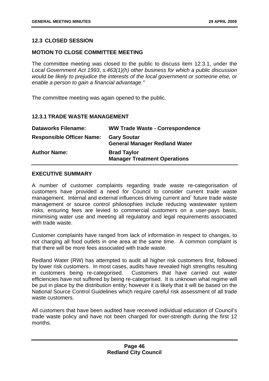# **12.3 CLOSED SESSION**

# **MOTION TO CLOSE COMMITTEE MEETING**

The committee meeting was closed to the public to discuss item 12.3.1, under the *Local Government Act 1993*, *s.463(1)(h) other business for which a public discussion would be likely to prejudice the interests of the local government or someone else, or enable a person to gain a financial advantage."*

The committee meeting was again opened to the public.

# **12.3.1 TRADE WASTE MANAGEMENT**

| <b>Dataworks Filename:</b>       | <b>WW Trade Waste - Correspondence</b>                     |
|----------------------------------|------------------------------------------------------------|
| <b>Responsible Officer Name:</b> | <b>Gary Soutar</b><br><b>General Manager Redland Water</b> |
| <b>Author Name:</b>              | <b>Brad Taylor</b><br><b>Manager Treatment Operations</b>  |

#### **EXECUTIVE SUMMARY**

A number of customer complaints regarding trade waste re-categorisation of customers have provided a need for Council to consider current trade waste management. Internal and external influences driving current and` future trade waste management or source control philosophies include reducing wastewater system risks, ensuring fees are levied to commercial customers on a user-pays basis, minimising water use and meeting all regulatory and legal requirements associated with trade waste.

Customer complaints have ranged from lack of information in respect to changes, to not charging all food outlets in one area at the same time. A common complaint is that there will be more fees associated with trade waste.

Redland Water (RW) has attempted to audit all higher risk customers first, followed by lower risk customers. In most cases, audits have revealed high strengths resulting in customers being re-categorised. Customers that have carried out water efficiencies have not suffered by being re-categorised. It is unknown what regime will be put in place by the distribution entity; however it is likely that it will be based on the National Source Control Guidelines which require careful risk assessment of all trade waste customers.

All customers that have been audited have received individual education of Council's trade waste policy and have not been charged for over-strength during the first 12 months.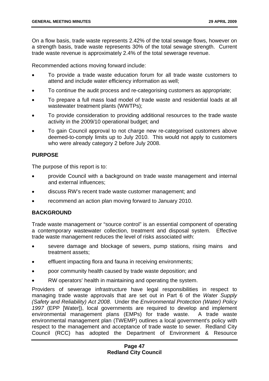On a flow basis, trade waste represents 2.42% of the total sewage flows, however on a strength basis, trade waste represents 30% of the total sewage strength. Current trade waste revenue is approximately 2.4% of the total sewerage revenue.

Recommended actions moving forward include:

- To provide a trade waste education forum for all trade waste customers to attend and include water efficiency information as well;
- To continue the audit process and re-categorising customers as appropriate;
- To prepare a full mass load model of trade waste and residential loads at all wastewater treatment plants (WWTPs);
- To provide consideration to providing additional resources to the trade waste activity in the 2009/10 operational budget; and
- To gain Council approval to not charge new re-categorised customers above deemed-to-comply limits up to July 2010. This would not apply to customers who were already category 2 before July 2008.

# **PURPOSE**

The purpose of this report is to:

- provide Council with a background on trade waste management and internal and external influences;
- discuss RW's recent trade waste customer management; and
- recommend an action plan moving forward to January 2010.

# **BACKGROUND**

Trade waste management or "source control" is an essential component of operating a contemporary wastewater collection, treatment and disposal system. Effective trade waste management reduces the level of risks associated with:

- severe damage and blockage of sewers, pump stations, rising mains and treatment assets;
- effluent impacting flora and fauna in receiving environments;
- poor community health caused by trade waste deposition; and
- RW operators' health in maintaining and operating the system.

Providers of sewerage infrastructure have legal responsibilities in respect to managing trade waste approvals that are set out in Part 6 of the *Water Supply (Safety and Reliability) Act 2008*. Under the *Environmental Protection (Water) Policy 1997* (EPP [Water]), local governments are required to develop and implement environmental management plans (EMPs) for trade waste. A trade waste environmental management plan (TWEMP) outlines a local government's policy with respect to the management and acceptance of trade waste to sewer. Redland City Council (RCC) has adopted the Department of Environment & Resource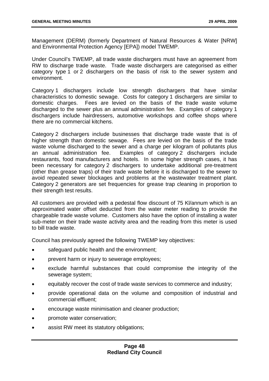Management (DERM) (formerly Department of Natural Resources & Water [NRW] and Environmental Protection Agency [EPA]) model TWEMP.

Under Council's TWEMP, all trade waste dischargers must have an agreement from RW to discharge trade waste. Trade waste dischargers are categorised as either category type 1 or 2 dischargers on the basis of risk to the sewer system and environment.

Category 1 dischargers include low strength dischargers that have similar characteristics to domestic sewage. Costs for category 1 dischargers are similar to domestic charges. Fees are levied on the basis of the trade waste volume discharged to the sewer plus an annual administration fee. Examples of category 1 dischargers include hairdressers, automotive workshops and coffee shops where there are no commercial kitchens.

Category 2 dischargers include businesses that discharge trade waste that is of higher strength than domestic sewage. Fees are levied on the basis of the trade waste volume discharged to the sewer and a charge per kilogram of pollutants plus an annual administration fee. Examples of category 2 dischargers include restaurants, food manufacturers and hotels. In some higher strength cases, it has been necessary for category 2 dischargers to undertake additional pre-treatment (other than grease traps) of their trade waste before it is discharged to the sewer to avoid repeated sewer blockages and problems at the wastewater treatment plant. Category 2 generators are set frequencies for grease trap cleaning in proportion to their strength test results.

All customers are provided with a pedestal flow discount of 75 Kl/annum which is an approximated water offset deducted from the water meter reading to provide the chargeable trade waste volume. Customers also have the option of installing a water sub-meter on their trade waste activity area and the reading from this meter is used to bill trade waste.

Council has previously agreed the following TWEMP key objectives:

- safeguard public health and the environment;
- prevent harm or injury to sewerage employees;
- exclude harmful substances that could compromise the integrity of the sewerage system;
- equitably recover the cost of trade waste services to commerce and industry;
- provide operational data on the volume and composition of industrial and commercial effluent;
- encourage waste minimisation and cleaner production;
- promote water conservation;
- assist RW meet its statutory obligations;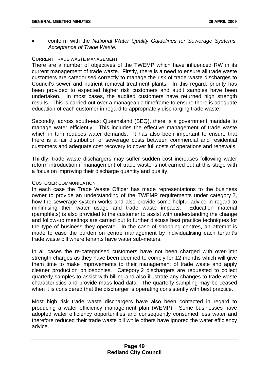• conform with the *National Water Quality Guidelines for Sewerage Systems, Acceptance of Trade Waste.*

#### CURRENT TRADE WASTE MANAGEMENT

There are a number of objectives of the TWEMP which have influenced RW in its current management of trade waste. Firstly, there is a need to ensure all trade waste customers are categorised correctly to manage the risk of trade waste discharges to Council's sewer and nutrient removal treatment plants. In this regard, priority has been provided to expected higher risk customers and audit samples have been undertaken. In most cases, the audited customers have returned high strength results. This is carried out over a manageable timeframe to ensure there is adequate education of each customer in regard to appropriately discharging trade waste.

Secondly, across south-east Queensland (SEQ), there is a government mandate to manage water efficiently. This includes the effective management of trade waste which in turn reduces water demands. It has also been important to ensure that there is a fair distribution of sewerage costs between commercial and residential customers and adequate cost recovery to cover full costs of operations and renewals.

Thirdly, trade waste dischargers may suffer sudden cost increases following water reform introduction if management of trade waste is not carried out at this stage with a focus on improving their discharge quantity and quality.

#### CUSTOMER COMMUNICATION

In each case the Trade Waste Officer has made representations to the business owner to provide an understanding of the TWEMP requirements under category 2, how the sewerage system works and also provide some helpful advice in regard to minimising their water usage and trade waste impacts. Education material (pamphlets) is also provided to the customer to assist with understanding the change and follow-up meetings are carried out to further discuss best practice techniques for the type of business they operate. In the case of shopping centres, an attempt is made to ease the burden on centre management by individualising each tenant's trade waste bill where tenants have water sub-meters.

In all cases the re-categorised customers have not been charged with over-limit strength charges as they have been deemed to comply for 12 months which will give them time to make improvements to their management of trade waste and apply cleaner production philosophies. Category 2 dischargers are requested to collect quarterly samples to assist with billing and also illustrate any changes to trade waste characteristics and provide mass load data. The quarterly sampling may be ceased when it is considered that the discharger is operating consistently with best practice.

Most high risk trade waste dischargers have also been contacted in regard to producing a water efficiency management plan (WEMP). Some businesses have adopted water efficiency opportunities and consequently consumed less water and therefore reduced their trade waste bill while others have ignored the water efficiency advice.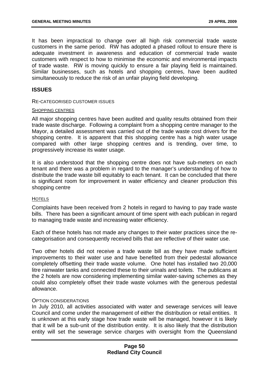It has been impractical to change over all high risk commercial trade waste customers in the same period. RW has adopted a phased rollout to ensure there is adequate investment in awareness and education of commercial trade waste customers with respect to how to minimise the economic and environmental impacts of trade waste. RW is moving quickly to ensure a fair playing field is maintained. Similar businesses, such as hotels and shopping centres, have been audited simultaneously to reduce the risk of an unfair playing field developing.

#### **ISSUES**

RE-CATEGORISED CUSTOMER ISSUES

#### SHOPPING CENTRES

All major shopping centres have been audited and quality results obtained from their trade waste discharge. Following a complaint from a shopping centre manager to the Mayor, a detailed assessment was carried out of the trade waste cost drivers for the shopping centre. It is apparent that this shopping centre has a high water usage compared with other large shopping centres and is trending, over time, to progressively increase its water usage.

It is also understood that the shopping centre does not have sub-meters on each tenant and there was a problem in regard to the manager's understanding of how to distribute the trade waste bill equitably to each tenant. It can be concluded that there is significant room for improvement in water efficiency and cleaner production this shopping centre

#### **HOTELS**

Complaints have been received from 2 hotels in regard to having to pay trade waste bills. There has been a significant amount of time spent with each publican in regard to managing trade waste and increasing water efficiency.

Each of these hotels has not made any changes to their water practices since the recategorisation and consequently received bills that are reflective of their water use.

Two other hotels did not receive a trade waste bill as they have made sufficient improvements to their water use and have benefited from their pedestal allowance completely offsetting their trade waste volume. One hotel has installed two 20,000 litre rainwater tanks and connected these to their urinals and toilets. The publicans at the 2 hotels are now considering implementing similar water-saving schemes as they could also completely offset their trade waste volumes with the generous pedestal allowance.

#### OPTION CONSIDERATIONS

In July 2010, all activities associated with water and sewerage services will leave Council and come under the management of either the distribution or retail entities. It is unknown at this early stage how trade waste will be managed, however it is likely that it will be a sub-unit of the distribution entity. It is also likely that the distribution entity will set the sewerage service charges with oversight from the Queensland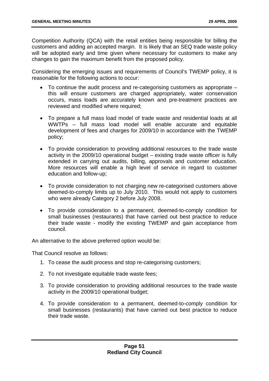Competition Authority (QCA) with the retail entities being responsible for billing the customers and adding an accepted margin. It is likely that an SEQ trade waste policy will be adopted early and time given where necessary for customers to make any changes to gain the maximum benefit from the proposed policy.

Considering the emerging issues and requirements of Council's TWEMP policy, it is reasonable for the following actions to occur:

- To continue the audit process and re-categorising customers as appropriate this will ensure customers are charged appropriately, water conservation occurs, mass loads are accurately known and pre-treatment practices are reviewed and modified where required;
- To prepare a full mass load model of trade waste and residential loads at all WWTPs – full mass load model will enable accurate and equitable development of fees and charges for 2009/10 in accordance with the TWEMP policy;
- To provide consideration to providing additional resources to the trade waste activity in the 2009/10 operational budget – existing trade waste officer is fully extended in carrying out audits, billing, approvals and customer education. More resources will enable a high level of service in regard to customer education and follow-up;
- To provide consideration to not charging new re-categorised customers above deemed-to-comply limits up to July 2010. This would not apply to customers who were already Category 2 before July 2008.
- To provide consideration to a permanent, deemed-to-comply condition for small businesses (restaurants) that have carried out best practice to reduce their trade waste - modify the existing TWEMP and gain acceptance from council.

An alternative to the above preferred option would be:

That Council resolve as follows:

- 1. To cease the audit process and stop re-categorising customers;
- 2. To not investigate equitable trade waste fees;
- 3. To provide consideration to providing additional resources to the trade waste activity in the 2009/10 operational budget;
- 4. To provide consideration to a permanent, deemed-to-comply condition for small businesses (restaurants) that have carried out best practice to reduce their trade waste.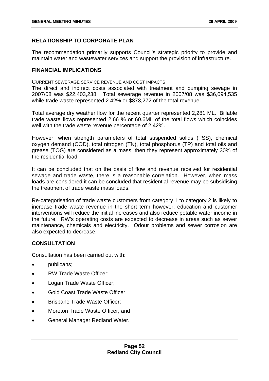# **RELATIONSHIP TO CORPORATE PLAN**

The recommendation primarily supports Council's strategic priority to provide and maintain water and wastewater services and support the provision of infrastructure.

## **FINANCIAL IMPLICATIONS**

CURRENT SEWERAGE SERVICE REVENUE AND COST IMPACTS

The direct and indirect costs associated with treatment and pumping sewage in 2007/08 was \$22,403,238. Total sewerage revenue in 2007/08 was \$36,094,535 while trade waste represented 2.42% or \$873,272 of the total revenue.

Total average dry weather flow for the recent quarter represented 2,281 ML. Billable trade waste flows represented 2.66 % or 60.6ML of the total flows which coincides well with the trade waste revenue percentage of 2.42%.

However, when strength parameters of total suspended solids (TSS), chemical oxygen demand (COD), total nitrogen (TN), total phosphorus (TP) and total oils and grease (TOG) are considered as a mass, then they represent approximately 30% of the residential load.

It can be concluded that on the basis of flow and revenue received for residential sewage and trade waste, there is a reasonable correlation. However, when mass loads are considered it can be concluded that residential revenue may be subsidising the treatment of trade waste mass loads.

Re-categorisation of trade waste customers from category 1 to category 2 is likely to increase trade waste revenue in the short term however; education and customer interventions will reduce the initial increases and also reduce potable water income in the future. RW's operating costs are expected to decrease in areas such as sewer maintenance, chemicals and electricity. Odour problems and sewer corrosion are also expected to decrease.

# **CONSULTATION**

Consultation has been carried out with:

- publicans;
- RW Trade Waste Officer;
- Logan Trade Waste Officer;
- Gold Coast Trade Waste Officer;
- Brisbane Trade Waste Officer;
- Moreton Trade Waste Officer; and
- General Manager Redland Water.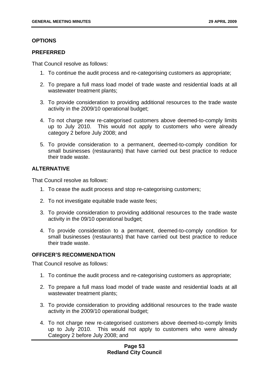### **OPTIONS**

#### **PREFERRED**

That Council resolve as follows:

- 1. To continue the audit process and re-categorising customers as appropriate;
- 2. To prepare a full mass load model of trade waste and residential loads at all wastewater treatment plants;
- 3. To provide consideration to providing additional resources to the trade waste activity in the 2009/10 operational budget;
- 4. To not charge new re-categorised customers above deemed-to-comply limits up to July 2010. This would not apply to customers who were already category 2 before July 2008; and
- 5. To provide consideration to a permanent, deemed-to-comply condition for small businesses (restaurants) that have carried out best practice to reduce their trade waste.

# **ALTERNATIVE**

That Council resolve as follows:

- 1. To cease the audit process and stop re-categorising customers;
- 2. To not investigate equitable trade waste fees;
- 3. To provide consideration to providing additional resources to the trade waste activity in the 09/10 operational budget;
- 4. To provide consideration to a permanent, deemed-to-comply condition for small businesses (restaurants) that have carried out best practice to reduce their trade waste.

# **OFFICER'S RECOMMENDATION**

That Council resolve as follows:

- 1. To continue the audit process and re-categorising customers as appropriate;
- 2. To prepare a full mass load model of trade waste and residential loads at all wastewater treatment plants;
- 3. To provide consideration to providing additional resources to the trade waste activity in the 2009/10 operational budget;
- 4. To not charge new re-categorised customers above deemed-to-comply limits up to July 2010. This would not apply to customers who were already Category 2 before July 2008; and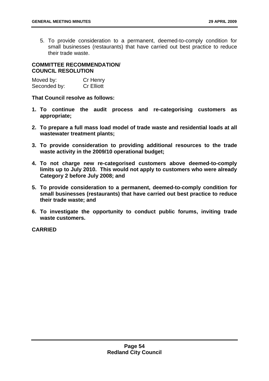5. To provide consideration to a permanent, deemed-to-comply condition for small businesses (restaurants) that have carried out best practice to reduce their trade waste.

# **COMMITTEE RECOMMENDATION/ COUNCIL RESOLUTION**

| Moved by:    | Cr Henry          |
|--------------|-------------------|
| Seconded by: | <b>Cr Elliott</b> |

**That Council resolve as follows:** 

- **1. To continue the audit process and re-categorising customers as appropriate;**
- **2. To prepare a full mass load model of trade waste and residential loads at all wastewater treatment plants;**
- **3. To provide consideration to providing additional resources to the trade waste activity in the 2009/10 operational budget;**
- **4. To not charge new re-categorised customers above deemed-to-comply limits up to July 2010. This would not apply to customers who were already Category 2 before July 2008; and**
- **5. To provide consideration to a permanent, deemed-to-comply condition for small businesses (restaurants) that have carried out best practice to reduce their trade waste; and**
- **6. To investigate the opportunity to conduct public forums, inviting trade waste customers.**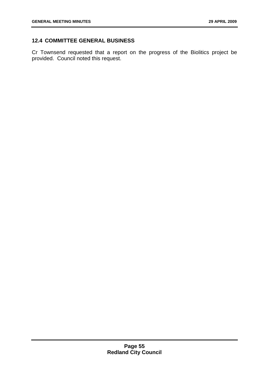# **12.4 COMMITTEE GENERAL BUSINESS**

Cr Townsend requested that a report on the progress of the Biolitics project be provided. Council noted this request.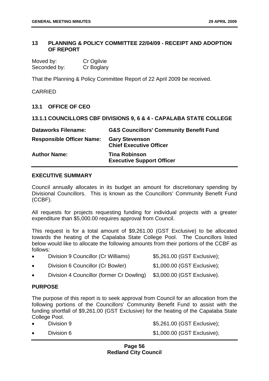## **13 PLANNING & POLICY COMMITTEE 22/04/09 - RECEIPT AND ADOPTION OF REPORT**

| Moved by:    | Cr Ogilvie |
|--------------|------------|
| Seconded by: | Cr Boglary |

That the Planning & Policy Committee Report of 22 April 2009 be received.

## CARRIED

## **13.1 OFFICE OF CEO**

## **13.1.1 COUNCILLORS CBF DIVISIONS 9, 6 & 4 - CAPALABA STATE COLLEGE**

| <b>Dataworks Filename:</b>       | <b>G&amp;S Councillors' Community Benefit Fund</b>       |
|----------------------------------|----------------------------------------------------------|
| <b>Responsible Officer Name:</b> | <b>Gary Stevenson</b><br><b>Chief Executive Officer</b>  |
| <b>Author Name:</b>              | <b>Tina Robinson</b><br><b>Executive Support Officer</b> |

# **EXECUTIVE SUMMARY**

Council annually allocates in its budget an amount for discretionary spending by Divisional Councillors. This is known as the Councillors' Community Benefit Fund (CCBF).

All requests for projects requesting funding for individual projects with a greater expenditure than \$5,000.00 requires approval from Council.

This request is for a total amount of \$9,261.00 (GST Exclusive) to be allocated towards the heating of the Capalaba State College Pool. The Councillors listed below would like to allocate the following amounts from their portions of the CCBF as follows:

- Division 9 Councillor (Cr Williams)  $$5,261.00$  (GST Exclusive);
- Division 6 Councillor (Cr Bowler) \$1,000.00 (GST Exclusive);
- Division 4 Councillor (former Cr Dowling) \$3,000.00 (GST Exclusive).

#### **PURPOSE**

The purpose of this report is to seek approval from Council for an allocation from the following portions of the Councillors' Community Benefit Fund to assist with the funding shortfall of \$9,261.00 (GST Exclusive) for the heating of the Capalaba State College Pool.

• Division 9  $$5,261.00$  (GST Exclusive);

**Division 6**  $$1,000.00$  **(GST Exclusive);**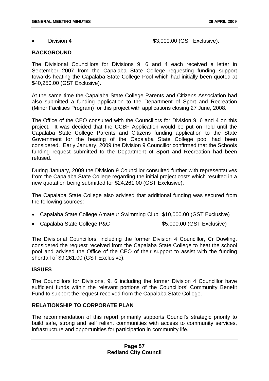**Division 4** \$3,000.00 (GST Exclusive).

# **BACKGROUND**

The Divisional Councillors for Divisions 9, 6 and 4 each received a letter in September 2007 from the Capalaba State College requesting funding support towards heating the Capalaba State College Pool which had initially been quoted at \$40,250.00 (GST Exclusive).

At the same time the Capalaba State College Parents and Citizens Association had also submitted a funding application to the Department of Sport and Recreation (Minor Facilities Program) for this project with applications closing 27 June, 2008.

The Office of the CEO consulted with the Councillors for Division 9, 6 and 4 on this project. It was decided that the CCBF Application would be put on hold until the Capalaba State College Parents and Citizens funding application to the State Government for the heating of the Capalaba State College pool had been considered. Early January, 2009 the Division 9 Councillor confirmed that the Schools funding request submitted to the Department of Sport and Recreation had been refused.

During January, 2009 the Division 9 Councillor consulted further with representatives from the Capalaba State College regarding the initial project costs which resulted in a new quotation being submitted for \$24,261.00 (GST Exclusive).

The Capalaba State College also advised that additional funding was secured from the following sources:

- Capalaba State College Amateur Swimming Club \$10,000.00 (GST Exclusive)
- Capalaba State College P&C  $$5,000.00$  (GST Exclusive)

The Divisional Councillors, including the former Division 4 Councillor, Cr Dowling, considered the request received from the Capalaba State College to heat the school pool and advised the Office of the CEO of their support to assist with the funding shortfall of \$9,261.00 (GST Exclusive).

# **ISSUES**

The Councillors for Divisions, 9, 6 including the former Division 4 Councillor have sufficient funds within the relevant portions of the Councillors' Community Benefit Fund to support the request received from the Capalaba State College.

# **RELATIONSHIP TO CORPORATE PLAN**

The recommendation of this report primarily supports Council's strategic priority to build safe, strong and self reliant communities with access to community services, infrastructure and opportunities for participation in community life.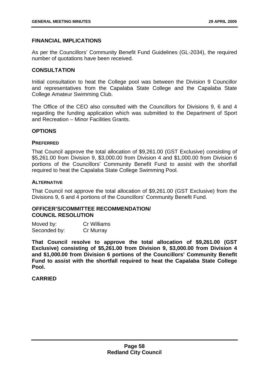## **FINANCIAL IMPLICATIONS**

As per the Councillors' Community Benefit Fund Guidelines (GL-2034), the required number of quotations have been received.

#### **CONSULTATION**

Initial consultation to heat the College pool was between the Division 9 Councillor and representatives from the Capalaba State College and the Capalaba State College Amateur Swimming Club.

The Office of the CEO also consulted with the Councillors for Divisions 9, 6 and 4 regarding the funding application which was submitted to the Department of Sport and Recreation – Minor Facilities Grants.

#### **OPTIONS**

#### **PREFERRED**

That Council approve the total allocation of \$9,261.00 (GST Exclusive) consisting of \$5,261.00 from Division 9, \$3,000.00 from Division 4 and \$1,000.00 from Division 6 portions of the Councillors' Community Benefit Fund to assist with the shortfall required to heat the Capalaba State College Swimming Pool.

#### **ALTERNATIVE**

That Council not approve the total allocation of \$9,261.00 (GST Exclusive) from the Divisions 9, 6 and 4 portions of the Councillors' Community Benefit Fund.

# **OFFICER'S/COMMITTEE RECOMMENDATION/ COUNCIL RESOLUTION**

| Moved by:    | <b>Cr Williams</b> |
|--------------|--------------------|
| Seconded by: | Cr Murray          |

**That Council resolve to approve the total allocation of \$9,261.00 (GST Exclusive) consisting of \$5,261.00 from Division 9, \$3,000.00 from Division 4 and \$1,000.00 from Division 6 portions of the Councillors' Community Benefit Fund to assist with the shortfall required to heat the Capalaba State College Pool.**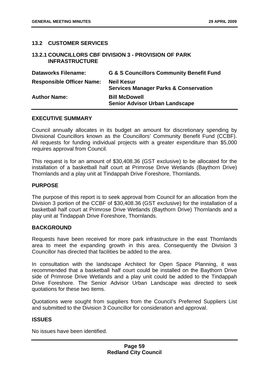# **13.2 CUSTOMER SERVICES**

#### **13.2.1 COUNCILLORS CBF DIVISION 3 - PROVISION OF PARK INFRASTRUCTURE**

| <b>Dataworks Filename:</b>       | <b>G &amp; S Councillors Community Benefit Fund</b>                   |
|----------------------------------|-----------------------------------------------------------------------|
| <b>Responsible Officer Name:</b> | <b>Neil Kesur</b><br><b>Services Manager Parks &amp; Conservation</b> |
| <b>Author Name:</b>              | <b>Bill McDowell</b><br><b>Senior Advisor Urban Landscape</b>         |

#### **EXECUTIVE SUMMARY**

Council annually allocates in its budget an amount for discretionary spending by Divisional Councillors known as the Councillors' Community Benefit Fund (CCBF). All requests for funding individual projects with a greater expenditure than \$5,000 requires approval from Council.

This request is for an amount of \$30,408.36 (GST exclusive) to be allocated for the installation of a basketball half court at Primrose Drive Wetlands (Baythorn Drive) Thornlands and a play unit at Tindappah Drive Foreshore, Thornlands.

#### **PURPOSE**

The purpose of this report is to seek approval from Council for an allocation from the Division 3 portion of the CCBF of \$30,408.36 (GST exclusive) for the installation of a basketball half court at Primrose Drive Wetlands (Baythorn Drive) Thornlands and a play unit at Tindappah Drive Foreshore, Thornlands.

#### **BACKGROUND**

Requests have been received for more park infrastructure in the east Thornlands area to meet the expanding growth in this area. Consequently the Division 3 Councillor has directed that facilities be added to the area.

In consultation with the landscape Architect for Open Space Planning, it was recommended that a basketball half court could be installed on the Baythorn Drive side of Primrose Drive Wetlands and a play unit could be added to the Tindappah Drive Foreshore. The Senior Advisor Urban Landscape was directed to seek quotations for these two items.

Quotations were sought from suppliers from the Council's Preferred Suppliers List and submitted to the Division 3 Councillor for consideration and approval.

#### **ISSUES**

No issues have been identified.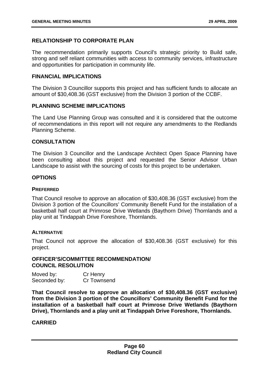# **RELATIONSHIP TO CORPORATE PLAN**

The recommendation primarily supports Council's strategic priority to Build safe, strong and self reliant communities with access to community services, infrastructure and opportunities for participation in community life.

## **FINANCIAL IMPLICATIONS**

The Division 3 Councillor supports this project and has sufficient funds to allocate an amount of \$30,408.36 (GST exclusive) from the Division 3 portion of the CCBF.

# **PLANNING SCHEME IMPLICATIONS**

The Land Use Planning Group was consulted and it is considered that the outcome of recommendations in this report will not require any amendments to the Redlands Planning Scheme.

## **CONSULTATION**

The Division 3 Councillor and the Landscape Architect Open Space Planning have been consulting about this project and requested the Senior Advisor Urban Landscape to assist with the sourcing of costs for this project to be undertaken.

## **OPTIONS**

#### **PREFERRED**

That Council resolve to approve an allocation of \$30,408.36 (GST exclusive) from the Division 3 portion of the Councillors' Community Benefit Fund for the installation of a basketball half court at Primrose Drive Wetlands (Baythorn Drive) Thornlands and a play unit at Tindappah Drive Foreshore, Thornlands.

#### **ALTERNATIVE**

That Council not approve the allocation of \$30,408.36 (GST exclusive) for this project.

## **OFFICER'S/COMMITTEE RECOMMENDATION/ COUNCIL RESOLUTION**

Moved by: Cr Henry Seconded by: Cr Townsend

**That Council resolve to approve an allocation of \$30,408.36 (GST exclusive) from the Division 3 portion of the Councillors' Community Benefit Fund for the installation of a basketball half court at Primrose Drive Wetlands (Baythorn Drive), Thornlands and a play unit at Tindappah Drive Foreshore, Thornlands.**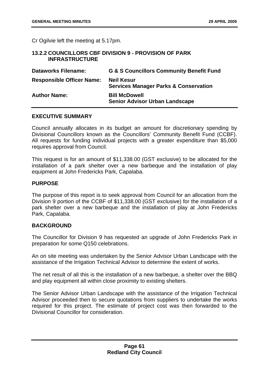Cr Ogilvie left the meeting at 5.17pm.

## **13.2.2 COUNCILLORS CBF DIVISION 9 - PROVISION OF PARK INFRASTRUCTURE**

| <b>Dataworks Filename:</b>       | <b>G &amp; S Councillors Community Benefit Fund</b>                   |
|----------------------------------|-----------------------------------------------------------------------|
| <b>Responsible Officer Name:</b> | <b>Neil Kesur</b><br><b>Services Manager Parks &amp; Conservation</b> |
| <b>Author Name:</b>              | <b>Bill McDowell</b><br><b>Senior Advisor Urban Landscape</b>         |

# **EXECUTIVE SUMMARY**

Council annually allocates in its budget an amount for discretionary spending by Divisional Councillors known as the Councillors' Community Benefit Fund (CCBF). All requests for funding individual projects with a greater expenditure than \$5,000 requires approval from Council.

This request is for an amount of \$11,338.00 (GST exclusive) to be allocated for the installation of a park shelter over a new barbeque and the installation of play equipment at John Fredericks Park, Capalaba.

## **PURPOSE**

The purpose of this report is to seek approval from Council for an allocation from the Division 9 portion of the CCBF of \$11,338.00 (GST exclusive) for the installation of a park shelter over a new barbeque and the installation of play at John Fredericks Park, Capalaba.

# **BACKGROUND**

The Councillor for Division 9 has requested an upgrade of John Fredericks Park in preparation for some Q150 celebrations.

An on site meeting was undertaken by the Senior Advisor Urban Landscape with the assistance of the Irrigation Technical Advisor to determine the extent of works.

The net result of all this is the installation of a new barbeque, a shelter over the BBQ and play equipment all within close proximity to existing shelters.

The Senior Advisor Urban Landscape with the assistance of the Irrigation Technical Advisor proceeded then to secure quotations from suppliers to undertake the works required for this project. The estimate of project cost was then forwarded to the Divisional Councillor for consideration.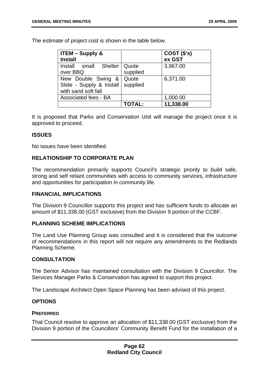The estimate of project cost is shown in the table below.

| $\vert$ ITEM – Supply &<br><b>Install</b>                             |                   | COST(S's)<br>ex GST |
|-----------------------------------------------------------------------|-------------------|---------------------|
| Install small Shelter   Quote<br>over BBQ                             | supplied          | 3,967.00            |
| New Double Swing &<br>Slide - Supply & Install<br>with sand soft fall | Quote<br>supplied | 6,371.00            |
| Associated fees - BA                                                  |                   | 1,000.00            |
|                                                                       | <b>TOTAL:</b>     | 11,338.00           |

It is proposed that Parks and Conservation Unit will manage the project once it is approved to proceed.

## **ISSUES**

No issues have been identified.

# **RELATIONSHIP TO CORPORATE PLAN**

The recommendation primarily supports Council's strategic priority to build safe, strong and self reliant communities with access to community services, infrastructure and opportunities for participation in community life.

#### **FINANCIAL IMPLICATIONS**

The Division 9 Councillor supports this project and has sufficient funds to allocate an amount of \$11,338.00 (GST exclusive) from the Division 9 portion of the CCBF.

#### **PLANNING SCHEME IMPLICATIONS**

The Land Use Planning Group was consulted and it is considered that the outcome of recommendations in this report will not require any amendments to the Redlands Planning Scheme.

#### **CONSULTATION**

The Senior Advisor has maintained consultation with the Division 9 Councillor. The Services Manager Parks & Conservation has agreed to support this project.

The Landscape Architect Open Space Planning has been advised of this project.

#### **OPTIONS**

#### **PREFERRED**

That Council resolve to approve an allocation of \$11,338.00 (GST exclusive) from the Division 9 portion of the Councillors' Community Benefit Fund for the installation of a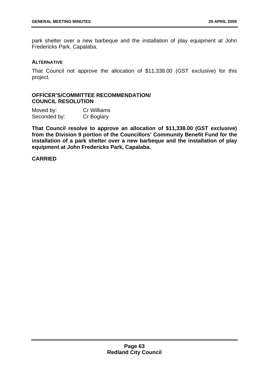park shelter over a new barbeque and the installation of play equipment at John Fredericks Park, Capalaba.

#### **ALTERNATIVE**

That Council not approve the allocation of \$11,338.00 (GST exclusive) for this project.

# **OFFICER'S/COMMITTEE RECOMMENDATION/ COUNCIL RESOLUTION**

| Moved by:    | Cr Williams |
|--------------|-------------|
| Seconded by: | Cr Boglary  |

**That Council resolve to approve an allocation of \$11,338.00 (GST exclusive) from the Division 9 portion of the Councillors' Community Benefit Fund for the installation of a park shelter over a new barbeque and the installation of play equipment at John Fredericks Park, Capalaba.**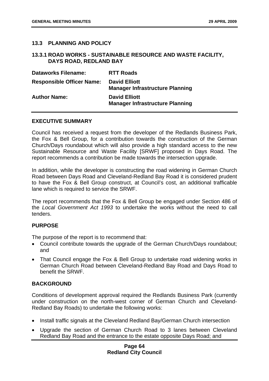# **13.3 PLANNING AND POLICY**

#### **13.3.1 ROAD WORKS - SUSTAINABLE RESOURCE AND WASTE FACILITY, DAYS ROAD, REDLAND BAY**

| <b>Dataworks Filename:</b>       | <b>RTT Roads</b>                                               |
|----------------------------------|----------------------------------------------------------------|
| <b>Responsible Officer Name:</b> | <b>David Elliott</b><br><b>Manager Infrastructure Planning</b> |
| <b>Author Name:</b>              | <b>David Elliott</b><br><b>Manager Infrastructure Planning</b> |

#### **EXECUTIVE SUMMARY**

Council has received a request from the developer of the Redlands Business Park, the Fox & Bell Group, for a contribution towards the construction of the German Church/Days roundabout which will also provide a high standard access to the new Sustainable Resource and Waste Facility [SRWF] proposed in Days Road. The report recommends a contribution be made towards the intersection upgrade.

In addition, while the developer is constructing the road widening in German Church Road between Days Road and Cleveland-Redland Bay Road it is considered prudent to have the Fox & Bell Group construct, at Council's cost, an additional trafficable lane which is required to service the SRWF.

The report recommends that the Fox & Bell Group be engaged under Section 486 of the *Local Government Act 1993* to undertake the works without the need to call tenders.

#### **PURPOSE**

The purpose of the report is to recommend that:

- Council contribute towards the upgrade of the German Church/Days roundabout; and
- That Council engage the Fox & Bell Group to undertake road widening works in German Church Road between Cleveland-Redland Bay Road and Days Road to benefit the SRWF.

#### **BACKGROUND**

Conditions of development approval required the Redlands Business Park (currently under construction on the north-west corner of German Church and Cleveland-Redland Bay Roads) to undertake the following works:

- Install traffic signals at the Cleveland Redland Bay/German Church intersection
- Upgrade the section of German Church Road to 3 lanes between Cleveland Redland Bay Road and the entrance to the estate opposite Days Road; and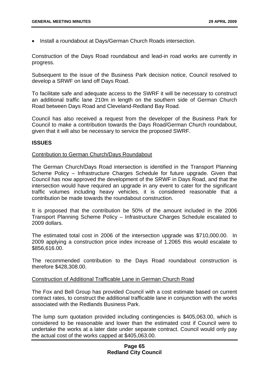• Install a roundabout at Days/German Church Roads intersection.

Construction of the Days Road roundabout and lead-in road works are currently in progress.

Subsequent to the issue of the Business Park decision notice, Council resolved to develop a SRWF on land off Days Road.

To facilitate safe and adequate access to the SWRF it will be necessary to construct an additional traffic lane 210m in length on the southern side of German Church Road between Days Road and Cleveland-Redland Bay Road.

Council has also received a request from the developer of the Business Park for Council to make a contribution towards the Days Road/German Church roundabout, given that it will also be necessary to service the proposed SWRF.

#### **ISSUES**

#### Contribution to German Church/Days Roundabout

The German Church/Days Road intersection is identified in the Transport Planning Scheme Policy – Infrastructure Charges Schedule for future upgrade. Given that Council has now approved the development of the SRWF in Days Road, and that the intersection would have required an upgrade in any event to cater for the significant traffic volumes including heavy vehicles, it is considered reasonable that a contribution be made towards the roundabout construction.

It is proposed that the contribution be 50% of the amount included in the 2006 Transport Planning Scheme Policy – Infrastructure Charges Schedule escalated to 2009 dollars.

The estimated total cost in 2006 of the intersection upgrade was \$710,000.00. In 2009 applying a construction price index increase of 1.2065 this would escalate to \$856,616.00.

The recommended contribution to the Days Road roundabout construction is therefore \$428,308.00.

#### Construction of Additional Trafficable Lane in German Church Road

The Fox and Bell Group has provided Council with a cost estimate based on current contract rates, to construct the additional trafficable lane in conjunction with the works associated with the Redlands Business Park.

The lump sum quotation provided including contingencies is \$405,063.00, which is considered to be reasonable and lower than the estimated cost if Council were to undertake the works at a later date under separate contract. Council would only pay the actual cost of the works capped at \$405,063.00.

#### **Page 65 Redland City Council**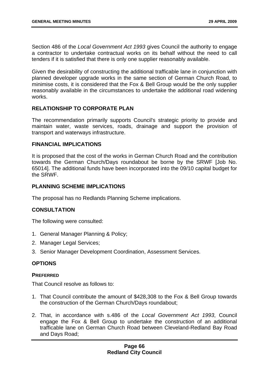Section 486 of the *Local Government Act 1993* gives Council the authority to engage a contractor to undertake contractual works on its behalf without the need to call tenders if it is satisfied that there is only one supplier reasonably available.

Given the desirability of constructing the additional trafficable lane in conjunction with planned developer upgrade works in the same section of German Church Road, to minimise costs, it is considered that the Fox & Bell Group would be the only supplier reasonably available in the circumstances to undertake the additional road widening works.

## **RELATIONSHIP TO CORPORATE PLAN**

The recommendation primarily supports Council's strategic priority to provide and maintain water, waste services, roads, drainage and support the provision of transport and waterways infrastructure.

#### **FINANCIAL IMPLICATIONS**

It is proposed that the cost of the works in German Church Road and the contribution towards the German Church/Days roundabout be borne by the SRWF [Job No. 65014]. The additional funds have been incorporated into the 09/10 capital budget for the SRWF.

# **PLANNING SCHEME IMPLICATIONS**

The proposal has no Redlands Planning Scheme implications.

# **CONSULTATION**

The following were consulted:

- 1. General Manager Planning & Policy;
- 2. Manager Legal Services;
- 3. Senior Manager Development Coordination, Assessment Services.

# **OPTIONS**

#### **PREFERRED**

That Council resolve as follows to:

- 1. That Council contribute the amount of \$428,308 to the Fox & Bell Group towards the construction of the German Church/Days roundabout;
- 2. That, in accordance with s.486 of the *Local Government Act 1993*, Council engage the Fox & Bell Group to undertake the construction of an additional trafficable lane on German Church Road between Cleveland-Redland Bay Road and Days Road;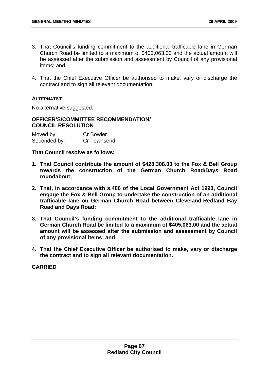- 3. That Council's funding commitment to the additional trafficable lane in German Church Road be limited to a maximum of \$405,063.00 and the actual amount will be assessed after the submission and assessment by Council of any provisional items; and
- 4. That the Chief Executive Officer be authorised to make, vary or discharge the contract and to sign all relevant documentation.

## **ALTERNATIVE**

No alternative suggested.

## **OFFICER'S/COMMITTEE RECOMMENDATION/ COUNCIL RESOLUTION**

| Moved by:    | <b>Cr Bowler</b> |
|--------------|------------------|
| Seconded by: | Cr Townsend      |

**That Council resolve as follows:** 

- **1. That Council contribute the amount of \$428,308.00 to the Fox & Bell Group towards the construction of the German Church Road/Days Road roundabout;**
- **2. That, in accordance with s.486 of the Local Government Act 1993, Council engage the Fox & Bell Group to undertake the construction of an additional trafficable lane on German Church Road between Cleveland-Redland Bay Road and Days Road;**
- **3. That Council's funding commitment to the additional trafficable lane in German Church Road be limited to a maximum of \$405,063.00 and the actual amount will be assessed after the submission and assessment by Council of any provisional items; and**
- **4. That the Chief Executive Officer be authorised to make, vary or discharge the contract and to sign all relevant documentation.**

**CARRIED**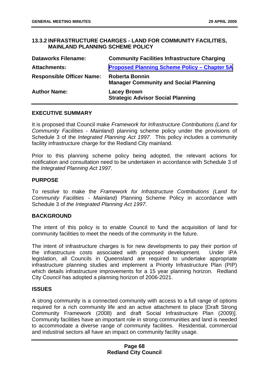## **13.3.2 INFRASTRUCTURE CHARGES - LAND FOR COMMUNITY FACILITIES, MAINLAND PLANNING SCHEME POLICY**

| <b>Dataworks Filename:</b>       | <b>Community Facilities Infrastructure Charging</b>                   |
|----------------------------------|-----------------------------------------------------------------------|
| <b>Attachments:</b>              | <b>Proposed Planning Scheme Policy - Chapter 5A</b>                   |
| <b>Responsible Officer Name:</b> | <b>Roberta Bonnin</b><br><b>Manager Community and Social Planning</b> |
| <b>Author Name:</b>              | <b>Lacey Brown</b><br><b>Strategic Advisor Social Planning</b>        |

#### **EXECUTIVE SUMMARY**

It is proposed that Council make *Framework for Infrastructure Contributions (Land for Community Facilities - Mainland)* planning scheme policy under the provisions of Schedule 3 of the *Integrated Planning Act 1997*. This policy includes a community facility infrastructure charge for the Redland City mainland.

Prior to this planning scheme policy being adopted, the relevant actions for notification and consultation need to be undertaken in accordance with Schedule 3 of the *Integrated Planning Act 1997*.

## **PURPOSE**

To resolve to make the *Framework for Infrastructure Contributions (Land for Community Facilities - Mainland)* Planning Scheme Policy in accordance with Schedule 3 of *the Integrated Planning Act 1997*.

#### **BACKGROUND**

The intent of this policy is to enable Council to fund the acquisition of land for community facilities to meet the needs of the community in the future.

The intent of infrastructure charges is for new developments to pay their portion of the infrastructure costs associated with proposed development. Under IPA legislation, all Councils in Queensland are required to undertake appropriate infrastructure planning studies and implement a Priority Infrastructure Plan (PIP) which details infrastructure improvements for a 15 year planning horizon. Redland City Council has adopted a planning horizon of 2006-2021.

#### **ISSUES**

A strong community is a connected community with access to a full range of options required for a rich community life and an active attachment to place [Draft Strong Community Framework (2008) and draft Social Infrastructure Plan (2009)]. Community facilities have an important role in strong communities and land is needed to accommodate a diverse range of community facilities. Residential, commercial and industrial sectors all have an impact on community facility usage.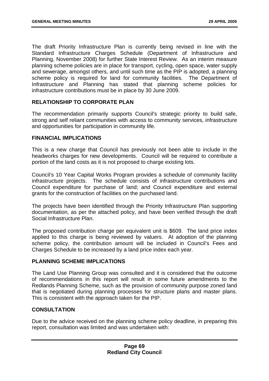The draft Priority Infrastructure Plan is currently being revised in line with the Standard Infrastructure Charges Schedule (Department of Infrastructure and Planning, November 2008) for further State Interest Review. As an interim measure planning scheme policies are in place for transport, cycling, open space, water supply and sewerage, amongst others, and until such time as the PIP is adopted, a planning scheme policy is required for land for community facilities. The Department of Infrastructure and Planning has stated that planning scheme policies for infrastructure contributions must be in place by 30 June 2009.

## **RELATIONSHIP TO CORPORATE PLAN**

The recommendation primarily supports Council's strategic priority to build safe, strong and self reliant communities with access to community services, infrastructure and opportunities for participation in community life.

#### **FINANCIAL IMPLICATIONS**

This is a new charge that Council has previously not been able to include in the headworks charges for new developments. Council will be required to contribute a portion of the land costs as it is not proposed to charge existing lots.

Council's 10 Year Capital Works Program provides a schedule of community facility infrastructure projects. The schedule consists of infrastructure contributions and Council expenditure for purchase of land; and Council expenditure and external grants for the construction of facilities on the purchased land.

The projects have been identified through the Priority Infrastructure Plan supporting documentation, as per the attached policy, and have been verified through the draft Social Infrastructure Plan.

The proposed contribution charge per equivalent unit is \$609. The land price index applied to this charge is being reviewed by valuers. At adoption of the planning scheme policy, the contribution amount will be included in Council's Fees and Charges Schedule to be increased by a land price index each year.

## **PLANNING SCHEME IMPLICATIONS**

The Land Use Planning Group was consulted and it is considered that the outcome of recommendations in this report will result in some future amendments to the Redlands Planning Scheme, such as the provision of community purpose zoned land that is negotiated during planning processes for structure plans and master plans. This is consistent with the approach taken for the PIP.

## **CONSULTATION**

Due to the advice received on the planning scheme policy deadline, in preparing this report, consultation was limited and was undertaken with: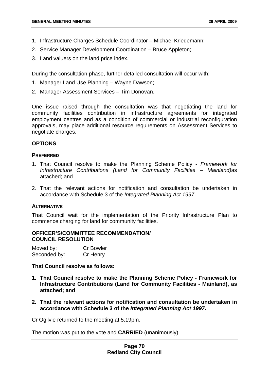- 1. Infrastructure Charges Schedule Coordinator Michael Kriedemann;
- 2. Service Manager Development Coordination Bruce Appleton;
- 3. Land valuers on the land price index.

During the consultation phase, further detailed consultation will occur with:

- 1. Manager Land Use Planning Wayne Dawson;
- 2. Manager Assessment Services Tim Donovan.

One issue raised through the consultation was that negotiating the land for community facilities contribution in infrastructure agreements for integrated employment centres and as a condition of commercial or industrial reconfiguration approvals, may place additional resource requirements on Assessment Services to negotiate charges.

## **OPTIONS**

#### **PREFERRED**

- 1. That Council resolve to make the Planning Scheme Policy *Framework for Infrastructure Contributions (Land for Community Facilities – Mainland)*as attached; and
- 2. That the relevant actions for notification and consultation be undertaken in accordance with Schedule 3 of the *Integrated Planning Act 1997*.

#### **ALTERNATIVE**

That Council wait for the implementation of the Priority Infrastructure Plan to commence charging for land for community facilities.

#### **OFFICER'S/COMMITTEE RECOMMENDATION/ COUNCIL RESOLUTION**

| Moved by:    | <b>Cr Bowler</b> |
|--------------|------------------|
| Seconded by: | Cr Henry         |

#### **That Council resolve as follows:**

- **1. That Council resolve to make the Planning Scheme Policy Framework for Infrastructure Contributions (Land for Community Facilities - Mainland), as attached; and**
- **2. That the relevant actions for notification and consultation be undertaken in accordance with Schedule 3 of the** *Integrated Planning Act 1997***.**

Cr Ogilvie returned to the meeting at 5.19pm.

The motion was put to the vote and **CARRIED** (unanimously)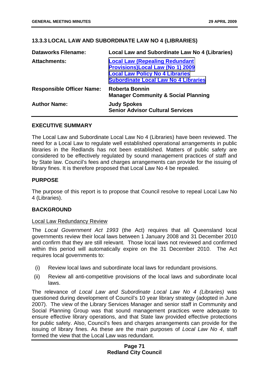## **13.3.3 LOCAL LAW AND SUBORDINATE LAW NO 4 (LIBRARIES)**

| <b>Dataworks Filename:</b>       | Local Law and Subordinate Law No 4 (Libraries)                                                                                                                            |
|----------------------------------|---------------------------------------------------------------------------------------------------------------------------------------------------------------------------|
| <b>Attachments:</b>              | <b>Local Law (Repealing Redundant</b><br><b>Provisions)Local Law (No 1) 2009</b><br><b>Local Law Policy No 4 Libraries</b><br><b>Subordinate Local Law No 4 Libraries</b> |
| <b>Responsible Officer Name:</b> | <b>Roberta Bonnin</b><br><b>Manager Community &amp; Social Planning</b>                                                                                                   |
| <b>Author Name:</b>              | <b>Judy Spokes</b><br><b>Senior Advisor Cultural Services</b>                                                                                                             |

#### **EXECUTIVE SUMMARY**

The Local Law and Subordinate Local Law No 4 (Libraries) have been reviewed. The need for a Local Law to regulate well established operational arrangements in public libraries in the Redlands has not been established. Matters of public safety are considered to be effectively regulated by sound management practices of staff and by State law. Council's fees and charges arrangements can provide for the issuing of library fines. It is therefore proposed that Local Law No 4 be repealed.

## **PURPOSE**

The purpose of this report is to propose that Council resolve to repeal Local Law No 4 (Libraries).

#### **BACKGROUND**

#### Local Law Redundancy Review

The *Local Government Act 1993* (the Act) requires that all Queensland local governments review their local laws between 1 January 2008 and 31 December 2010 and confirm that they are still relevant. Those local laws not reviewed and confirmed within this period will automatically expire on the 31 December 2010. The Act requires local governments to:

- (i) Review local laws and subordinate local laws for redundant provisions.
- (ii) Review all anti-competitive provisions of the local laws and subordinate local laws.

The relevance of *Local Law and Subordinate Local Law No 4 (Libraries)* was questioned during development of Council's 10 year library strategy (adopted in June 2007). The view of the Library Services Manager and senior staff in Community and Social Planning Group was that sound management practices were adequate to ensure effective library operations, and that State law provided effective protections for public safety. Also, Council's fees and charges arrangements can provide for the issuing of library fines. As these are the main purposes of *Local Law No 4*, staff formed the view that the Local Law was redundant.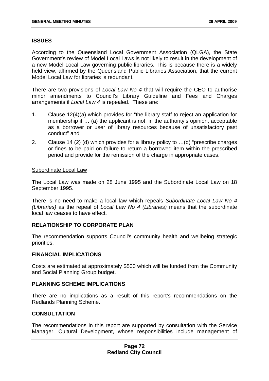## **ISSUES**

According to the Queensland Local Government Association (QLGA), the State Government's review of Model Local Laws is not likely to result in the development of a new Model Local Law governing public libraries. This is because there is a widely held view, affirmed by the Queensland Public Libraries Association, that the current Model Local Law for libraries is redundant.

There are two provisions of *Local Law No 4* that will require the CEO to authorise minor amendments to Council's Library Guideline and Fees and Charges arrangements if *Local Law 4* is repealed. These are:

- 1. Clause 12(4)(a) which provides for "the library staff to reject an application for membership if … (a) the applicant is not, in the authority's opinion, acceptable as a borrower or user of library resources because of unsatisfactory past conduct" and
- 2. Clause 14 (2) (d) which provides for a library policy to …(d) "prescribe charges or fines to be paid on failure to return a borrowed item within the prescribed period and provide for the remission of the charge in appropriate cases.

#### Subordinate Local Law

The Local Law was made on 28 June 1995 and the Subordinate Local Law on 18 September 1995.

There is no need to make a local law which repeals *Subordinate Local Law No 4 (Libraries)* as the repeal of *Local Law No 4 (Libraries)* means that the subordinate local law ceases to have effect.

#### **RELATIONSHIP TO CORPORATE PLAN**

The recommendation supports Council's community health and wellbeing strategic priorities.

#### **FINANCIAL IMPLICATIONS**

Costs are estimated at approximately \$500 which will be funded from the Community and Social Planning Group budget.

#### **PLANNING SCHEME IMPLICATIONS**

There are no implications as a result of this report's recommendations on the Redlands Planning Scheme.

#### **CONSULTATION**

The recommendations in this report are supported by consultation with the Service Manager, Cultural Development, whose responsibilities include management of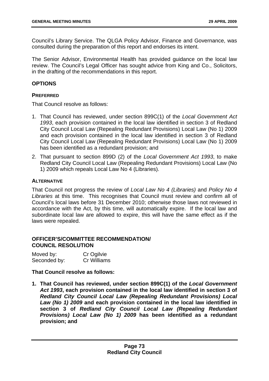Council's Library Service. The QLGA Policy Advisor, Finance and Governance, was consulted during the preparation of this report and endorses its intent.

The Senior Advisor, Environmental Health has provided guidance on the local law review. The Council's Legal Officer has sought advice from King and Co., Solicitors, in the drafting of the recommendations in this report.

## **OPTIONS**

### **PREFERRED**

That Council resolve as follows:

- 1. That Council has reviewed, under section 899C(1) of the *Local Government Act 1993*, each provision contained in the local law identified in section 3 of Redland City Council Local Law (Repealing Redundant Provisions) Local Law (No 1) 2009 and each provision contained in the local law identified in section 3 of Redland City Council Local Law (Repealing Redundant Provisions) Local Law (No 1) 2009 has been identified as a redundant provision; and
- 2. That pursuant to section 899D (2) of the *Local Government Act 1993*, to make Redland City Council Local Law (Repealing Redundant Provisions) Local Law (No 1) 2009 which repeals Local Law No 4 (Libraries).

## **ALTERNATIVE**

That Council not progress the review of *Local Law No 4 (Libraries)* and *Policy No 4 Libraries* at this time. This recognises that Council must review and confirm all of Council's local laws before 31 December 2010; otherwise those laws not reviewed in accordance with the Act, by this time, will automatically expire. If the local law and subordinate local law are allowed to expire, this will have the same effect as if the laws were repealed.

## **OFFICER'S/COMMITTEE RECOMMENDATION/ COUNCIL RESOLUTION**

| Moved by:    | Cr Ogilvie  |
|--------------|-------------|
| Seconded by: | Cr Williams |

## **That Council resolve as follows:**

**1. That Council has reviewed, under section 899C(1) of the** *Local Government Act 1993***, each provision contained in the local law identified in section 3 of**  *Redland City Council Local Law (Repealing Redundant Provisions) Local Law (No 1) 2009* **and each provision contained in the local law identified in section 3 of** *Redland City Council Local Law (Repealing Redundant Provisions) Local Law (No 1) 2009* **has been identified as a redundant provision; and**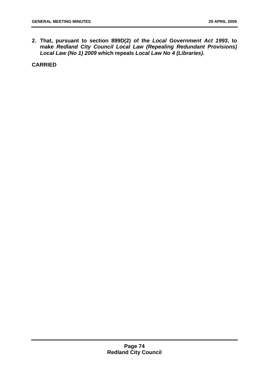**2. That, pursuant to section 899D(2) of the** *Local Government Act 1993***, to make** *Redland City Council Local Law (Repealing Redundant Provisions) Local Law (No 1) 2009* **which repeals** *Local Law No 4 (Libraries)***.** 

**CARRIED**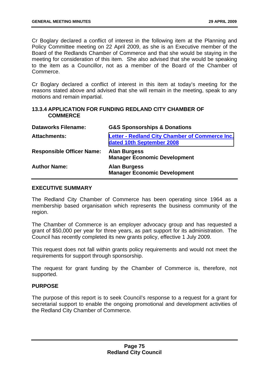Cr Boglary declared a conflict of interest in the following item at the Planning and Policy Committee meeting on 22 April 2009, as she is an Executive member of the Board of the Redlands Chamber of Commerce and that she would be staying in the meeting for consideration of this item. She also advised that she would be speaking to the item as a Councillor, not as a member of the Board of the Chamber of Commerce.

Cr Boglary declared a conflict of interest in this item at today's meeting for the reasons stated above and advised that she will remain in the meeting, speak to any motions and remain impartial.

## **13.3.4 APPLICATION FOR FUNDING REDLAND CITY CHAMBER OF COMMERCE**

| <b>Dataworks Filename:</b>       | <b>G&amp;S Sponsorships &amp; Donations</b>                                        |
|----------------------------------|------------------------------------------------------------------------------------|
| <b>Attachments:</b>              | <b>Letter - Redland City Chamber of Commerce Inc.</b><br>dated 10th September 2008 |
| <b>Responsible Officer Name:</b> | <b>Alan Burgess</b><br><b>Manager Economic Development</b>                         |
| <b>Author Name:</b>              | <b>Alan Burgess</b><br><b>Manager Economic Development</b>                         |

#### **EXECUTIVE SUMMARY**

The Redland City Chamber of Commerce has been operating since 1964 as a membership based organisation which represents the business community of the region.

The Chamber of Commerce is an employer advocacy group and has requested a grant of \$50,000 per year for three years, as part support for its administration. The Council has recently completed its new grants policy, effective 1 July 2009.

This request does not fall within grants policy requirements and would not meet the requirements for support through sponsorship.

The request for grant funding by the Chamber of Commerce is, therefore, not supported.

#### **PURPOSE**

The purpose of this report is to seek Council's response to a request for a grant for secretarial support to enable the ongoing promotional and development activities of the Redland City Chamber of Commerce.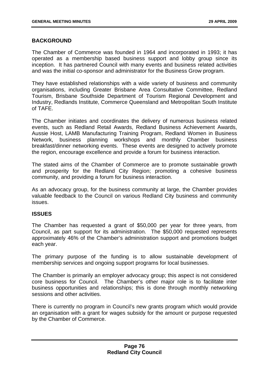## **BACKGROUND**

The Chamber of Commerce was founded in 1964 and incorporated in 1993; it has operated as a membership based business support and lobby group since its inception. It has partnered Council with many events and business related activities and was the initial co-sponsor and administrator for the Business Grow program.

They have established relationships with a wide variety of business and community organisations, including Greater Brisbane Area Consultative Committee, Redland Tourism, Brisbane Southside Department of Tourism Regional Development and Industry, Redlands Institute, Commerce Queensland and Metropolitan South Institute of TAFE.

The Chamber initiates and coordinates the delivery of numerous business related events, such as Redland Retail Awards, Redland Business Achievement Awards, Aussie Host, LAMB Manufacturing Training Program, Redland Women in Business Network, business planning workshops and monthly Chamber business breakfast/dinner networking events. These events are designed to actively promote the region, encourage excellence and provide a forum for business interaction.

The stated aims of the Chamber of Commerce are to promote sustainable growth and prosperity for the Redland City Region; promoting a cohesive business community, and providing a forum for business interaction.

As an advocacy group, for the business community at large, the Chamber provides valuable feedback to the Council on various Redland City business and community issues.

#### **ISSUES**

The Chamber has requested a grant of \$50,000 per year for three years, from Council, as part support for its administration. The \$50,000 requested represents approximately 46% of the Chamber's administration support and promotions budget each year.

The primary purpose of the funding is to allow sustainable development of membership services and ongoing support programs for local businesses.

The Chamber is primarily an employer advocacy group; this aspect is not considered core business for Council. The Chamber's other major role is to facilitate inter business opportunities and relationships; this is done through monthly networking sessions and other activities.

There is currently no program in Council's new grants program which would provide an organisation with a grant for wages subsidy for the amount or purpose requested by the Chamber of Commerce.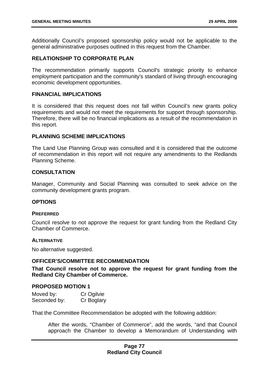Additionally Council's proposed sponsorship policy would not be applicable to the general administrative purposes outlined in this request from the Chamber.

## **RELATIONSHIP TO CORPORATE PLAN**

The recommendation primarily supports Council's strategic priority to enhance employment participation and the community's standard of living through encouraging economic development opportunities.

#### **FINANCIAL IMPLICATIONS**

It is considered that this request does not fall within Council's new grants policy requirements and would not meet the requirements for support through sponsorship. Therefore, there will be no financial implications as a result of the recommendation in this report.

### **PLANNING SCHEME IMPLICATIONS**

The Land Use Planning Group was consulted and it is considered that the outcome of recommendation in this report will not require any amendments to the Redlands Planning Scheme.

#### **CONSULTATION**

Manager, Community and Social Planning was consulted to seek advice on the community development grants program.

#### **OPTIONS**

#### **PREFERRED**

Council resolve to not approve the request for grant funding from the Redland City Chamber of Commerce.

#### **ALTERNATIVE**

No alternative suggested.

#### **OFFICER'S/COMMITTEE RECOMMENDATION**

**That Council resolve not to approve the request for grant funding from the Redland City Chamber of Commerce.** 

#### **PROPOSED MOTION 1**

| Moved by:    | Cr Ogilvie |
|--------------|------------|
| Seconded by: | Cr Boglary |

That the Committee Recommendation be adopted with the following addition:

After the words, "Chamber of Commerce", add the words, "and that Council approach the Chamber to develop a Memorandum of Understanding with

## **Page 77 Redland City Council**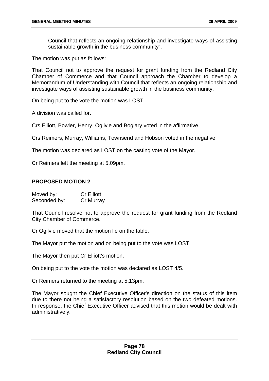Council that reflects an ongoing relationship and investigate ways of assisting sustainable growth in the business community".

The motion was put as follows:

That Council not to approve the request for grant funding from the Redland City Chamber of Commerce and that Council approach the Chamber to develop a Memorandum of Understanding with Council that reflects an ongoing relationship and investigate ways of assisting sustainable growth in the business community.

On being put to the vote the motion was LOST.

A division was called for.

Crs Elliott, Bowler, Henry, Ogilvie and Boglary voted in the affirmative.

Crs Reimers, Murray, Williams, Townsend and Hobson voted in the negative.

The motion was declared as LOST on the casting vote of the Mayor.

Cr Reimers left the meeting at 5.09pm.

## **PROPOSED MOTION 2**

| Moved by:    | <b>Cr Elliott</b> |
|--------------|-------------------|
| Seconded by: | Cr Murray         |

That Council resolve not to approve the request for grant funding from the Redland City Chamber of Commerce.

Cr Ogilvie moved that the motion lie on the table.

The Mayor put the motion and on being put to the vote was LOST.

The Mayor then put Cr Elliott's motion.

On being put to the vote the motion was declared as LOST 4/5.

Cr Reimers returned to the meeting at 5.13pm.

The Mayor sought the Chief Executive Officer's direction on the status of this item due to there not being a satisfactory resolution based on the two defeated motions. In response, the Chief Executive Officer advised that this motion would be dealt with administratively.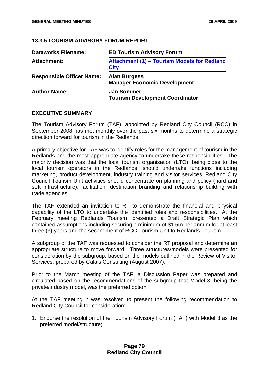## **13.3.5 TOURISM ADVISORY FORUM REPORT**

| <b>Dataworks Filename:</b>       | <b>ED Tourism Advisory Forum</b>                            |
|----------------------------------|-------------------------------------------------------------|
| Attachment:                      | Attachment (1) - Tourism Models for Redland<br><b>City</b>  |
| <b>Responsible Officer Name:</b> | <b>Alan Burgess</b><br><b>Manager Economic Development</b>  |
| <b>Author Name:</b>              | <b>Jan Sommer</b><br><b>Tourism Development Coordinator</b> |

#### **EXECUTIVE SUMMARY**

The Tourism Advisory Forum (TAF), appointed by Redland City Council (RCC) in September 2008 has met monthly over the past six months to determine a strategic direction forward for tourism in the Redlands.

A primary objective for TAF was to identify roles for the management of tourism in the Redlands and the most appropriate agency to undertake these responsibilities. The majority decision was that the local tourism organisation (LTO), being close to the local tourism operators in the Redlands, should undertake functions including marketing, product development, industry training and visitor services. Redland City Council Tourism Unit activities should concentrate on planning and policy (hard and soft infrastructure), facilitation, destination branding and relationship building with trade agencies.

The TAF extended an invitation to RT to demonstrate the financial and physical capability of the LTO to undertake the identified roles and responsibilities. At the February meeting Redlands Tourism, presented a Draft Strategic Plan which contained assumptions including securing a minimum of \$1.5m per annum for at least three (3) years and the secondment of RCC Tourism Unit to Redlands Tourism.

A subgroup of the TAF was requested to consider the RT proposal and determine an appropriate structure to move forward. Three structures/models were presented for consideration by the subgroup, based on the models outlined in the Review of Visitor Services, prepared by Calais Consulting (August 2007).

Prior to the March meeting of the TAF, a Discussion Paper was prepared and circulated based on the recommendations of the subgroup that Model 3, being the private/industry model, was the preferred option.

At the TAF meeting it was resolved to present the following recommendation to Redland City Council for consideration:

1. Endorse the resolution of the Tourism Advisory Forum (TAF) with Model 3 as the preferred model/structure;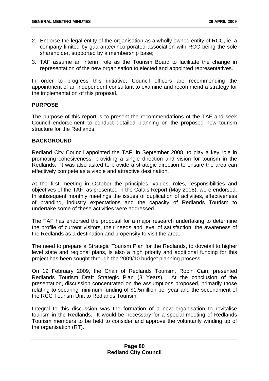- 2. Endorse the legal entity of the organisation as a wholly owned entity of RCC, ie. a company limited by guarantee/incorporated association with RCC being the sole shareholder, supported by a membership base;
- 3. TAF assume an interim role as the Tourism Board to facilitate the change in representation of the new organisation to elected and appointed representatives.

In order to progress this initiative, Council officers are recommending the appointment of an independent consultant to examine and recommend a strategy for the implementation of this proposal.

#### **PURPOSE**

The purpose of this report is to present the recommendations of the TAF and seek Council endorsement to conduct detailed planning on the proposed new tourism structure for the Redlands.

## **BACKGROUND**

Redland City Council appointed the TAF, in September 2008, to play a key role in promoting cohesiveness, providing a single direction and vision for tourism in the Redlands. It was also asked to provide a strategic direction to ensure the area can effectively compete as a viable and attractive destination.

At the first meeting in October the principles, values, roles, responsibilities and objectives of the TAF, as presented in the Calais Report (May 2008), were endorsed. In subsequent monthly meetings the issues of duplication of activities, effectiveness of branding, industry expectations and the capacity of Redlands Tourism to undertake some of these activities were addressed.

The TAF has endorsed the proposal for a major research undertaking to determine the profile of current visitors, their needs and level of satisfaction, the awareness of the Redlands as a destination and propensity to visit the area.

The need to prepare a Strategic Tourism Plan for the Redlands, to dovetail to higher level state and regional plans, is also a high priority and additional funding for this project has been sought through the 2009/10 budget planning process.

On 19 February 2009, the Chair of Redlands Tourism, Robin Cain, presented Redlands Tourism Draft Strategic Plan (3 Years). At the conclusion of the presentation, discussion concentrated on the assumptions proposed, primarily those relating to securing minimum funding of \$1.5million per year and the secondment of the RCC Tourism Unit to Redlands Tourism.

Integral to this discussion was the formation of a new organisation to revitalise tourism in the Redlands. It would be necessary for a special meeting of Redlands Tourism members to be held to consider and approve the voluntarily winding up of the organisation (RT).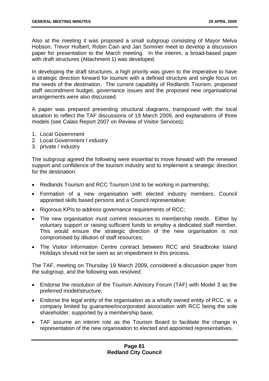Also at the meeting it was proposed a small subgroup consisting of Mayor Melva Hobson, Trevor Hulbert, Robin Cain and Jan Sommer meet to develop a discussion paper for presentation to the March meeting. In the interim, a broad-based paper with draft structures (Attachment 1) was developed.

In developing the draft structures, a high priority was given to the imperative to have a strategic direction forward for tourism with a defined structure and single focus on the needs of the destination. The current capability of Redlands Tourism, proposed staff secondment budget, governance issues and the proposed new organisational arrangements were also discussed.

A paper was prepared presenting structural diagrams, transposed with the local situation to reflect the TAF discussions of 19 March 2009, and explanations of three models (see Calais Report 2007 on Review of Visitor Services);

- 1. Local Government
- 2. Local Government / industry
- 3. private / industry

The subgroup agreed the following were essential to move forward with the renewed support and confidence of the tourism industry and to implement a strategic direction for the destination:

- Redlands Tourism and RCC Tourism Unit to be working in partnership;
- Formation of a new organisation with elected industry members, Council appointed skills based persons and a Council representative;
- Rigorous KPIs to address governance requirements of RCC;
- The new organisation must commit resources to membership needs. Either by voluntary support or raising sufficient funds to employ a dedicated staff member. This would ensure the strategic direction of the new organisation is not compromised by dilution of staff resources;
- The Visitor Information Centre contract between RCC and Stradbroke Island Holidays should not be seen as an impediment in this process.

The TAF, meeting on Thursday 19 March 2009, considered a discussion paper from the subgroup, and the following was resolved:

- Endorse the resolution of the Tourism Advisory Forum (TAF) with Model 3 as the preferred model/structure;
- Endorse the legal entity of the organisation as a wholly owned entity of RCC, ie, a company limited by guarantee/incorporated association with RCC being the sole shareholder, supported by a membership base;
- TAF assume an interim role as the Tourism Board to facilitate the change in representation of the new organisation to elected and appointed representatives.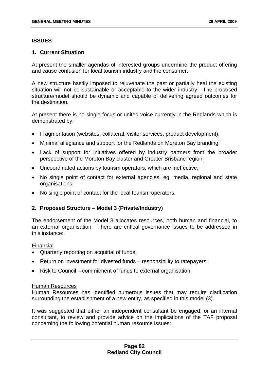## **ISSUES**

## **1. Current Situation**

At present the smaller agendas of interested groups undermine the product offering and cause confusion for local tourism industry and the consumer.

A new structure hastily imposed to rejuvenate the past or partially heal the existing situation will not be sustainable or acceptable to the wider industry. The proposed structure/model should be dynamic and capable of delivering agreed outcomes for the destination.

At present there is no single focus or united voice currently in the Redlands which is demonstrated by:

- Fragmentation (websites, collateral, visitor services, product development);
- Minimal allegiance and support for the Redlands on Moreton Bay branding;
- Lack of support for initiatives offered by industry partners from the broader perspective of the Moreton Bay cluster and Greater Brisbane region;
- Uncoordinated actions by tourism operators, which are ineffective;
- No single point of contact for external agencies, eg. media, regional and state organisations;
- No single point of contact for the local tourism operators.

## **2. Proposed Structure – Model 3 (Private/Industry)**

The endorsement of the Model 3 allocates resources, both human and financial, to an external organisation. There are critical governance issues to be addressed in this instance:

#### Financial

- Quarterly reporting on acquittal of funds;
- Return on investment for divested funds responsibility to ratepayers;
- Risk to Council commitment of funds to external organisation.

#### Human Resources

Human Resources has identified numerous issues that may require clarification surrounding the establishment of a new entity, as specified in this model (3).

It was suggested that either an independent consultant be engaged, or an internal consultant, to review and provide advice on the implications of the TAF proposal concerning the following potential human resource issues: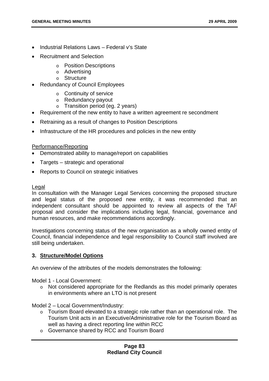- Industrial Relations Laws Federal v's State
- Recruitment and Selection
	- o Position Descriptions
	- o Advertising
	- o Structure
- Redundancy of Council Employees
	- o Continuity of service
	- o Redundancy payout
	- o Transition period (eg. 2 years)
- Requirement of the new entity to have a written agreement re secondment
- Retraining as a result of changes to Position Descriptions
- Infrastructure of the HR procedures and policies in the new entity

#### Performance/Reporting

- Demonstrated ability to manage/report on capabilities
- Targets strategic and operational
- Reports to Council on strategic initiatives

#### Legal

In consultation with the Manager Legal Services concerning the proposed structure and legal status of the proposed new entity, it was recommended that an independent consultant should be appointed to review all aspects of the TAF proposal and consider the implications including legal, financial, governance and human resources, and make recommendations accordingly.

Investigations concerning status of the new organisation as a wholly owned entity of Council, financial independence and legal responsibility to Council staff involved are still being undertaken.

#### **3. Structure/Model Options**

An overview of the attributes of the models demonstrates the following:

Model 1 - Local Government:

 $\circ$  Not considered appropriate for the Redlands as this model primarily operates in environments where an LTO is not present

Model 2 – Local Government/Industry:

- o Tourism Board elevated to a strategic role rather than an operational role. The Tourism Unit acts in an Executive/Administrative role for the Tourism Board as well as having a direct reporting line within RCC
- o Governance shared by RCC and Tourism Board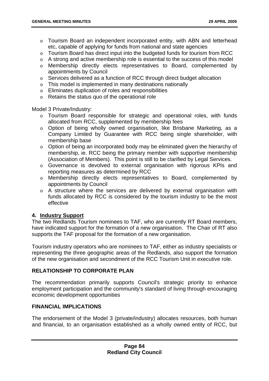- o Tourism Board an independent incorporated entity, with ABN and letterhead etc, capable of applying for funds from national and state agencies
- o Tourism Board has direct input into the budgeted funds for tourism from RCC
- o A strong and active membership role is essential to the success of this model
- o Membership directly elects representatives to Board, complemented by appointments by Council
- o Services delivered as a function of RCC through direct budget allocation
- o This model is implemented in many destinations nationally
- o Eliminates duplication of roles and responsibilities
- o Retains the status quo of the operational role

Model 3 Private/Industry:

- o Tourism Board responsible for strategic and operational roles, with funds allocated from RCC, supplemented by membership fees
- o Option of being wholly owned organisation, like Brisbane Marketing, as a Company Limited by Guarantee with RCC being single shareholder, with membership base
- o Option of being an incorporated body may be eliminated given the hierarchy of membership, ie. RCC being the primary member with supportive membership (Association of Members). This point is still to be clarified by Legal Services.
- o Governance is devolved to external organisation with rigorous KPIs and reporting measures as determined by RCC
- o Membership directly elects representatives to Board, complemented by appointments by Council
- o A structure where the services are delivered by external organisation with funds allocated by RCC is considered by the tourism industry to be the most effective

## **4. Industry Support**

The two Redlands Tourism nominees to TAF, who are currently RT Board members, have indicated support for the formation of a new organisation. The Chair of RT also supports the TAF proposal for the formation of a new organisation.

Tourism industry operators who are nominees to TAF, either as industry specialists or representing the three geographic areas of the Redlands, also support the formation of the new organisation and secondment of the RCC Tourism Unit in executive role.

## **RELATIONSHIP TO CORPORATE PLAN**

The recommendation primarily supports Council's strategic priority to enhance employment participation and the community's standard of living through encouraging economic development opportunities

## **FINANCIAL IMPLICATIONS**

The endorsement of the Model 3 (private/industry) allocates resources, both human and financial, to an organisation established as a wholly owned entity of RCC, but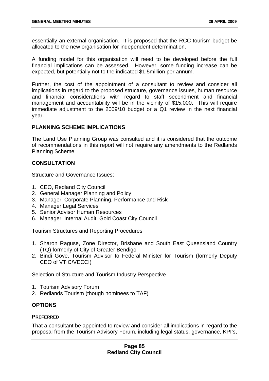essentially an external organisation. It is proposed that the RCC tourism budget be allocated to the new organisation for independent determination.

A funding model for this organisation will need to be developed before the full financial implications can be assessed. However, some funding increase can be expected, but potentially not to the indicated \$1.5million per annum.

Further, the cost of the appointment of a consultant to review and consider all implications in regard to the proposed structure, governance issues, human resource and financial considerations with regard to staff secondment and financial management and accountability will be in the vicinity of \$15,000. This will require immediate adjustment to the 2009/10 budget or a Q1 review in the next financial year.

## **PLANNING SCHEME IMPLICATIONS**

The Land Use Planning Group was consulted and it is considered that the outcome of recommendations in this report will not require any amendments to the Redlands Planning Scheme.

## **CONSULTATION**

Structure and Governance Issues:

- 1. CEO, Redland City Council
- 2. General Manager Planning and Policy
- 3. Manager, Corporate Planning, Performance and Risk
- 4. Manager Legal Services
- 5. Senior Advisor Human Resources
- 6. Manager, Internal Audit, Gold Coast City Council

Tourism Structures and Reporting Procedures

- 1. Sharon Raguse, Zone Director, Brisbane and South East Queensland Country (TQ) formerly of City of Greater Bendigo
- 2. Bindi Gove, Tourism Advisor to Federal Minister for Tourism (formerly Deputy CEO of VTIC/VECCI)

Selection of Structure and Tourism Industry Perspective

- 1. Tourism Advisory Forum
- 2. Redlands Tourism (though nominees to TAF)

## **OPTIONS**

#### **PREFERRED**

That a consultant be appointed to review and consider all implications in regard to the proposal from the Tourism Advisory Forum, including legal status, governance, KPI's,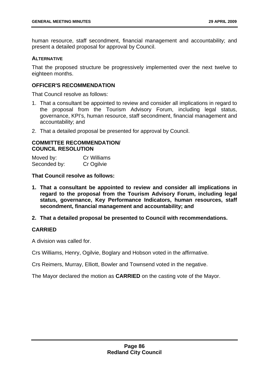human resource, staff secondment, financial management and accountability; and present a detailed proposal for approval by Council.

### **ALTERNATIVE**

That the proposed structure be progressively implemented over the next twelve to eighteen months.

## **OFFICER'S RECOMMENDATION**

That Council resolve as follows:

- 1. That a consultant be appointed to review and consider all implications in regard to the proposal from the Tourism Advisory Forum, including legal status, governance, KPI's, human resource, staff secondment, financial management and accountability; and
- 2. That a detailed proposal be presented for approval by Council.

#### **COMMITTEE RECOMMENDATION/ COUNCIL RESOLUTION**

Moved by: Cr Williams Seconded by: Cr Ogilvie

**That Council resolve as follows:** 

- **1. That a consultant be appointed to review and consider all implications in regard to the proposal from the Tourism Advisory Forum, including legal status, governance, Key Performance Indicators, human resources, staff secondment, financial management and accountability; and**
- **2. That a detailed proposal be presented to Council with recommendations.**

## **CARRIED**

A division was called for.

Crs Williams, Henry, Ogilvie, Boglary and Hobson voted in the affirmative.

Crs Reimers, Murray, Elliott, Bowler and Townsend voted in the negative.

The Mayor declared the motion as **CARRIED** on the casting vote of the Mayor.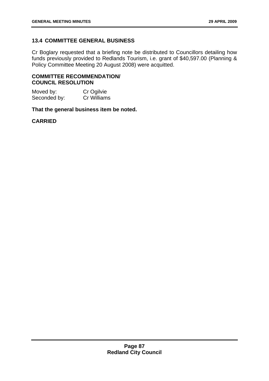# **13.4 COMMITTEE GENERAL BUSINESS**

Cr Boglary requested that a briefing note be distributed to Councillors detailing how funds previously provided to Redlands Tourism, i.e. grant of \$40,597.00 (Planning & Policy Committee Meeting 20 August 2008) were acquitted.

### **COMMITTEE RECOMMENDATION/ COUNCIL RESOLUTION**

Moved by: Cr Ogilvie<br>
Seconded by: Cr Williams  $Seconded by:$ 

**That the general business item be noted.** 

## **CARRIED**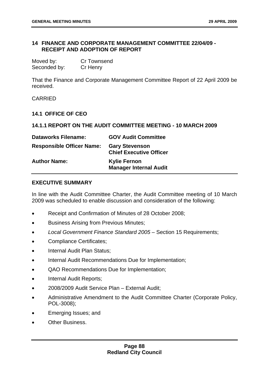## **14 FINANCE AND CORPORATE MANAGEMENT COMMITTEE 22/04/09 - RECEIPT AND ADOPTION OF REPORT**

| Moved by:    | <b>Cr Townsend</b> |
|--------------|--------------------|
| Seconded by: | Cr Henry           |

That the Finance and Corporate Management Committee Report of 22 April 2009 be received.

CARRIED

### **14.1 OFFICE OF CEO**

#### **14.1.1 REPORT ON THE AUDIT COMMITTEE MEETING - 10 MARCH 2009**

| <b>Dataworks Filename:</b>       | <b>GOV Audit Committee</b>                              |
|----------------------------------|---------------------------------------------------------|
| <b>Responsible Officer Name:</b> | <b>Gary Stevenson</b><br><b>Chief Executive Officer</b> |
| <b>Author Name:</b>              | <b>Kylie Fernon</b><br><b>Manager Internal Audit</b>    |

#### **EXECUTIVE SUMMARY**

In line with the Audit Committee Charter, the Audit Committee meeting of 10 March 2009 was scheduled to enable discussion and consideration of the following:

- Receipt and Confirmation of Minutes of 28 October 2008;
- Business Arising from Previous Minutes;
- *Local Government Finance Standard 2005* Section 15 Requirements;
- Compliance Certificates;
- Internal Audit Plan Status;
- Internal Audit Recommendations Due for Implementation;
- QAO Recommendations Due for Implementation;
- Internal Audit Reports;
- 2008/2009 Audit Service Plan External Audit;
- Administrative Amendment to the Audit Committee Charter (Corporate Policy, POL-3008);
- Emerging Issues; and
- **Other Business.**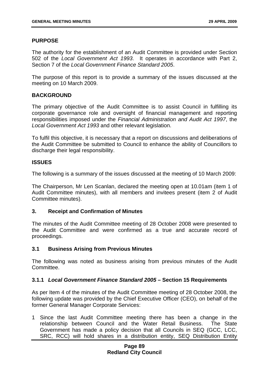## **PURPOSE**

The authority for the establishment of an Audit Committee is provided under Section 502 of the *Local Government Act 1993*. It operates in accordance with Part 2, Section 7 of the *Local Government Finance Standard 2005*.

The purpose of this report is to provide a summary of the issues discussed at the meeting on 10 March 2009.

## **BACKGROUND**

The primary objective of the Audit Committee is to assist Council in fulfilling its corporate governance role and oversight of financial management and reporting responsibilities imposed under the *Financial Administration and Audit Act 1997*, the *Local Government Act 1993* and other relevant legislation.

To fulfil this objective, it is necessary that a report on discussions and deliberations of the Audit Committee be submitted to Council to enhance the ability of Councillors to discharge their legal responsibility.

## **ISSUES**

The following is a summary of the issues discussed at the meeting of 10 March 2009:

The Chairperson, Mr Len Scanlan, declared the meeting open at 10.01am (item 1 of Audit Committee minutes), with all members and invitees present (item 2 of Audit Committee minutes).

#### **3. Receipt and Confirmation of Minutes**

The minutes of the Audit Committee meeting of 28 October 2008 were presented to the Audit Committee and were confirmed as a true and accurate record of proceedings.

## **3.1 Business Arising from Previous Minutes**

The following was noted as business arising from previous minutes of the Audit Committee.

#### **3.1.1** *Local Government Finance Standard 2005* **– Section 15 Requirements**

As per Item 4 of the minutes of the Audit Committee meeting of 28 October 2008, the following update was provided by the Chief Executive Officer (CEO), on behalf of the former General Manager Corporate Services:

1 Since the last Audit Committee meeting there has been a change in the relationship between Council and the Water Retail Business. The State Government has made a policy decision that all Councils in SEQ (GCC, LCC, SRC, RCC) will hold shares in a distribution entity, SEQ Distribution Entity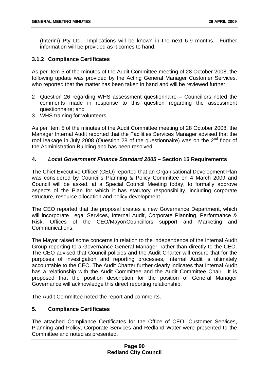(Interim) Pty Ltd. Implications will be known in the next 6-9 months. Further information will be provided as it comes to hand.

## **3.1.2 Compliance Certificates**

As per Item 5 of the minutes of the Audit Committee meeting of 28 October 2008, the following update was provided by the Acting General Manager Customer Services, who reported that the matter has been taken in hand and will be reviewed further:

- 2 Question 26 regarding WHS assessment questionnaire Councillors noted the comments made in response to this question regarding the assessment questionnaire; and
- 3 WHS training for volunteers.

As per Item 5 of the minutes of the Audit Committee meeting of 28 October 2008, the Manager Internal Audit reported that the Facilities Services Manager advised that the roof leakage in July 2008 (Question 28 of the questionnaire) was on the  $2<sup>nd</sup>$  floor of the Administration Building and has been resolved.

## **4.** *Local Government Finance Standard 2005* **– Section 15 Requirements**

The Chief Executive Officer (CEO) reported that an Organisational Development Plan was considered by Council's Planning & Policy Committee on 4 March 2009 and Council will be asked, at a Special Council Meeting today, to formally approve aspects of the Plan for which it has statutory responsibility, including corporate structure, resource allocation and policy development.

The CEO reported that the proposal creates a new Governance Department, which will incorporate Legal Services, Internal Audit, Corporate Planning, Performance & Risk, Offices of the CEO/Mayor/Councillors support and Marketing and Communications.

The Mayor raised some concerns in relation to the independence of the Internal Audit Group reporting to a Governance General Manager, rather than directly to the CEO. The CEO advised that Council policies and the Audit Charter will ensure that for the purposes of investigation and reporting processes, Internal Audit is ultimately accountable to the CEO. The Audit Charter further clearly indicates that Internal Audit has a relationship with the Audit Committee and the Audit Committee Chair. It is proposed that the position description for the position of General Manager Governance will acknowledge this direct reporting relationship.

The Audit Committee noted the report and comments.

## **5. Compliance Certificates**

The attached Compliance Certificates for the Office of CEO, Customer Services, Planning and Policy, Corporate Services and Redland Water were presented to the Committee and noted as presented.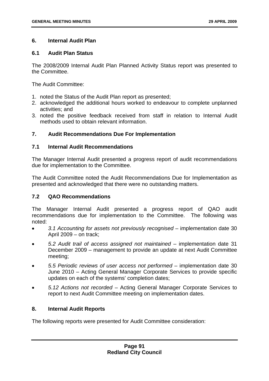## **6. Internal Audit Plan**

## **6.1 Audit Plan Status**

The 2008/2009 Internal Audit Plan Planned Activity Status report was presented to the Committee.

The Audit Committee:

- 1. noted the Status of the Audit Plan report as presented;
- 2. acknowledged the additional hours worked to endeavour to complete unplanned activities; and
- 3. noted the positive feedback received from staff in relation to Internal Audit methods used to obtain relevant information.

## **7. Audit Recommendations Due For Implementation**

## **7.1 Internal Audit Recommendations**

The Manager Internal Audit presented a progress report of audit recommendations due for implementation to the Committee.

The Audit Committee noted the Audit Recommendations Due for Implementation as presented and acknowledged that there were no outstanding matters.

## **7.2 QAO Recommendations**

The Manager Internal Audit presented a progress report of QAO audit recommendations due for implementation to the Committee. The following was noted:

- *3.1 Accounting for assets not previously recognised* implementation date 30 April 2009 – on track;
- *5.2 Audit trail of access assigned not maintained* implementation date 31 December 2009 – management to provide an update at next Audit Committee meeting;
- *5.5 Periodic reviews of user access not performed* implementation date 30 June 2010 – Acting General Manager Corporate Services to provide specific updates on each of the systems' completion dates;
- *5.12 Actions not recorded* Acting General Manager Corporate Services to report to next Audit Committee meeting on implementation dates.

## **8. Internal Audit Reports**

The following reports were presented for Audit Committee consideration: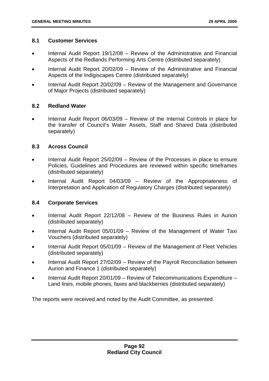#### **8.1 Customer Services**

- Internal Audit Report 19/12/08 Review of the Administrative and Financial Aspects of the Redlands Performing Arts Centre (distributed separately)
- Internal Audit Report 20/02/09 Review of the Administrative and Financial Aspects of the Indigiscapes Centre (distributed separately)
- Internal Audit Report 20/02/09 Review of the Management and Governance of Major Projects (distributed separately)

#### **8.2 Redland Water**

• Internal Audit Report 06/03/09 – Review of the Internal Controls in place for the transfer of Council's Water Assets, Staff and Shared Data (distributed separately)

## **8.3 Across Council**

- Internal Audit Report 25/02/09 Review of the Processes in place to ensure Policies, Guidelines and Procedures are reviewed within specific timeframes (distributed separately)
- Internal Audit Report 04/03/09 Review of the Appropriateness of Interpretation and Application of Regulatory Charges (distributed separately)

#### **8.4 Corporate Services**

- Internal Audit Report 22/12/08 Review of the Business Rules in Aurion (distributed separately)
- Internal Audit Report 05/01/09 Review of the Management of Water Taxi Vouchers (distributed separately)
- Internal Audit Report 05/01/09 Review of the Management of Fleet Vehicles (distributed separately)
- Internal Audit Report 27/02/09 Review of the Payroll Reconciliation between Aurion and Finance 1 (distributed separately)
- Internal Audit Report 20/01/09 Review of Telecommunications Expenditure Land lines, mobile phones, faxes and blackberries (distributed separately)

The reports were received and noted by the Audit Committee, as presented.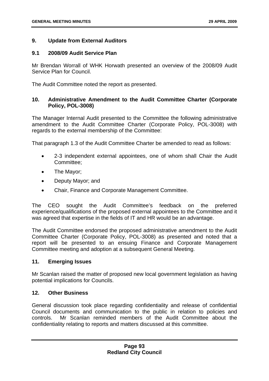### **9. Update from External Auditors**

#### **9.1 2008/09 Audit Service Plan**

Mr Brendan Worrall of WHK Horwath presented an overview of the 2008/09 Audit Service Plan for Council.

The Audit Committee noted the report as presented.

## **10. Administrative Amendment to the Audit Committee Charter (Corporate Policy, POL-3008)**

The Manager Internal Audit presented to the Committee the following administrative amendment to the Audit Committee Charter (Corporate Policy, POL-3008) with regards to the external membership of the Committee:

That paragraph 1.3 of the Audit Committee Charter be amended to read as follows:

- 2-3 independent external appointees, one of whom shall Chair the Audit Committee;
- The Mavor:
- Deputy Mayor; and
- Chair, Finance and Corporate Management Committee.

The CEO sought the Audit Committee's feedback on the preferred experience/qualifications of the proposed external appointees to the Committee and it was agreed that expertise in the fields of IT and HR would be an advantage.

The Audit Committee endorsed the proposed administrative amendment to the Audit Committee Charter (Corporate Policy, POL-3008) as presented and noted that a report will be presented to an ensuing Finance and Corporate Management Committee meeting and adoption at a subsequent General Meeting.

#### **11. Emerging Issues**

Mr Scanlan raised the matter of proposed new local government legislation as having potential implications for Councils.

#### **12. Other Business**

General discussion took place regarding confidentiality and release of confidential Council documents and communication to the public in relation to policies and controls. Mr Scanlan reminded members of the Audit Committee about the confidentiality relating to reports and matters discussed at this committee.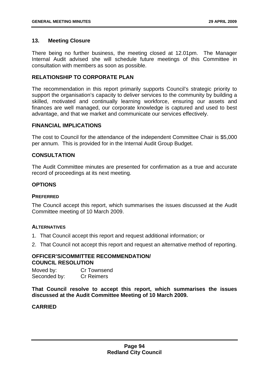## **13. Meeting Closure**

There being no further business, the meeting closed at 12.01pm. The Manager Internal Audit advised she will schedule future meetings of this Committee in consultation with members as soon as possible.

## **RELATIONSHIP TO CORPORATE PLAN**

The recommendation in this report primarily supports Council's strategic priority to support the organisation's capacity to deliver services to the community by building a skilled, motivated and continually learning workforce, ensuring our assets and finances are well managed, our corporate knowledge is captured and used to best advantage, and that we market and communicate our services effectively.

#### **FINANCIAL IMPLICATIONS**

The cost to Council for the attendance of the independent Committee Chair is \$5,000 per annum. This is provided for in the Internal Audit Group Budget.

## **CONSULTATION**

The Audit Committee minutes are presented for confirmation as a true and accurate record of proceedings at its next meeting.

## **OPTIONS**

#### **PREFERRED**

The Council accept this report, which summarises the issues discussed at the Audit Committee meeting of 10 March 2009.

### **ALTERNATIVES**

- 1. That Council accept this report and request additional information; or
- 2. That Council not accept this report and request an alternative method of reporting.

## **OFFICER'S/COMMITTEE RECOMMENDATION/ COUNCIL RESOLUTION**

Moved by: Cr Townsend Seconded by: Cr Reimers

**That Council resolve to accept this report, which summarises the issues discussed at the Audit Committee Meeting of 10 March 2009.** 

## **CARRIED**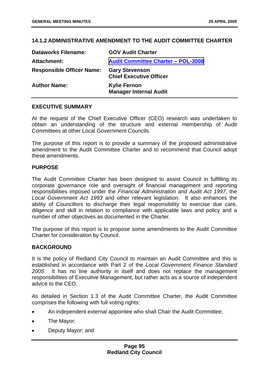## **14.1.2 ADMINISTRATIVE AMENDMENT TO THE AUDIT COMMITTEE CHARTER**

| <b>Dataworks Filename:</b>       | <b>GOV Audit Charter</b>                                |
|----------------------------------|---------------------------------------------------------|
| Attachment:                      | <b>Audit Committee Charter - POL-3008</b>               |
| <b>Responsible Officer Name:</b> | <b>Gary Stevenson</b><br><b>Chief Executive Officer</b> |
| <b>Author Name:</b>              | <b>Kylie Fernon</b><br><b>Manager Internal Audit</b>    |

#### **EXECUTIVE SUMMARY**

At the request of the Chief Executive Officer (CEO) research was undertaken to obtain an understanding of the structure and external membership of Audit Committees at other Local Government Councils.

The purpose of this report is to provide a summary of the proposed administrative amendment to the Audit Committee Charter and to recommend that Council adopt these amendments.

#### **PURPOSE**

The Audit Committee Charter has been designed to assist Council in fulfilling its corporate governance role and oversight of financial management and reporting responsibilities imposed under the *Financial Administration and Audit Act 1997*, the *Local Government Act 1993* and other relevant legislation. It also enhances the ability of Councillors to discharge their legal responsibility to exercise due care, diligence and skill in relation to compliance with applicable laws and policy and a number of other objectives as documented in the Charter.

The purpose of this report is to propose some amendments to the Audit Committee Charter for consideration by Council.

#### **BACKGROUND**

It is the policy of Redland City Council to maintain an Audit Committee and this is established in accordance with Part 2 of the *Local Government Finance Standard 2005*. It has no line authority in itself and does not replace the management responsibilities of Executive Management, but rather acts as a source of independent advice to the CEO.

As detailed in Section 1.3 of the Audit Committee Charter, the Audit Committee comprises the following with full voting rights:

- An independent external appointee who shall Chair the Audit Committee;
- The Mayor;
- Deputy Mayor; and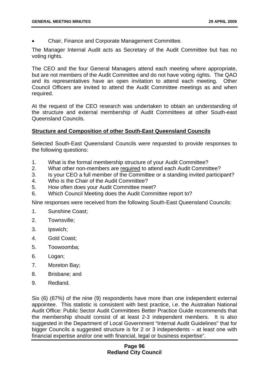• Chair, Finance and Corporate Management Committee.

The Manager Internal Audit acts as Secretary of the Audit Committee but has no voting rights.

The CEO and the four General Managers attend each meeting where appropriate, but are not members of the Audit Committee and do not have voting rights. The QAO and its representatives have an open invitation to attend each meeting. Other Council Officers are invited to attend the Audit Committee meetings as and when required.

At the request of the CEO research was undertaken to obtain an understanding of the structure and external membership of Audit Committees at other South-east Queensland Councils.

## **Structure and Composition of other South-East Queensland Councils**

Selected South-East Queensland Councils were requested to provide responses to the following questions:

- 1. What is the formal membership structure of your Audit Committee?
- 2. What other non-members are required to attend each Audit Committee?
- 3. Is your CEO a full member of the Committee or a standing invited participant?
- 4. Who is the Chair of the Audit Committee?
- 5. How often does your Audit Committee meet?
- 6. Which Council Meeting does the Audit Committee report to?

Nine responses were received from the following South-East Queensland Councils:

- 1. Sunshine Coast;
- 2. Townsville;
- 3. Ipswich;
- 4. Gold Coast;
- 5. Toowoomba;
- 6. Logan;
- 7. Moreton Bay;
- 8. Brisbane; and
- 9. Redland.

Six (6) (67%) of the nine (9) respondents have more than one independent external appointee. This statistic is consistent with best practice, i.e. the Australian National Audit Office: Public Sector Audit Committees Better Practice Guide recommends that the membership should consist of at least 2-3 independent members. It is also suggested in the Department of Local Government "Internal Audit Guidelines" that for bigger Councils a suggested structure is for 2 or 3 independents – at least one with financial expertise and/or one with financial, legal or business expertise".

### **Page 96 Redland City Council**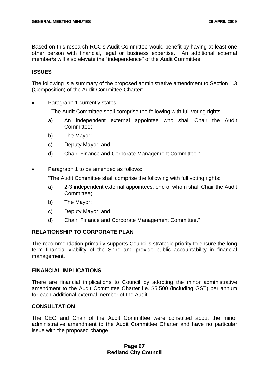Based on this research RCC's Audit Committee would benefit by having at least one other person with financial, legal or business expertise. An additional external member/s will also elevate the "independence" of the Audit Committee.

## **ISSUES**

The following is a summary of the proposed administrative amendment to Section 1.3 (Composition) of the Audit Committee Charter:

Paragraph 1 currently states:

"The Audit Committee shall comprise the following with full voting rights:

- a) An independent external appointee who shall Chair the Audit Committee;
- b) The Mayor;
- c) Deputy Mayor; and
- d) Chair, Finance and Corporate Management Committee."
- Paragraph 1 to be amended as follows:

"The Audit Committee shall comprise the following with full voting rights:

- a) 2-3 independent external appointees, one of whom shall Chair the Audit Committee;
- b) The Mayor;
- c) Deputy Mayor; and
- d) Chair, Finance and Corporate Management Committee."

## **RELATIONSHIP TO CORPORATE PLAN**

The recommendation primarily supports Council's strategic priority to ensure the long term financial viability of the Shire and provide public accountability in financial management.

## **FINANCIAL IMPLICATIONS**

There are financial implications to Council by adopting the minor administrative amendment to the Audit Committee Charter i.e. \$5,500 (including GST) per annum for each additional external member of the Audit.

#### **CONSULTATION**

The CEO and Chair of the Audit Committee were consulted about the minor administrative amendment to the Audit Committee Charter and have no particular issue with the proposed change.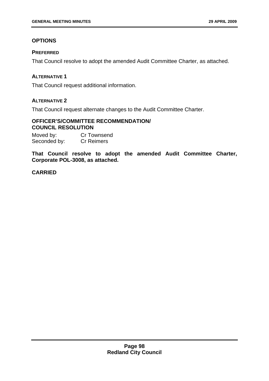# **OPTIONS**

## **PREFERRED**

That Council resolve to adopt the amended Audit Committee Charter, as attached.

## **ALTERNATIVE 1**

That Council request additional information.

# **ALTERNATIVE 2**

That Council request alternate changes to the Audit Committee Charter.

## **OFFICER'S/COMMITTEE RECOMMENDATION/ COUNCIL RESOLUTION**

Moved by: Cr Townsend Seconded by: Cr Reimers

**That Council resolve to adopt the amended Audit Committee Charter, Corporate POL-3008, as attached.** 

# **CARRIED**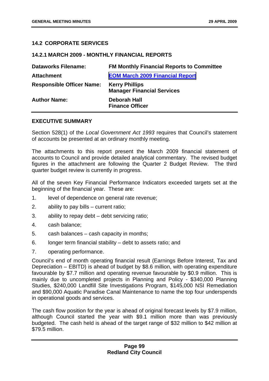## **14.2 CORPORATE SERVICES**

### **14.2.1 MARCH 2009 - MONTHLY FINANCIAL REPORTS**

| <b>Dataworks Filename:</b>       | <b>FM Monthly Financial Reports to Committee</b>           |
|----------------------------------|------------------------------------------------------------|
| <b>Attachment</b>                | <b>EOM March 2009 Financial Report</b>                     |
| <b>Responsible Officer Name:</b> | <b>Kerry Phillips</b><br><b>Manager Financial Services</b> |
| <b>Author Name:</b>              | Deborah Hall<br><b>Finance Officer</b>                     |

## **EXECUTIVE SUMMARY**

Section 528(1) of the *Local Government Act 1993* requires that Council's statement of accounts be presented at an ordinary monthly meeting.

The attachments to this report present the March 2009 financial statement of accounts to Council and provide detailed analytical commentary. The revised budget figures in the attachment are following the Quarter 2 Budget Review. The third quarter budget review is currently in progress.

All of the seven Key Financial Performance Indicators exceeded targets set at the beginning of the financial year. These are:

- 1. level of dependence on general rate revenue;
- 2. ability to pay bills current ratio;
- 3. ability to repay debt debt servicing ratio;
- 4. cash balance;
- 5. cash balances cash capacity in months;
- 6. longer term financial stability debt to assets ratio; and
- 7. operating performance.

Council's end of month operating financial result (Earnings Before Interest, Tax and Depreciation – EBITD) is ahead of budget by \$8.6 million, with operating expenditure favourable by \$7.7 million and operating revenue favourable by \$0.9 million. This is mainly due to uncompleted projects in Planning and Policy - \$340,000 Planning Studies, \$240,000 Landfill Site Investigations Program, \$145,000 NSI Remediation and \$90,000 Aquatic Paradise Canal Maintenance to name the top four underspends in operational goods and services.

The cash flow position for the year is ahead of original forecast levels by \$7.9 million, although Council started the year with \$9.1 million more than was previously budgeted. The cash held is ahead of the target range of \$32 million to \$42 million at \$79.5 million.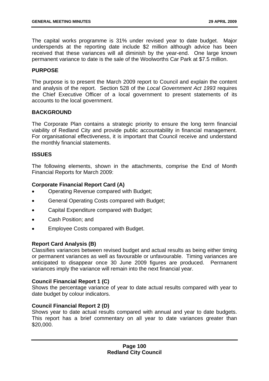The capital works programme is 31% under revised year to date budget. Major underspends at the reporting date include \$2 million although advice has been received that these variances will all diminish by the year-end. One large known permanent variance to date is the sale of the Woolworths Car Park at \$7.5 million.

### **PURPOSE**

The purpose is to present the March 2009 report to Council and explain the content and analysis of the report. Section 528 of the *Local Government Act 1993* requires the Chief Executive Officer of a local government to present statements of its accounts to the local government.

#### **BACKGROUND**

The Corporate Plan contains a strategic priority to ensure the long term financial viability of Redland City and provide public accountability in financial management. For organisational effectiveness, it is important that Council receive and understand the monthly financial statements.

#### **ISSUES**

The following elements, shown in the attachments, comprise the End of Month Financial Reports for March 2009:

## **Corporate Financial Report Card (A)**

- Operating Revenue compared with Budget;
- General Operating Costs compared with Budget;
- Capital Expenditure compared with Budget;
- Cash Position; and
- Employee Costs compared with Budget.

#### **Report Card Analysis (B)**

Classifies variances between revised budget and actual results as being either timing or permanent variances as well as favourable or unfavourable. Timing variances are anticipated to disappear once 30 June 2009 figures are produced. Permanent variances imply the variance will remain into the next financial year.

#### **Council Financial Report 1 (C)**

Shows the percentage variance of year to date actual results compared with year to date budget by colour indicators.

#### **Council Financial Report 2 (D)**

Shows year to date actual results compared with annual and year to date budgets. This report has a brief commentary on all year to date variances greater than \$20,000.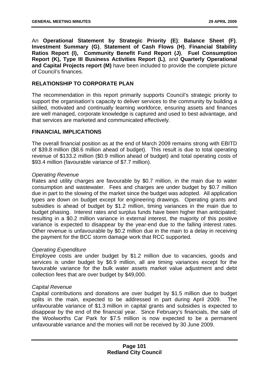An **Operational Statement by Strategic Priority (E)**; **Balance Sheet (F)**, **Investment Summary (G)**, **Statement of Cash Flows (H)**, **Financial Stability Ratios Report (I), Community Benefit Fund Report (J)**, **Fuel Consumption Report (K), Type III Business Activities Report (L)**, and **Quarterly Operational and Capital Projects report (M)** have been included to provide the complete picture of Council's finances.

# **RELATIONSHIP TO CORPORATE PLAN**

The recommendation in this report primarily supports Council's strategic priority to support the organisation's capacity to deliver services to the community by building a skilled, motivated and continually learning workforce, ensuring assets and finances are well managed, corporate knowledge is captured and used to best advantage, and that services are marketed and communicated effectively.

## **FINANCIAL IMPLICATIONS**

The overall financial position as at the end of March 2009 remains strong with EBITD of \$39.8 million (\$8.6 million ahead of budget). This result is due to total operating revenue of \$133.2 million (\$0.9 million ahead of budget) and total operating costs of \$93.4 million (favourable variance of \$7.7 million).

## *Operating Revenue*

Rates and utility charges are favourable by \$0.7 million, in the main due to water consumption and wastewater. Fees and charges are under budget by \$0.7 million due in part to the slowing of the market since the budget was adopted. All application types are down on budget except for engineering drawings. Operating grants and subsidies is ahead of budget by \$1.2 million, timing variances in the main due to budget phasing. Interest rates and surplus funds have been higher than anticipated; resulting in a \$0.2 million variance in external interest, the majority of this positive variance is expected to disappear by the year-end due to the falling interest rates. Other revenue is unfavourable by \$0.2 million due in the main to a delay in receiving the payment for the BCC storm damage work that RCC supported.

#### *Operating Expenditure*

Employee costs are under budget by \$1.2 million due to vacancies, goods and services is under budget by \$6.9 million, all are timing variances except for the favourable variance for the bulk water assets market value adjustment and debt collection fees that are over budget by \$49,000.

#### *Capital Revenue*

Capital contributions and donations are over budget by \$1.5 million due to budget splits in the main, expected to be addressed in part during April 2009. The unfavourable variance of \$1.3 million in capital grants and subsidies is expected to disappear by the end of the financial year. Since February's financials, the sale of the Woolworths Car Park for \$7.5 million is now expected to be a permanent unfavourable variance and the monies will not be received by 30 June 2009.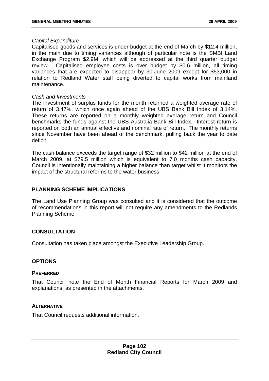#### *Capital Expenditure*

Capitalised goods and services is under budget at the end of March by \$12.4 million, in the main due to timing variances although of particular note is the SMBI Land Exchange Program \$2.9M, which will be addressed at the third quarter budget review. Capitalised employee costs is over budget by \$0.6 million, all timing variances that are expected to disappear by 30 June 2009 except for \$53,000 in relation to Redland Water staff being diverted to capital works from mainland maintenance.

#### *Cash and Investments*

The investment of surplus funds for the month returned a weighted average rate of return of 3.47%, which once again ahead of the UBS Bank Bill Index of 3.14%. These returns are reported on a monthly weighted average return and Council benchmarks the funds against the UBS Australia Bank Bill Index. Interest return is reported on both an annual effective and nominal rate of return. The monthly returns since November have been ahead of the benchmark, pulling back the year to date deficit.

The cash balance exceeds the target range of \$32 million to \$42 million at the end of March 2009, at \$79.5 million which is equivalent to 7.0 months cash capacity. Council is intentionally maintaining a higher balance than target whilst it monitors the impact of the structural reforms to the water business.

## **PLANNING SCHEME IMPLICATIONS**

The Land Use Planning Group was consulted and it is considered that the outcome of recommendations in this report will not require any amendments to the Redlands Planning Scheme.

#### **CONSULTATION**

Consultation has taken place amongst the Executive Leadership Group.

#### **OPTIONS**

#### **PREFERRED**

That Council note the End of Month Financial Reports for March 2009 and explanations, as presented in the attachments.

#### **ALTERNATIVE**

That Council requests additional information.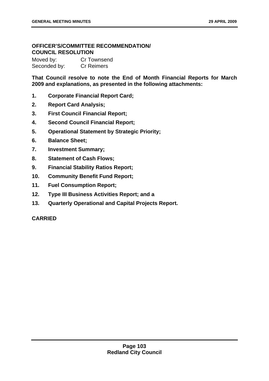# **OFFICER'S/COMMITTEE RECOMMENDATION/ COUNCIL RESOLUTION**

Moved by: Cr Townsend Seconded by: Cr Reimers

**That Council resolve to note the End of Month Financial Reports for March 2009 and explanations, as presented in the following attachments:** 

- **1. Corporate Financial Report Card;**
- **2. Report Card Analysis;**
- **3. First Council Financial Report;**
- **4. Second Council Financial Report;**
- **5. Operational Statement by Strategic Priority;**
- **6. Balance Sheet;**
- **7. Investment Summary;**
- **8. Statement of Cash Flows;**
- **9. Financial Stability Ratios Report;**
- **10. Community Benefit Fund Report;**
- **11. Fuel Consumption Report;**
- **12. Type III Business Activities Report; and a**
- **13. Quarterly Operational and Capital Projects Report.**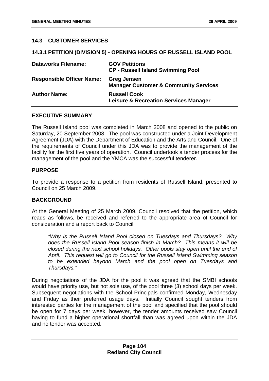### **14.3 CUSTOMER SERVICES**

### **14.3.1 PETITION (DIVISION 5) - OPENING HOURS OF RUSSELL ISLAND POOL**

| <b>Dataworks Filename:</b>       | <b>GOV Petitions</b><br><b>CP - Russell Island Swimming Pool</b>        |
|----------------------------------|-------------------------------------------------------------------------|
| <b>Responsible Officer Name:</b> | <b>Greg Jensen</b><br><b>Manager Customer &amp; Community Services</b>  |
| <b>Author Name:</b>              | <b>Russell Cook</b><br><b>Leisure &amp; Recreation Services Manager</b> |

### **EXECUTIVE SUMMARY**

The Russell Island pool was completed in March 2008 and opened to the public on Saturday, 20 September 2008. The pool was constructed under a Joint Development Agreement (JDA) with the Department of Education and the Arts and Council. One of the requirements of Council under this JDA was to provide the management of the facility for the first five years of operation. Council undertook a tender process for the management of the pool and the YMCA was the successful tenderer.

# **PURPOSE**

To provide a response to a petition from residents of Russell Island, presented to Council on 25 March 2009.

### **BACKGROUND**

At the General Meeting of 25 March 2009, Council resolved that the petition, which reads as follows, be received and referred to the appropriate area of Council for consideration and a report back to Council:

 *"Why is the Russell Island Pool closed on Tuesdays and Thursdays? Why does the Russell island Pool season finish in March? This means it will be closed during the next school holidays. Other pools stay open until the end of April. This request will go to Council for the Russell Island Swimming season to be extended beyond March and the pool open on Tuesdays and Thursdays."* 

During negotiations of the JDA for the pool it was agreed that the SMBI schools would have priority use, but not sole use, of the pool three (3) school days per week. Subsequent negotiations with the School Principals confirmed Monday, Wednesday and Friday as their preferred usage days. Initially Council sought tenders from interested parties for the management of the pool and specified that the pool should be open for 7 days per week, however, the tender amounts received saw Council having to fund a higher operational shortfall than was agreed upon within the JDA and no tender was accepted.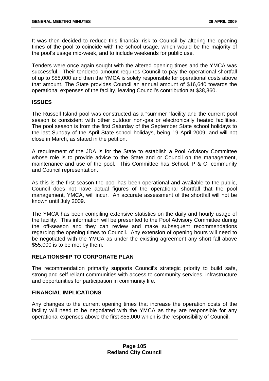It was then decided to reduce this financial risk to Council by altering the opening times of the pool to coincide with the school usage, which would be the majority of the pool's usage mid-week, and to include weekends for public use.

Tenders were once again sought with the altered opening times and the YMCA was successful. Their tendered amount requires Council to pay the operational shortfall of up to \$55,000 and then the YMCA is solely responsible for operational costs above that amount. The State provides Council an annual amount of \$16,640 towards the operational expenses of the facility, leaving Council's contribution at \$38,360.

### **ISSUES**

The Russell Island pool was constructed as a "summer "facility and the current pool season is consistent with other outdoor non-gas or electronically heated facilities. The pool season is from the first Saturday of the September State school holidays to the last Sunday of the April State school holidays, being 19 April 2009, and will not close in March, as stated in the petition.

A requirement of the JDA is for the State to establish a Pool Advisory Committee whose role is to provide advice to the State and or Council on the management, maintenance and use of the pool. This Committee has School, P & C, community and Council representation.

As this is the first season the pool has been operational and available to the public, Council does not have actual figures of the operational shortfall that the pool management, YMCA, will incur. An accurate assessment of the shortfall will not be known until July 2009.

The YMCA has been compiling extensive statistics on the daily and hourly usage of the facility. This information will be presented to the Pool Advisory Committee during the off-season and they can review and make subsequent recommendations regarding the opening times to Council. Any extension of opening hours will need to be negotiated with the YMCA as under the existing agreement any short fall above \$55,000 is to be met by them.

# **RELATIONSHIP TO CORPORATE PLAN**

The recommendation primarily supports Council's strategic priority to build safe, strong and self reliant communities with access to community services, infrastructure and opportunities for participation in community life.

# **FINANCIAL IMPLICATIONS**

Any changes to the current opening times that increase the operation costs of the facility will need to be negotiated with the YMCA as they are responsible for any operational expenses above the first \$55,000 which is the responsibility of Council.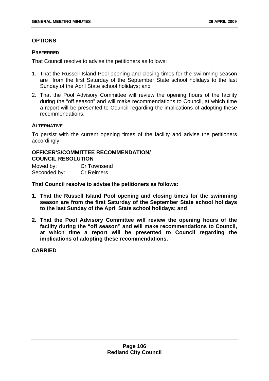# **OPTIONS**

### **PREFERRED**

That Council resolve to advise the petitioners as follows:

- 1. That the Russell Island Pool opening and closing times for the swimming season are from the first Saturday of the September State school holidays to the last Sunday of the April State school holidays; and
- 2. That the Pool Advisory Committee will review the opening hours of the facility during the "off season" and will make recommendations to Council, at which time a report will be presented to Council regarding the implications of adopting these recommendations.

### **ALTERNATIVE**

To persist with the current opening times of the facility and advise the petitioners accordingly.

### **OFFICER'S/COMMITTEE RECOMMENDATION/ COUNCIL RESOLUTION**

| Moved by:    | <b>Cr Townsend</b> |
|--------------|--------------------|
| Seconded by: | <b>Cr Reimers</b>  |

**That Council resolve to advise the petitioners as follows:** 

- **1. That the Russell Island Pool opening and closing times for the swimming season are from the first Saturday of the September State school holidays to the last Sunday of the April State school holidays; and**
- **2. That the Pool Advisory Committee will review the opening hours of the facility during the "off season" and will make recommendations to Council, at which time a report will be presented to Council regarding the implications of adopting these recommendations.**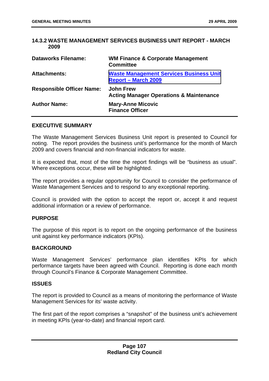### **14.3.2 WASTE MANAGEMENT SERVICES BUSINESS UNIT REPORT - MARCH 2009**

| <b>Dataworks Filename:</b>       | <b>WM Finance &amp; Corporate Management</b><br><b>Committee</b>             |
|----------------------------------|------------------------------------------------------------------------------|
| <b>Attachments:</b>              | <b>Waste Management Services Business Unit</b><br><b>Report - March 2009</b> |
| <b>Responsible Officer Name:</b> | <b>John Frew</b><br><b>Acting Manager Operations &amp; Maintenance</b>       |
| <b>Author Name:</b>              | <b>Mary-Anne Micovic</b><br><b>Finance Officer</b>                           |

### **EXECUTIVE SUMMARY**

The Waste Management Services Business Unit report is presented to Council for noting. The report provides the business unit's performance for the month of March 2009 and covers financial and non-financial indicators for waste.

It is expected that, most of the time the report findings will be "business as usual". Where exceptions occur, these will be highlighted.

The report provides a regular opportunity for Council to consider the performance of Waste Management Services and to respond to any exceptional reporting.

Council is provided with the option to accept the report or, accept it and request additional information or a review of performance.

### **PURPOSE**

The purpose of this report is to report on the ongoing performance of the business unit against key performance indicators (KPIs).

### **BACKGROUND**

Waste Management Services' performance plan identifies KPIs for which performance targets have been agreed with Council. Reporting is done each month through Council's Finance & Corporate Management Committee.

#### **ISSUES**

The report is provided to Council as a means of monitoring the performance of Waste Management Services for its' waste activity.

The first part of the report comprises a "snapshot" of the business unit's achievement in meeting KPIs (year-to-date) and financial report card.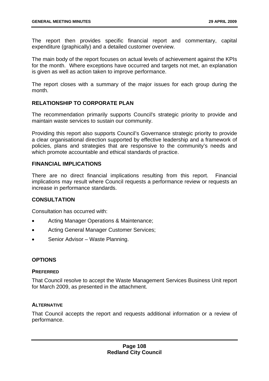The report then provides specific financial report and commentary, capital expenditure (graphically) and a detailed customer overview.

The main body of the report focuses on actual levels of achievement against the KPIs for the month. Where exceptions have occurred and targets not met, an explanation is given as well as action taken to improve performance.

The report closes with a summary of the major issues for each group during the month.

## **RELATIONSHIP TO CORPORATE PLAN**

The recommendation primarily supports Council's strategic priority to provide and maintain waste services to sustain our community.

Providing this report also supports Council's Governance strategic priority to provide a clear organisational direction supported by effective leadership and a framework of policies, plans and strategies that are responsive to the community's needs and which promote accountable and ethical standards of practice.

### **FINANCIAL IMPLICATIONS**

There are no direct financial implications resulting from this report. Financial implications may result where Council requests a performance review or requests an increase in performance standards.

# **CONSULTATION**

Consultation has occurred with:

- Acting Manager Operations & Maintenance;
- Acting General Manager Customer Services;
- Senior Advisor Waste Planning.

# **OPTIONS**

### **PREFERRED**

That Council resolve to accept the Waste Management Services Business Unit report for March 2009, as presented in the attachment.

### **ALTERNATIVE**

That Council accepts the report and requests additional information or a review of performance.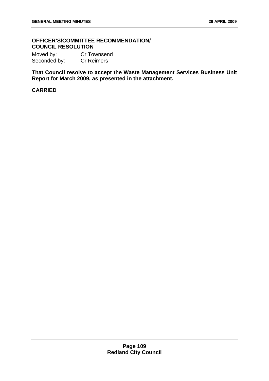# **OFFICER'S/COMMITTEE RECOMMENDATION/ COUNCIL RESOLUTION**

Moved by: Cr Townsend Seconded by: Cr Reimers

**That Council resolve to accept the Waste Management Services Business Unit Report for March 2009, as presented in the attachment.**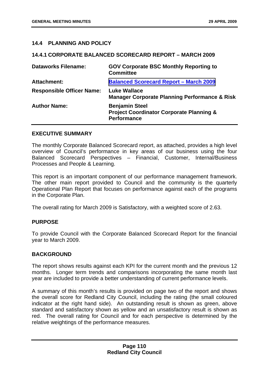### **14.4 PLANNING AND POLICY**

### **14.4.1 CORPORATE BALANCED SCORECARD REPORT – MARCH 2009**

| <b>Dataworks Filename:</b>       | <b>GOV Corporate BSC Monthly Reporting to</b><br><b>Committee</b>                                  |
|----------------------------------|----------------------------------------------------------------------------------------------------|
| <b>Attachment:</b>               | <b>Balanced Scorecard Report - March 2009</b>                                                      |
| <b>Responsible Officer Name:</b> | <b>Luke Wallace</b><br><b>Manager Corporate Planning Performance &amp; Risk</b>                    |
| <b>Author Name:</b>              | <b>Benjamin Steel</b><br><b>Project Coordinator Corporate Planning &amp;</b><br><b>Performance</b> |

### **EXECUTIVE SUMMARY**

The monthly Corporate Balanced Scorecard report, as attached, provides a high level overview of Council's performance in key areas of our business using the four Balanced Scorecard Perspectives – Financial, Customer, Internal/Business Processes and People & Learning.

This report is an important component of our performance management framework. The other main report provided to Council and the community is the quarterly Operational Plan Report that focuses on performance against each of the programs in the Corporate Plan.

The overall rating for March 2009 is Satisfactory, with a weighted score of 2.63.

# **PURPOSE**

To provide Council with the Corporate Balanced Scorecard Report for the financial year to March 2009.

### **BACKGROUND**

The report shows results against each KPI for the current month and the previous 12 months. Longer term trends and comparisons incorporating the same month last year are included to provide a better understanding of current performance levels.

A summary of this month's results is provided on page two of the report and shows the overall score for Redland City Council, including the rating (the small coloured indicator at the right hand side). An outstanding result is shown as green, above standard and satisfactory shown as yellow and an unsatisfactory result is shown as red. The overall rating for Council and for each perspective is determined by the relative weightings of the performance measures.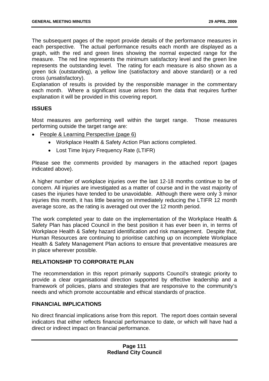The subsequent pages of the report provide details of the performance measures in each perspective. The actual performance results each month are displayed as a graph, with the red and green lines showing the normal expected range for the measure. The red line represents the minimum satisfactory level and the green line represents the outstanding level. The rating for each measure is also shown as a green tick (outstanding), a yellow line (satisfactory and above standard) or a red cross (unsatisfactory).

Explanation of results is provided by the responsible manager in the commentary each month. Where a significant issue arises from the data that requires further explanation it will be provided in this covering report.

# **ISSUES**

Most measures are performing well within the target range. Those measures performing outside the target range are:

- People & Learning Perspective (page 6)
	- Workplace Health & Safety Action Plan actions completed.
	- Lost Time Injury Frequency Rate (LTIFR)

Please see the comments provided by managers in the attached report (pages indicated above).

A higher number of workplace injuries over the last 12-18 months continue to be of concern. All injuries are investigated as a matter of course and in the vast majority of cases the injuries have tended to be unavoidable. Although there were only 3 minor injuries this month, it has little bearing on immediately reducing the LTIFR 12 month average score, as the rating is averaged out over the 12 month period.

The work completed year to date on the implementation of the Workplace Health & Safety Plan has placed Council in the best position it has ever been in, in terms of Workplace Health & Safety hazard identification and risk management. Despite that, Human Resources are continuing to prioritise catching up on incomplete Workplace Health & Safety Management Plan actions to ensure that preventative measures are in place wherever possible.

### **RELATIONSHIP TO CORPORATE PLAN**

The recommendation in this report primarily supports Council's strategic priority to provide a clear organisational direction supported by effective leadership and a framework of policies, plans and strategies that are responsive to the community's needs and which promote accountable and ethical standards of practice.

### **FINANCIAL IMPLICATIONS**

No direct financial implications arise from this report. The report does contain several indicators that either reflects financial performance to date, or which will have had a direct or indirect impact on financial performance.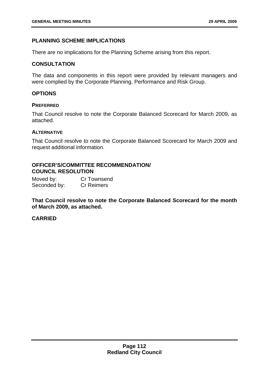# **PLANNING SCHEME IMPLICATIONS**

There are no implications for the Planning Scheme arising from this report.

## **CONSULTATION**

The data and components in this report were provided by relevant managers and were complied by the Corporate Planning, Performance and Risk Group.

## **OPTIONS**

### **PREFERRED**

That Council resolve to note the Corporate Balanced Scorecard for March 2009, as attached.

### **ALTERNATIVE**

That Council resolve to note the Corporate Balanced Scorecard for March 2009 and request additional information.

# **OFFICER'S/COMMITTEE RECOMMENDATION/ COUNCIL RESOLUTION**

Moved by: Cr Townsend Seconded by: Cr Reimers

**That Council resolve to note the Corporate Balanced Scorecard for the month of March 2009, as attached.**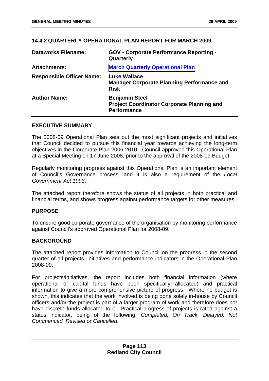### **14.4.2 QUARTERLY OPERATIONAL PLAN REPORT FOR MARCH 2009**

| <b>Dataworks Filename:</b>       | <b>GOV - Corporate Performance Reporting -</b><br>Quarterly                                      |
|----------------------------------|--------------------------------------------------------------------------------------------------|
| <b>Attachments:</b>              | <b>March Quarterly Operational Plan</b>                                                          |
| <b>Responsible Officer Name:</b> | <b>Luke Wallace</b><br><b>Manager Corporate Planning Performance and</b><br><b>Risk</b>          |
| <b>Author Name:</b>              | <b>Benjamin Steel</b><br><b>Project Coordinator Corporate Planning and</b><br><b>Performance</b> |

### **EXECUTIVE SUMMARY**

The 2008-09 Operational Plan sets out the most significant projects and initiatives that Council decided to pursue this financial year towards achieving the long-term objectives in the Corporate Plan 2006-2010. Council approved this Operational Plan at a Special Meeting on 17 June 2008, prior to the approval of the 2008-09 Budget.

Regularly monitoring progress against this Operational Plan is an important element of Council's Governance process, and it is also a requirement of the *Local Government Act 1993*.

The attached report therefore shows the status of all projects in both practical and financial terms, and shows progress against performance targets for other measures.

### **PURPOSE**

To ensure good corporate governance of the organisation by monitoring performance against Council's approved Operational Plan for 2008-09.

## **BACKGROUND**

The attached report provides information to Council on the progress in the second quarter of all projects, initiatives and performance indicators in the Operational Plan 2008-09.

For projects/initiatives, the report includes both financial information (where operational or capital funds have been specifically allocated) and practical information to give a more comprehensive picture of progress. Where no budget is shown, this indicates that the work involved is being done solely in-house by Council officers and/or the project is part of a larger program of work and therefore does not have discrete funds allocated to it. Practical progress of projects is rated against a status indicator, being of the following: *Completed, On Track, Delayed, Not Commenced, Revised* or *Cancelled*.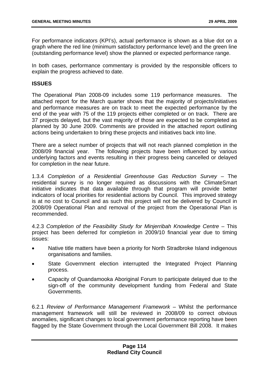For performance indicators (KPI's), actual performance is shown as a blue dot on a graph where the red line (minimum satisfactory performance level) and the green line (outstanding performance level) show the planned or expected performance range.

In both cases, performance commentary is provided by the responsible officers to explain the progress achieved to date.

### **ISSUES**

The Operational Plan 2008-09 includes some 119 performance measures. The attached report for the March quarter shows that the majority of projects/initiatives and performance measures are on track to meet the expected performance by the end of the year with 75 of the 119 projects either completed or on track. There are 37 projects delayed, but the vast majority of those are expected to be completed as planned by 30 June 2009. Comments are provided in the attached report outlining actions being undertaken to bring these projects and initiatives back into line.

There are a select number of projects that will not reach planned completion in the 2008/09 financial year. The following projects have been influenced by various underlying factors and events resulting in their progress being cancelled or delayed for completion in the near future.

1.3.4 *Completion of a Residential Greenhouse Gas Reduction Survey* – The residential survey is no longer required as discussions with the ClimateSmart initiative indicates that data available through that program will provide better indicators of local priorities for residential actions by Council. This improved strategy is at no cost to Council and as such this project will not be delivered by Council in 2008/09 Operational Plan and removal of the project from the Operational Plan is recommended.

4.2.3 *Completion of the Feasibility Study for Minjerribah Knowledge Centre* – This project has been deferred for completion in 2009/10 financial year due to timing issues:

- Native title matters have been a priority for North Stradbroke Island indigenous organisations and families.
- State Government election interrupted the Integrated Project Planning process.
- Capacity of Quandamooka Aboriginal Forum to participate delayed due to the sign-off of the community development funding from Federal and State Governments.

6.2.1 *Review of Performance Management Framework* – Whilst the performance management framework will still be reviewed in 2008/09 to correct obvious anomalies, significant changes to local government performance reporting have been flagged by the State Government through the Local Government Bill 2008. It makes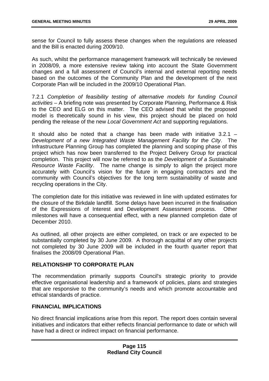sense for Council to fully assess these changes when the regulations are released and the Bill is enacted during 2009/10.

As such, whilst the performance management framework will technically be reviewed in 2008/09, a more extensive review taking into account the State Government changes and a full assessment of Council's internal and external reporting needs based on the outcomes of the Community Plan and the development of the next Corporate Plan will be included in the 2009/10 Operational Plan.

7.2.1 *Completion of feasibility testing of alternative models for funding Council activities* – A briefing note was presented by Corporate Planning, Performance & Risk to the CEO and ELG on this matter. The CEO advised that whilst the proposed model is theoretically sound in his view, this project should be placed on hold pending the release of the new *Local Government Act* and supporting regulations.

It should also be noted that a change has been made with initiative  $3.2.1$  – *Development of a new Integrated Waste Management Facility for the City*. The Infrastructure Planning Group has completed the planning and scoping phase of this project which has now been transferred to the Project Delivery Group for practical completion. This project will now be referred to as the *Development of a Sustainable Resource Waste Facility*. The name change is simply to align the project more accurately with Council's vision for the future in engaging contractors and the community with Council's objectives for the long term sustainability of waste and recycling operations in the City.

The completion date for this initiative was reviewed in line with updated estimates for the closure of the Birkdale landfill. Some delays have been incurred in the finalisation of the Expressions of Interest and Development Assessment process. Other milestones will have a consequential effect, with a new planned completion date of December 2010.

As outlined, all other projects are either completed, on track or are expected to be substantially completed by 30 June 2009. A thorough acquittal of any other projects not completed by 30 June 2009 will be included in the fourth quarter report that finalises the 2008/09 Operational Plan.

# **RELATIONSHIP TO CORPORATE PLAN**

The recommendation primarily supports Council's strategic priority to provide effective organisational leadership and a framework of policies, plans and strategies that are responsive to the community's needs and which promote accountable and ethical standards of practice.

# **FINANCIAL IMPLICATIONS**

No direct financial implications arise from this report. The report does contain several initiatives and indicators that either reflects financial performance to date or which will have had a direct or indirect impact on financial performance.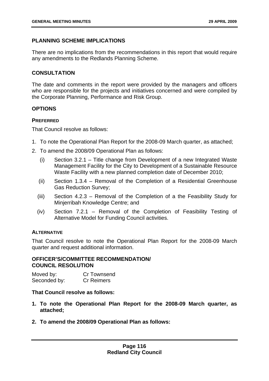# **PLANNING SCHEME IMPLICATIONS**

There are no implications from the recommendations in this report that would require any amendments to the Redlands Planning Scheme.

# **CONSULTATION**

The date and comments in the report were provided by the managers and officers who are responsible for the projects and initiatives concerned and were compiled by the Corporate Planning, Performance and Risk Group.

# **OPTIONS**

# **PREFERRED**

That Council resolve as follows:

- 1. To note the Operational Plan Report for the 2008-09 March quarter, as attached;
- 2. To amend the 2008/09 Operational Plan as follows:
	- (i) Section 3.2.1 Title change from Development of a new Integrated Waste Management Facility for the City to Development of a Sustainable Resource Waste Facility with a new planned completion date of December 2010;
	- (ii) Section 1.3.4 Removal of the Completion of a Residential Greenhouse Gas Reduction Survey;
	- (iii) Section 4.2.3 Removal of the Completion of a the Feasibility Study for Minjerribah Knowledge Centre; and
	- (iv) Section 7.2.1 Removal of the Completion of Feasibility Testing of Alternative Model for Funding Council activities.

# **ALTERNATIVE**

That Council resolve to note the Operational Plan Report for the 2008-09 March quarter and request additional information.

### **OFFICER'S/COMMITTEE RECOMMENDATION/ COUNCIL RESOLUTION**

Moved by: Cr Townsend Seconded by: Cr Reimers

### **That Council resolve as follows:**

- **1. To note the Operational Plan Report for the 2008-09 March quarter, as attached;**
- **2. To amend the 2008/09 Operational Plan as follows:**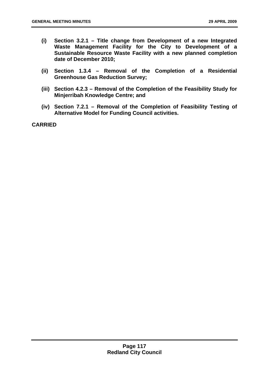- **(i) Section 3.2.1 Title change from Development of a new Integrated Waste Management Facility for the City to Development of a Sustainable Resource Waste Facility with a new planned completion date of December 2010;**
- **(ii) Section 1.3.4 Removal of the Completion of a Residential Greenhouse Gas Reduction Survey;**
- **(iii) Section 4.2.3 Removal of the Completion of the Feasibility Study for Minjerribah Knowledge Centre; and**
- **(iv) Section 7.2.1 Removal of the Completion of Feasibility Testing of Alternative Model for Funding Council activities.**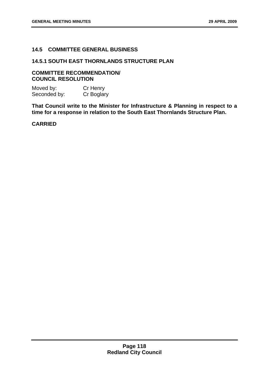# **14.5 COMMITTEE GENERAL BUSINESS**

### **14.5.1 SOUTH EAST THORNLANDS STRUCTURE PLAN**

### **COMMITTEE RECOMMENDATION/ COUNCIL RESOLUTION**

Moved by: Cr Henry Seconded by: Cr Boglary

**That Council write to the Minister for Infrastructure & Planning in respect to a time for a response in relation to the South East Thornlands Structure Plan.**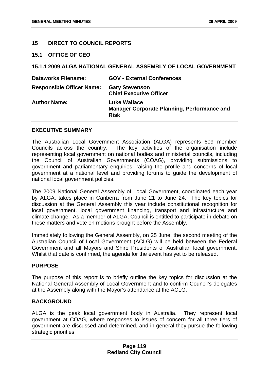## **15 DIRECT TO COUNCIL REPORTS**

### **15.1 OFFICE OF CEO**

### **15.1.1 2009 ALGA NATIONAL GENERAL ASSEMBLY OF LOCAL GOVERNMENT**

| <b>Dataworks Filename:</b>       | <b>GOV - External Conferences</b>                                                        |
|----------------------------------|------------------------------------------------------------------------------------------|
| <b>Responsible Officer Name:</b> | <b>Gary Stevenson</b><br><b>Chief Executive Officer</b>                                  |
| <b>Author Name:</b>              | <b>Luke Wallace</b><br><b>Manager Corporate Planning, Performance and</b><br><b>Risk</b> |

#### **EXECUTIVE SUMMARY**

The Australian Local Government Association (ALGA) represents 609 member Councils across the country. The key activities of the organisation include representing local government on national bodies and ministerial councils, including the Council of Australian Governments (COAG), providing submissions to government and parliamentary enquiries, raising the profile and concerns of local government at a national level and providing forums to guide the development of national local government policies.

The 2009 National General Assembly of Local Government, coordinated each year by ALGA, takes place in Canberra from June 21 to June 24. The key topics for discussion at the General Assembly this year include constitutional recognition for local government, local government financing, transport and infrastructure and climate change. As a member of ALGA, Council is entitled to participate in debate on these matters and vote on motions brought before the Assembly.

Immediately following the General Assembly, on 25 June, the second meeting of the Australian Council of Local Government (ACLG) will be held between the Federal Government and all Mayors and Shire Presidents of Australian local government. Whilst that date is confirmed, the agenda for the event has yet to be released.

### **PURPOSE**

The purpose of this report is to briefly outline the key topics for discussion at the National General Assembly of Local Government and to confirm Council's delegates at the Assembly along with the Mayor's attendance at the ACLG.

### **BACKGROUND**

ALGA is the peak local government body in Australia. They represent local government at COAG, where responses to issues of concern for all three tiers of government are discussed and determined, and in general they pursue the following strategic priorities: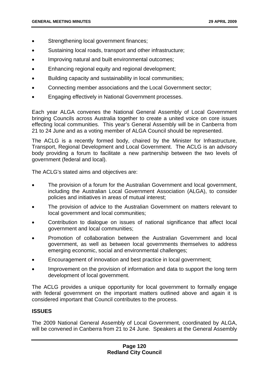- Strengthening local government finances;
- Sustaining local roads, transport and other infrastructure;
- Improving natural and built environmental outcomes;
- Enhancing regional equity and regional development;
- Building capacity and sustainability in local communities;
- Connecting member associations and the Local Government sector;
- Engaging effectively in National Government processes.

Each year ALGA convenes the National General Assembly of Local Government bringing Councils across Australia together to create a united voice on core issues effecting local communities. This year's General Assembly will be in Canberra from 21 to 24 June and as a voting member of ALGA Council should be represented.

The ACLG is a recently formed body, chaired by the Minister for Infrastructure, Transport, Regional Development and Local Government. The ACLG is an advisory body providing a forum to facilitate a new partnership between the two levels of government (federal and local).

The ACLG's stated aims and objectives are:

- The provision of a forum for the Australian Government and local government, including the Australian Local Government Association (ALGA), to consider policies and initiatives in areas of mutual interest;
- The provision of advice to the Australian Government on matters relevant to local government and local communities;
- Contribution to dialogue on issues of national significance that affect local government and local communities;
- Promotion of collaboration between the Australian Government and local government, as well as between local governments themselves to address emerging economic, social and environmental challenges;
- Encouragement of innovation and best practice in local government;
- Improvement on the provision of information and data to support the long term development of local government.

The ACLG provides a unique opportunity for local government to formally engage with federal government on the important matters outlined above and again it is considered important that Council contributes to the process.

### **ISSUES**

The 2009 National General Assembly of Local Government, coordinated by ALGA, will be convened in Canberra from 21 to 24 June. Speakers at the General Assembly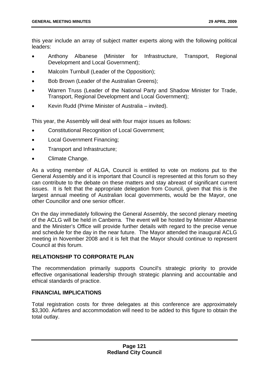this year include an array of subject matter experts along with the following political leaders:

- Anthony Albanese (Minister for Infrastructure, Transport, Regional Development and Local Government);
- Malcolm Turnbull (Leader of the Opposition);
- Bob Brown (Leader of the Australian Greens);
- Warren Truss (Leader of the National Party and Shadow Minister for Trade, Transport, Regional Development and Local Government);
- Kevin Rudd (Prime Minister of Australia invited).

This year, the Assembly will deal with four major issues as follows:

- Constitutional Recognition of Local Government;
- Local Government Financing;
- Transport and Infrastructure;
- Climate Change.

As a voting member of ALGA, Council is entitled to vote on motions put to the General Assembly and it is important that Council is represented at this forum so they can contribute to the debate on these matters and stay abreast of significant current issues. It is felt that the appropriate delegation from Council, given that this is the largest annual meeting of Australian local governments, would be the Mayor, one other Councillor and one senior officer.

On the day immediately following the General Assembly, the second plenary meeting of the ACLG will be held in Canberra. The event will be hosted by Minister Albanese and the Minister's Office will provide further details with regard to the precise venue and schedule for the day in the near future. The Mayor attended the inaugural ACLG meeting in November 2008 and it is felt that the Mayor should continue to represent Council at this forum.

### **RELATIONSHIP TO CORPORATE PLAN**

The recommendation primarily supports Council's strategic priority to provide effective organisational leadership through strategic planning and accountable and ethical standards of practice.

# **FINANCIAL IMPLICATIONS**

Total registration costs for three delegates at this conference are approximately \$3,300. Airfares and accommodation will need to be added to this figure to obtain the total outlay.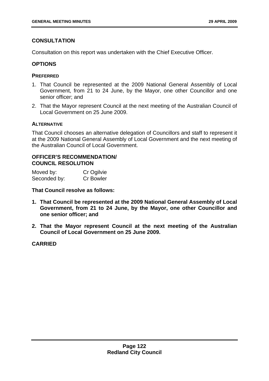# **CONSULTATION**

Consultation on this report was undertaken with the Chief Executive Officer.

# **OPTIONS**

### **PREFERRED**

- 1. That Council be represented at the 2009 National General Assembly of Local Government, from 21 to 24 June, by the Mayor, one other Councillor and one senior officer; and
- 2. That the Mayor represent Council at the next meeting of the Australian Council of Local Government on 25 June 2009.

# **ALTERNATIVE**

That Council chooses an alternative delegation of Councillors and staff to represent it at the 2009 National General Assembly of Local Government and the next meeting of the Australian Council of Local Government.

# **OFFICER'S RECOMMENDATION/ COUNCIL RESOLUTION**

| Moved by:    | Cr Ogilvie       |
|--------------|------------------|
| Seconded by: | <b>Cr Bowler</b> |

**That Council resolve as follows:** 

- **1. That Council be represented at the 2009 National General Assembly of Local Government, from 21 to 24 June, by the Mayor, one other Councillor and one senior officer; and**
- **2. That the Mayor represent Council at the next meeting of the Australian Council of Local Government on 25 June 2009.**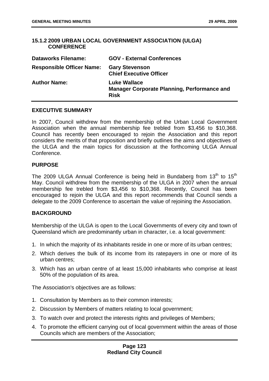### **15.1.2 2009 URBAN LOCAL GOVERNMENT ASSOCIATION (ULGA) CONFERENCE**

| <b>Dataworks Filename:</b>       | <b>GOV - External Conferences</b>                                                        |
|----------------------------------|------------------------------------------------------------------------------------------|
| <b>Responsible Officer Name:</b> | <b>Gary Stevenson</b><br><b>Chief Executive Officer</b>                                  |
| <b>Author Name:</b>              | <b>Luke Wallace</b><br><b>Manager Corporate Planning, Performance and</b><br><b>Risk</b> |

### **EXECUTIVE SUMMARY**

In 2007, Council withdrew from the membership of the Urban Local Government Association when the annual membership fee trebled from \$3,456 to \$10,368. Council has recently been encouraged to rejoin the Association and this report considers the merits of that proposition and briefly outlines the aims and objectives of the ULGA and the main topics for discussion at the forthcoming ULGA Annual Conference.

### **PURPOSE**

The 2009 ULGA Annual Conference is being held in Bundaberg from  $13<sup>th</sup>$  to  $15<sup>th</sup>$ May. Council withdrew from the membership of the ULGA in 2007 when the annual membership fee trebled from \$3,456 to \$10,368. Recently, Council has been encouraged to rejoin the ULGA and this report recommends that Council sends a delegate to the 2009 Conference to ascertain the value of rejoining the Association.

# **BACKGROUND**

Membership of the ULGA is open to the Local Governments of every city and town of Queensland which are predominantly urban in character, i.e. a local government:

- 1. In which the majority of its inhabitants reside in one or more of its urban centres;
- 2. Which derives the bulk of its income from its ratepayers in one or more of its urban centres;
- 3. Which has an urban centre of at least 15,000 inhabitants who comprise at least 50% of the population of its area.

The Association's objectives are as follows:

- 1. Consultation by Members as to their common interests;
- 2. Discussion by Members of matters relating to local government;
- 3. To watch over and protect the interests rights and privileges of Members;
- 4. To promote the efficient carrying out of local government within the areas of those Councils which are members of the Association;

### **Page 123 Redland City Council**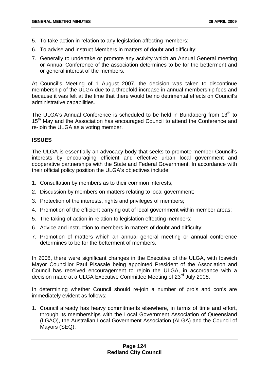- 5. To take action in relation to any legislation affecting members;
- 6. To advise and instruct Members in matters of doubt and difficulty;
- 7. Generally to undertake or promote any activity which an Annual General meeting or Annual Conference of the association determines to be for the betterment and or general interest of the members.

At Council's Meeting of 1 August 2007, the decision was taken to discontinue membership of the ULGA due to a threefold increase in annual membership fees and because it was felt at the time that there would be no detrimental effects on Council's administrative capabilities.

The ULGA's Annual Conference is scheduled to be held in Bundaberg from  $13<sup>th</sup>$  to 15<sup>th</sup> May and the Association has encouraged Council to attend the Conference and re-join the ULGA as a voting member.

# **ISSUES**

The ULGA is essentially an advocacy body that seeks to promote member Council's interests by encouraging efficient and effective urban local government and cooperative partnerships with the State and Federal Government. In accordance with their official policy position the ULGA's objectives include;

- 1. Consultation by members as to their common interests;
- 2. Discussion by members on matters relating to local government;
- 3. Protection of the interests, rights and privileges of members;
- 4. Promotion of the efficient carrying out of local government within member areas;
- 5. The taking of action in relation to legislation effecting members;
- 6. Advice and instruction to members in matters of doubt and difficulty;
- 7. Promotion of matters which an annual general meeting or annual conference determines to be for the betterment of members.

In 2008, there were significant changes in the Executive of the ULGA, with Ipswich Mayor Councillor Paul Pisasale being appointed President of the Association and Council has received encouragement to rejoin the ULGA, in accordance with a decision made at a ULGA Executive Committee Meeting of 23<sup>rd</sup> July 2008.

In determining whether Council should re-join a number of pro's and con's are immediately evident as follows;

1. Council already has heavy commitments elsewhere, in terms of time and effort, through its memberships with the Local Government Association of Queensland (LGAQ), the Australian Local Government Association (ALGA) and the Council of Mayors (SEQ);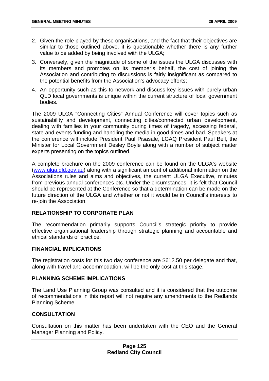- 2. Given the role played by these organisations, and the fact that their objectives are similar to those outlined above, it is questionable whether there is any further value to be added by being involved with the ULGA;
- 3. Conversely, given the magnitude of some of the issues the ULGA discusses with its members and promotes on its member's behalf, the cost of joining the Association and contributing to discussions is fairly insignificant as compared to the potential benefits from the Association's advocacy efforts;
- 4. An opportunity such as this to network and discuss key issues with purely urban QLD local governments is unique within the current structure of local government bodies.

The 2009 ULGA "Connecting Cities" Annual Conference will cover topics such as sustainability and development, connecting cities/connected urban development, dealing with families in your community during times of tragedy, accessing federal, state and events funding and handling the media in good times and bad. Speakers at the conference will include President Paul Pisasale, LGAQ President Paul Bell, the Minister for Local Government Desley Boyle along with a number of subject matter experts presenting on the topics outlined.

A complete brochure on the 2009 conference can be found on the ULGA's website ([www.ulga.qld.gov.au](http://www.ulga.qld.gov.au/)) along with a significant amount of additional information on the Associations rules and aims and objectives, the current ULGA Executive, minutes from previous annual conferences etc. Under the circumstances, it is felt that Council should be represented at the Conference so that a determination can be made on the future direction of the ULGA and whether or not it would be in Council's interests to re-join the Association.

# **RELATIONSHIP TO CORPORATE PLAN**

The recommendation primarily supports Council's strategic priority to provide effective organisational leadership through strategic planning and accountable and ethical standards of practice.

### **FINANCIAL IMPLICATIONS**

The registration costs for this two day conference are \$612.50 per delegate and that, along with travel and accommodation, will be the only cost at this stage.

### **PLANNING SCHEME IMPLICATIONS**

The Land Use Planning Group was consulted and it is considered that the outcome of recommendations in this report will not require any amendments to the Redlands Planning Scheme.

# **CONSULTATION**

Consultation on this matter has been undertaken with the CEO and the General Manager Planning and Policy.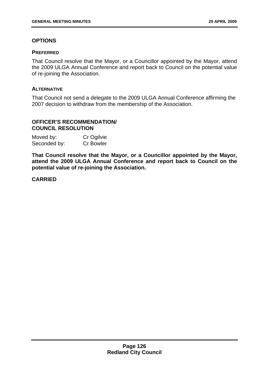# **OPTIONS**

### **PREFERRED**

That Council resolve that the Mayor, or a Councillor appointed by the Mayor, attend the 2009 ULGA Annual Conference and report back to Council on the potential value of re-joining the Association.

### **ALTERNATIVE**

That Council not send a delegate to the 2009 ULGA Annual Conference affirming the 2007 decision to withdraw from the membership of the Association.

# **OFFICER'S RECOMMENDATION/ COUNCIL RESOLUTION**

| Moved by:    | Cr Ogilvie       |
|--------------|------------------|
| Seconded by: | <b>Cr Bowler</b> |

**That Council resolve that the Mayor, or a Councillor appointed by the Mayor, attend the 2009 ULGA Annual Conference and report back to Council on the potential value of re-joining the Association.**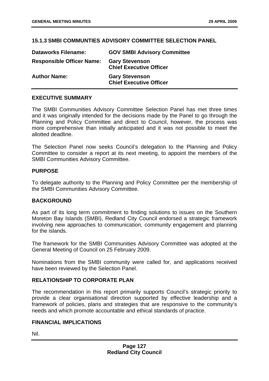### **15.1.3 SMBI COMMUNTIES ADVISORY COMMITTEE SELECTION PANEL**

| <b>Dataworks Filename:</b>       | <b>GOV SMBI Advisory Committee</b>                      |
|----------------------------------|---------------------------------------------------------|
| <b>Responsible Officer Name:</b> | <b>Gary Stevenson</b><br><b>Chief Executive Officer</b> |
| <b>Author Name:</b>              | <b>Gary Stevenson</b><br><b>Chief Executive Officer</b> |

### **EXECUTIVE SUMMARY**

The SMBI Communities Advisory Committee Selection Panel has met three times and it was originally intended for the decisions made by the Panel to go through the Planning and Policy Committee and direct to Council, however, the process was more comprehensive than initially anticipated and it was not possible to meet the allotted deadline.

The Selection Panel now seeks Council's delegation to the Planning and Policy Committee to consider a report at its next meeting, to appoint the members of the SMBI Communities Advisory Committee.

### **PURPOSE**

To delegate authority to the Planning and Policy Committee per the membership of the SMBI Communities Advisory Committee.

### **BACKGROUND**

As part of its long term commitment to finding solutions to issues on the Southern Moreton Bay Islands (SMBI), Redland City Council endorsed a strategic framework involving new approaches to communication, community engagement and planning for the islands.

The framework for the SMBI Communities Advisory Committee was adopted at the [General Meeting of Council on 25 February 2009.](http://web01.redland.qld.gov.au/robo/Minutes_Agendas/January_March09/Minutes/February/General_25_Feb/Minutes_February_25_2009_Council.htm#10_1_1_STRATEGIC)

Nominations from the SMBI community were called for, and applications received have been reviewed by the Selection Panel.

# **RELATIONSHIP TO CORPORATE PLAN**

The recommendation in this report primarily supports Council's strategic priority to provide a clear organisational direction supported by effective leadership and a framework of policies, plans and strategies that are responsive to the community's needs and which promote accountable and ethical standards of practice.

### **FINANCIAL IMPLICATIONS**

Nil.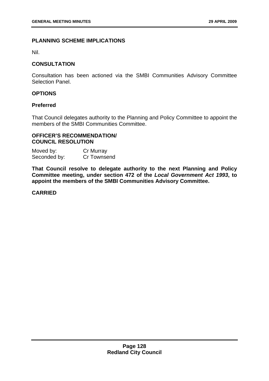### **PLANNING SCHEME IMPLICATIONS**

Nil.

### **CONSULTATION**

Consultation has been actioned via the SMBI Communities Advisory Committee Selection Panel.

# **OPTIONS**

### **Preferred**

That Council delegates authority to the Planning and Policy Committee to appoint the members of the SMBI Communities Committee.

### **OFFICER'S RECOMMENDATION/ COUNCIL RESOLUTION**

Moved by: Cr Murray Seconded by: Cr Townsend

**That Council resolve to delegate authority to the next Planning and Policy Committee meeting, under section 472 of the** *Local Government Act 1993***, to appoint the members of the SMBI Communities Advisory Committee.**